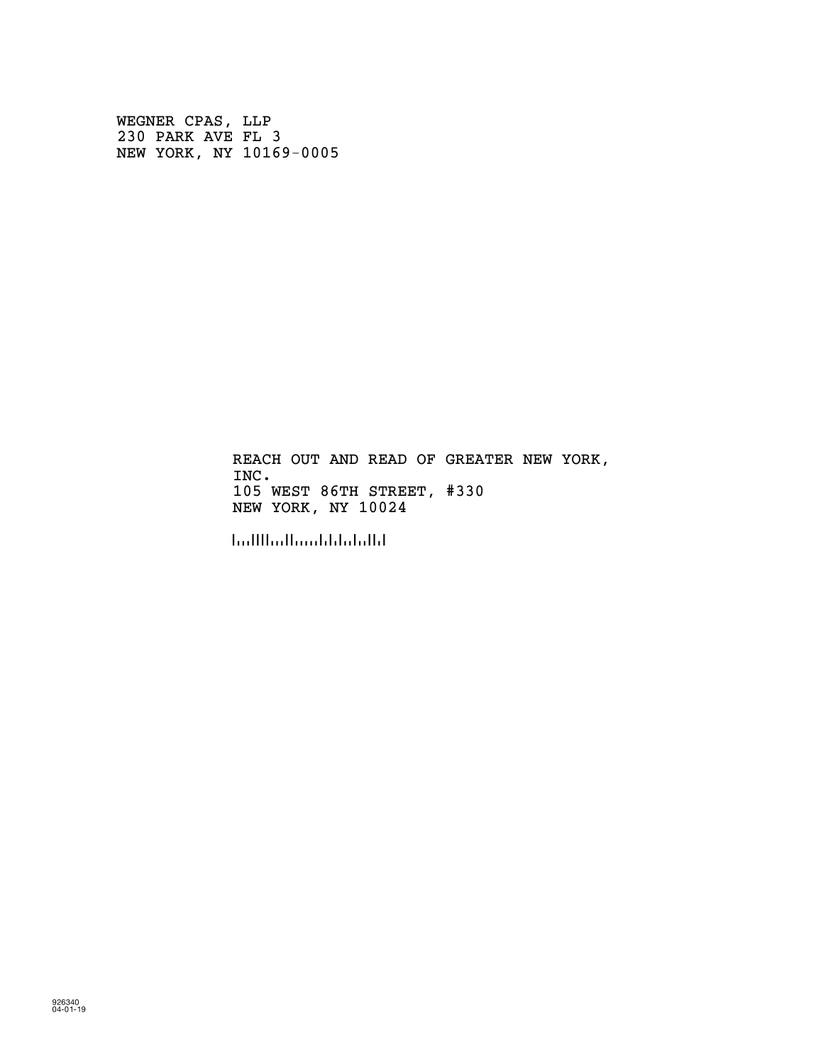WEGNER CPAS, LLP 230 PARK AVE FL 3 NEW YORK, NY 10169-0005

> REACH OUT AND READ OF GREATER NEW YORK, INC. 105 WEST 86TH STREET, #330 NEW YORK, NY 10024

!100243!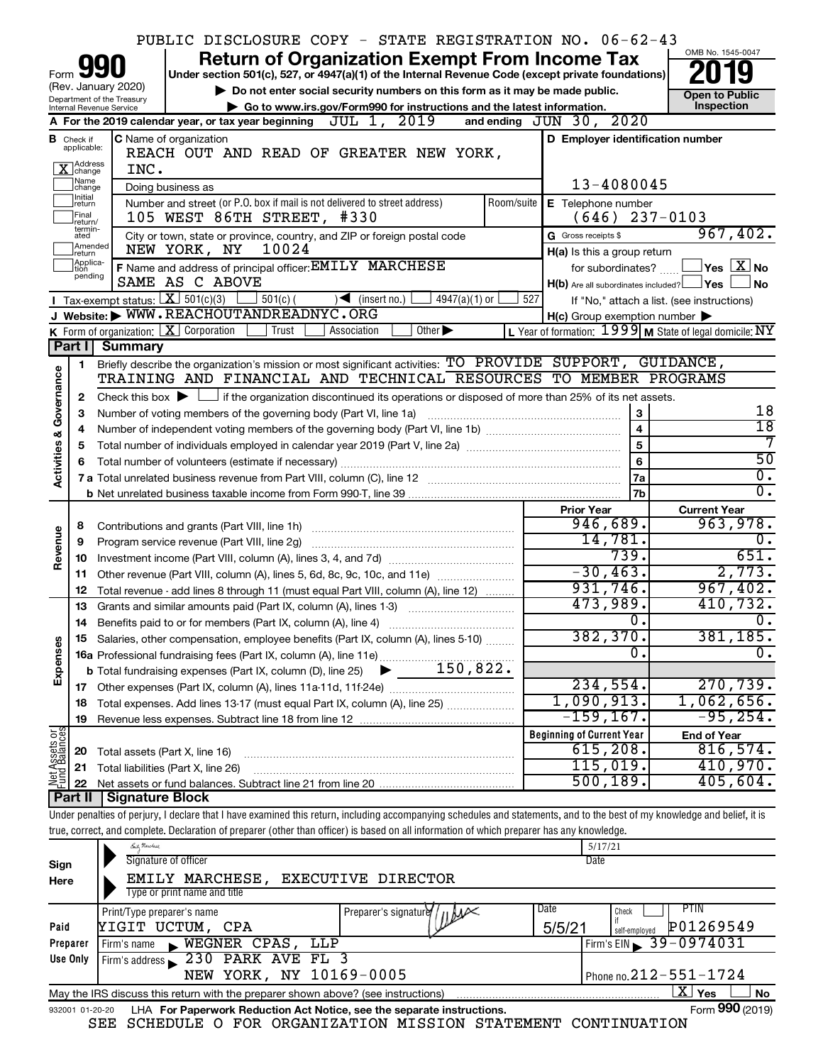|                         |                                  |                                                   | PUBLIC DISCLOSURE COPY - STATE REGISTRATION NO. 06-62-43                                                                                    |            |                                   |                              |                 |            |                                                                             |                   |                                                                                                                                                                            |
|-------------------------|----------------------------------|---------------------------------------------------|---------------------------------------------------------------------------------------------------------------------------------------------|------------|-----------------------------------|------------------------------|-----------------|------------|-----------------------------------------------------------------------------|-------------------|----------------------------------------------------------------------------------------------------------------------------------------------------------------------------|
|                         |                                  |                                                   |                                                                                                                                             |            |                                   |                              |                 |            | <b>Return of Organization Exempt From Income Tax</b>                        |                   | OMB No. 1545-0047                                                                                                                                                          |
| Form                    |                                  |                                                   | Under section 501(c), 527, or 4947(a)(1) of the Internal Revenue Code (except private foundations)                                          |            |                                   |                              |                 |            |                                                                             |                   |                                                                                                                                                                            |
|                         |                                  | (Rev. January 2020)<br>Department of the Treasury |                                                                                                                                             |            |                                   |                              |                 |            | Do not enter social security numbers on this form as it may be made public. |                   | <b>Open to Public</b>                                                                                                                                                      |
|                         |                                  | Internal Revenue Service                          |                                                                                                                                             |            |                                   |                              |                 |            | Go to www.irs.gov/Form990 for instructions and the latest information.      |                   | Inspection                                                                                                                                                                 |
|                         |                                  |                                                   | A For the 2019 calendar year, or tax year beginning $JUL$ 1, $2019$                                                                         |            |                                   |                              |                 |            | and ending JUN 30, 2020                                                     |                   |                                                                                                                                                                            |
|                         | <b>B</b> Check if<br>applicable: |                                                   | <b>C</b> Name of organization                                                                                                               |            |                                   |                              |                 |            |                                                                             |                   | D Employer identification number                                                                                                                                           |
|                         | X Address                        |                                                   | REACH OUT AND READ OF GREATER NEW YORK,                                                                                                     |            |                                   |                              |                 |            |                                                                             |                   |                                                                                                                                                                            |
|                         | Name<br>change                   | INC.                                              |                                                                                                                                             |            |                                   |                              |                 |            |                                                                             | 13-4080045        |                                                                                                                                                                            |
|                         | Initial                          |                                                   | Doing business as                                                                                                                           |            |                                   |                              |                 |            |                                                                             |                   |                                                                                                                                                                            |
|                         | return<br>Final                  |                                                   | Number and street (or P.O. box if mail is not delivered to street address)<br>105 WEST 86TH STREET, #330                                    |            |                                   |                              |                 | Room/suite | E Telephone number<br>(646)                                                 |                   | $237 - 0103$                                                                                                                                                               |
|                         | return/<br>termin-<br>ated       |                                                   | City or town, state or province, country, and ZIP or foreign postal code                                                                    |            |                                   |                              |                 |            | G Gross receipts \$                                                         |                   | 967,402.                                                                                                                                                                   |
|                         | Amended<br>Ireturn               |                                                   | NEW YORK, NY                                                                                                                                | 10024      |                                   |                              |                 |            | H(a) Is this a group return                                                 |                   |                                                                                                                                                                            |
|                         | Applica-<br>tion                 |                                                   | F Name and address of principal officer: EMILY MARCHESE                                                                                     |            |                                   |                              |                 |            |                                                                             | for subordinates? | $ {\mathsf Y}\mathsf{es} \mathrel{\mathop{\perp\!\!\!\!\!\!}\mathop{\perp\!\!\!\!\!\!}} \mathop{\mathop{\perp\!\!\!\!\!\!}}\nolimits X $ No                                |
|                         | pending                          |                                                   | SAME AS C ABOVE                                                                                                                             |            |                                   |                              |                 |            |                                                                             |                   | $H(b)$ Are all subordinates included? $\Box$ Yes $\Box$<br>No                                                                                                              |
|                         |                                  | <b>I</b> Tax-exempt status: $X \ 501(c)(3)$       |                                                                                                                                             | $501(c)$ ( | $\sqrt{\frac{1}{1}}$ (insert no.) |                              | $4947(a)(1)$ or | 527        |                                                                             |                   | If "No," attach a list. (see instructions)                                                                                                                                 |
|                         |                                  |                                                   | J Website: WWW.REACHOUTANDREADNYC.ORG                                                                                                       |            |                                   |                              |                 |            | $H(c)$ Group exemption number $\blacktriangleright$                         |                   |                                                                                                                                                                            |
|                         |                                  |                                                   | K Form of organization: $X$ Corporation                                                                                                     | Trust      | Association                       | Other $\blacktriangleright$  |                 |            |                                                                             |                   | L Year of formation: 1999 M State of legal domicile: NY                                                                                                                    |
|                         | Part I                           | <b>Summary</b>                                    |                                                                                                                                             |            |                                   |                              |                 |            |                                                                             |                   |                                                                                                                                                                            |
|                         | 1                                |                                                   | Briefly describe the organization's mission or most significant activities: TO PROVIDE SUPPORT, GUIDANCE,                                   |            |                                   |                              |                 |            |                                                                             |                   |                                                                                                                                                                            |
|                         |                                  |                                                   | TRAINING AND FINANCIAL AND TECHNICAL RESOURCES TO MEMBER PROGRAMS                                                                           |            |                                   |                              |                 |            |                                                                             |                   |                                                                                                                                                                            |
| Governance              | 2                                |                                                   | Check this box $\blacktriangleright$ $\Box$ if the organization discontinued its operations or disposed of more than 25% of its net assets. |            |                                   |                              |                 |            |                                                                             |                   |                                                                                                                                                                            |
|                         | 3                                |                                                   | Number of voting members of the governing body (Part VI, line 1a)                                                                           |            |                                   |                              |                 |            |                                                                             | 3                 | 18                                                                                                                                                                         |
|                         | 4                                |                                                   |                                                                                                                                             |            |                                   |                              |                 |            |                                                                             | 4                 | $\overline{18}$                                                                                                                                                            |
|                         | 5                                |                                                   |                                                                                                                                             |            |                                   |                              |                 |            |                                                                             | 5                 | 7                                                                                                                                                                          |
| <b>Activities &amp;</b> | 6                                |                                                   |                                                                                                                                             |            |                                   |                              |                 |            |                                                                             | 6                 | $\overline{50}$                                                                                                                                                            |
|                         |                                  |                                                   |                                                                                                                                             |            |                                   |                              |                 |            |                                                                             | 7a                | $\overline{0}$ .                                                                                                                                                           |
|                         |                                  |                                                   |                                                                                                                                             |            |                                   |                              |                 |            |                                                                             | 7b                | σ.                                                                                                                                                                         |
|                         |                                  |                                                   |                                                                                                                                             |            |                                   |                              |                 |            | <b>Prior Year</b>                                                           | 946,689.          | <b>Current Year</b><br>963,978.                                                                                                                                            |
|                         | 8                                |                                                   |                                                                                                                                             |            |                                   |                              |                 |            |                                                                             | 14,781.           | о.                                                                                                                                                                         |
| Revenue                 | 9                                |                                                   | Program service revenue (Part VIII, line 2g)                                                                                                |            |                                   |                              |                 |            |                                                                             | 739.              | 651.                                                                                                                                                                       |
|                         | 10<br>11                         |                                                   | Other revenue (Part VIII, column (A), lines 5, 6d, 8c, 9c, 10c, and 11e)                                                                    |            |                                   |                              |                 |            |                                                                             | $-30, 463.$       | 2,773.                                                                                                                                                                     |
|                         | 12                               |                                                   | Total revenue - add lines 8 through 11 (must equal Part VIII, column (A), line 12)                                                          |            |                                   |                              |                 |            |                                                                             | 931,746.          | 967,402.                                                                                                                                                                   |
|                         | 13                               |                                                   | Grants and similar amounts paid (Part IX, column (A), lines 1-3)                                                                            |            |                                   |                              |                 |            |                                                                             | 473,989.          | 410,732.                                                                                                                                                                   |
|                         | 14                               |                                                   | Benefits paid to or for members (Part IX, column (A), line 4)                                                                               |            |                                   |                              |                 |            |                                                                             | $\overline{0}$ .  | $\overline{0}$ .                                                                                                                                                           |
|                         |                                  |                                                   | 15 Salaries, other compensation, employee benefits (Part IX, column (A), lines 5-10)                                                        |            |                                   |                              |                 |            |                                                                             | 382, 370.         | 381,185.                                                                                                                                                                   |
| Expenses                |                                  |                                                   |                                                                                                                                             |            |                                   |                              |                 |            |                                                                             | $\Omega$          | 0.                                                                                                                                                                         |
|                         |                                  |                                                   |                                                                                                                                             |            |                                   |                              |                 |            |                                                                             |                   |                                                                                                                                                                            |
|                         |                                  |                                                   |                                                                                                                                             |            |                                   |                              |                 |            |                                                                             | 234,554.          | 270, 739.                                                                                                                                                                  |
|                         | 18                               |                                                   | Total expenses. Add lines 13-17 (must equal Part IX, column (A), line 25)                                                                   |            |                                   |                              |                 |            | 1,090,913.                                                                  |                   | 1,062,656.                                                                                                                                                                 |
|                         | 19                               |                                                   |                                                                                                                                             |            |                                   |                              |                 |            | $-159, 167$ .                                                               |                   | $-95, 254.$                                                                                                                                                                |
| Net Assets or           |                                  |                                                   |                                                                                                                                             |            |                                   |                              |                 |            | <b>Beginning of Current Year</b>                                            |                   | <b>End of Year</b>                                                                                                                                                         |
|                         | 20                               |                                                   | Total assets (Part X, line 16)                                                                                                              |            |                                   |                              |                 |            |                                                                             | 615, 208.         | 816,574.                                                                                                                                                                   |
|                         | 21                               |                                                   | Total liabilities (Part X, line 26)                                                                                                         |            |                                   |                              |                 |            |                                                                             | 115,019.          | 410,970.                                                                                                                                                                   |
|                         | 22                               |                                                   |                                                                                                                                             |            |                                   |                              |                 |            |                                                                             | 500, 189.         | 405,604.                                                                                                                                                                   |
|                         | Part II                          | <b>Signature Block</b>                            |                                                                                                                                             |            |                                   |                              |                 |            |                                                                             |                   |                                                                                                                                                                            |
|                         |                                  |                                                   |                                                                                                                                             |            |                                   |                              |                 |            |                                                                             |                   | Under penalties of perjury, I declare that I have examined this return, including accompanying schedules and statements, and to the best of my knowledge and belief, it is |
|                         |                                  |                                                   | true, correct, and complete. Declaration of preparer (other than officer) is based on all information of which preparer has any knowledge.  |            |                                   |                              |                 |            | 5/17/21                                                                     |                   |                                                                                                                                                                            |
|                         |                                  | <u>Each</u> Marchase                              | Signature of officer                                                                                                                        |            |                                   |                              |                 |            | Date                                                                        |                   |                                                                                                                                                                            |
| Sign                    |                                  |                                                   | EMILY MARCHESE,                                                                                                                             |            | <b>EXECUTIVE DIRECTOR</b>         |                              |                 |            |                                                                             |                   |                                                                                                                                                                            |
| Here                    |                                  |                                                   | Type or print name and title                                                                                                                |            |                                   |                              |                 |            |                                                                             |                   |                                                                                                                                                                            |
|                         |                                  | Print/Type preparer's name                        |                                                                                                                                             |            |                                   | Preparer's signature / $\mu$ |                 |            | Date                                                                        | Check             | PTIN                                                                                                                                                                       |
|                         |                                  |                                                   |                                                                                                                                             |            |                                   |                              |                 |            |                                                                             |                   |                                                                                                                                                                            |

| Paid                                                                                                                  | YIGIT UCTUM, CPA                 | متطلالا                                                                | $\int_{self\text{-employed}}^{\text{II}}$ $\left[\text{P01269549}\right]$<br>5/5/21 |  |  |  |  |  |  |  |
|-----------------------------------------------------------------------------------------------------------------------|----------------------------------|------------------------------------------------------------------------|-------------------------------------------------------------------------------------|--|--|--|--|--|--|--|
| Preparer                                                                                                              | Firm's name WEGNER CPAS, LLP     |                                                                        | $I$ Firm's EIN 39 - 0974031                                                         |  |  |  |  |  |  |  |
| Use Only                                                                                                              | Firm's address 230 PARK AVE FL 3 |                                                                        |                                                                                     |  |  |  |  |  |  |  |
|                                                                                                                       | NEW YORK, NY 10169-0005          |                                                                        | Phone no. $212 - 551 - 1724$                                                        |  |  |  |  |  |  |  |
| $X \mid Y_{\mathsf{es}}$<br>l No<br>May the IRS discuss this return with the preparer shown above? (see instructions) |                                  |                                                                        |                                                                                     |  |  |  |  |  |  |  |
| 932001 01-20-20                                                                                                       |                                  | LHA For Paperwork Reduction Act Notice, see the separate instructions. | Form 990 (2019)                                                                     |  |  |  |  |  |  |  |

|  |  |  |  | SEE SCHEDULE O FOR ORGANIZATION MISSION STATEMENT CONTINUATION |  |  |  |
|--|--|--|--|----------------------------------------------------------------|--|--|--|
|--|--|--|--|----------------------------------------------------------------|--|--|--|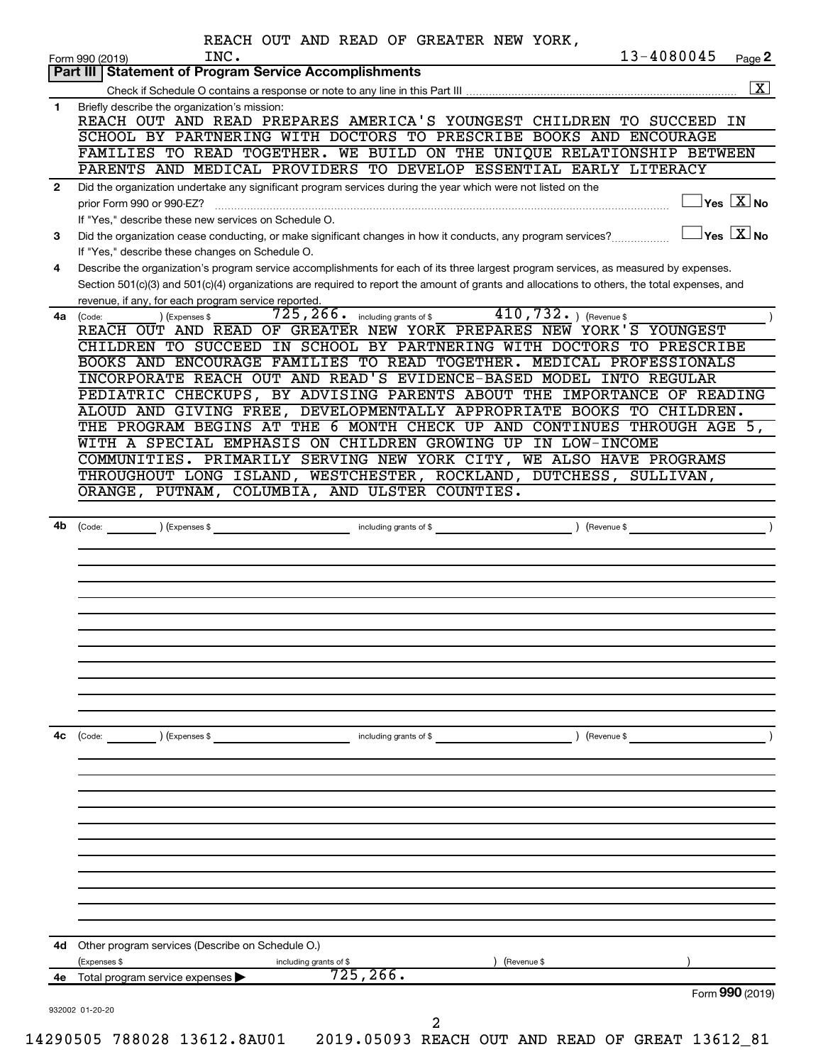|              | 13-4080045<br>INC.<br>Page 2<br>Form 990 (2019)<br>Part III   Statement of Program Service Accomplishments                                                                                                                                                                           |
|--------------|--------------------------------------------------------------------------------------------------------------------------------------------------------------------------------------------------------------------------------------------------------------------------------------|
|              |                                                                                                                                                                                                                                                                                      |
| 1            | Briefly describe the organization's mission:<br>REACH OUT AND READ PREPARES AMERICA'S YOUNGEST CHILDREN TO SUCCEED IN                                                                                                                                                                |
|              | SCHOOL BY PARTNERING WITH DOCTORS TO PRESCRIBE BOOKS AND ENCOURAGE                                                                                                                                                                                                                   |
|              | FAMILIES TO READ TOGETHER. WE BUILD ON THE UNIQUE RELATIONSHIP BETWEEN                                                                                                                                                                                                               |
|              | PARENTS AND MEDICAL PROVIDERS TO DEVELOP ESSENTIAL EARLY LITERACY                                                                                                                                                                                                                    |
| $\mathbf{2}$ | Did the organization undertake any significant program services during the year which were not listed on the<br>$\Box$ Yes $[\overline{\mathrm{X}}]$ No<br>prior Form 990 or 990-EZ?                                                                                                 |
| 3            | If "Yes," describe these new services on Schedule O.<br>$\Box$ Yes $\boxed{\text{X}}$ No<br>Did the organization cease conducting, or make significant changes in how it conducts, any program services?<br>If "Yes," describe these changes on Schedule O.                          |
| 4            | Describe the organization's program service accomplishments for each of its three largest program services, as measured by expenses.<br>Section 501(c)(3) and 501(c)(4) organizations are required to report the amount of grants and allocations to others, the total expenses, and |
|              | revenue, if any, for each program service reported.                                                                                                                                                                                                                                  |
| 4a l         | $725, 266$ including grants of \$410, $732$ o $($ Revenue \$<br>) (Expenses \$<br>(Code:                                                                                                                                                                                             |
|              | REACH OUT AND READ OF GREATER NEW YORK PREPARES NEW YORK'S YOUNGEST                                                                                                                                                                                                                  |
|              | CHILDREN TO SUCCEED IN SCHOOL BY PARTNERING WITH DOCTORS TO PRESCRIBE<br>BOOKS AND ENCOURAGE FAMILIES TO READ TOGETHER. MEDICAL PROFESSIONALS                                                                                                                                        |
|              | INCORPORATE REACH OUT AND READ'S EVIDENCE-BASED MODEL INTO REGULAR                                                                                                                                                                                                                   |
|              | PEDIATRIC CHECKUPS, BY ADVISING PARENTS ABOUT THE IMPORTANCE OF READING                                                                                                                                                                                                              |
|              | ALOUD AND GIVING FREE, DEVELOPMENTALLY APPROPRIATE BOOKS TO CHILDREN.                                                                                                                                                                                                                |
|              | THE PROGRAM BEGINS AT THE 6 MONTH CHECK UP AND CONTINUES THROUGH AGE 5,                                                                                                                                                                                                              |
|              | WITH A SPECIAL EMPHASIS ON CHILDREN GROWING UP IN LOW-INCOME                                                                                                                                                                                                                         |
|              | COMMUNITIES. PRIMARILY SERVING NEW YORK CITY, WE ALSO HAVE PROGRAMS                                                                                                                                                                                                                  |
|              | THROUGHOUT LONG ISLAND, WESTCHESTER, ROCKLAND, DUTCHESS, SULLIVAN,                                                                                                                                                                                                                   |
|              | ORANGE, PUTNAM, COLUMBIA, AND ULSTER COUNTIES.                                                                                                                                                                                                                                       |
|              |                                                                                                                                                                                                                                                                                      |
|              |                                                                                                                                                                                                                                                                                      |
|              |                                                                                                                                                                                                                                                                                      |
|              |                                                                                                                                                                                                                                                                                      |
|              |                                                                                                                                                                                                                                                                                      |
|              |                                                                                                                                                                                                                                                                                      |
|              |                                                                                                                                                                                                                                                                                      |
|              |                                                                                                                                                                                                                                                                                      |
|              |                                                                                                                                                                                                                                                                                      |
|              |                                                                                                                                                                                                                                                                                      |
| 4с           | $\left(\text{Code:}\right)$<br>) (Expenses \$<br>) (Revenue \$<br>including grants of \$                                                                                                                                                                                             |
|              |                                                                                                                                                                                                                                                                                      |
|              |                                                                                                                                                                                                                                                                                      |
|              |                                                                                                                                                                                                                                                                                      |
|              |                                                                                                                                                                                                                                                                                      |
|              |                                                                                                                                                                                                                                                                                      |
|              |                                                                                                                                                                                                                                                                                      |
|              |                                                                                                                                                                                                                                                                                      |
|              |                                                                                                                                                                                                                                                                                      |
|              | Other program services (Describe on Schedule O.)                                                                                                                                                                                                                                     |
| 4d           | (Expenses \$<br>) (Revenue \$<br>including grants of \$                                                                                                                                                                                                                              |
|              | 725, 266.<br>4e Total program service expenses<br>Form 990 (2019)                                                                                                                                                                                                                    |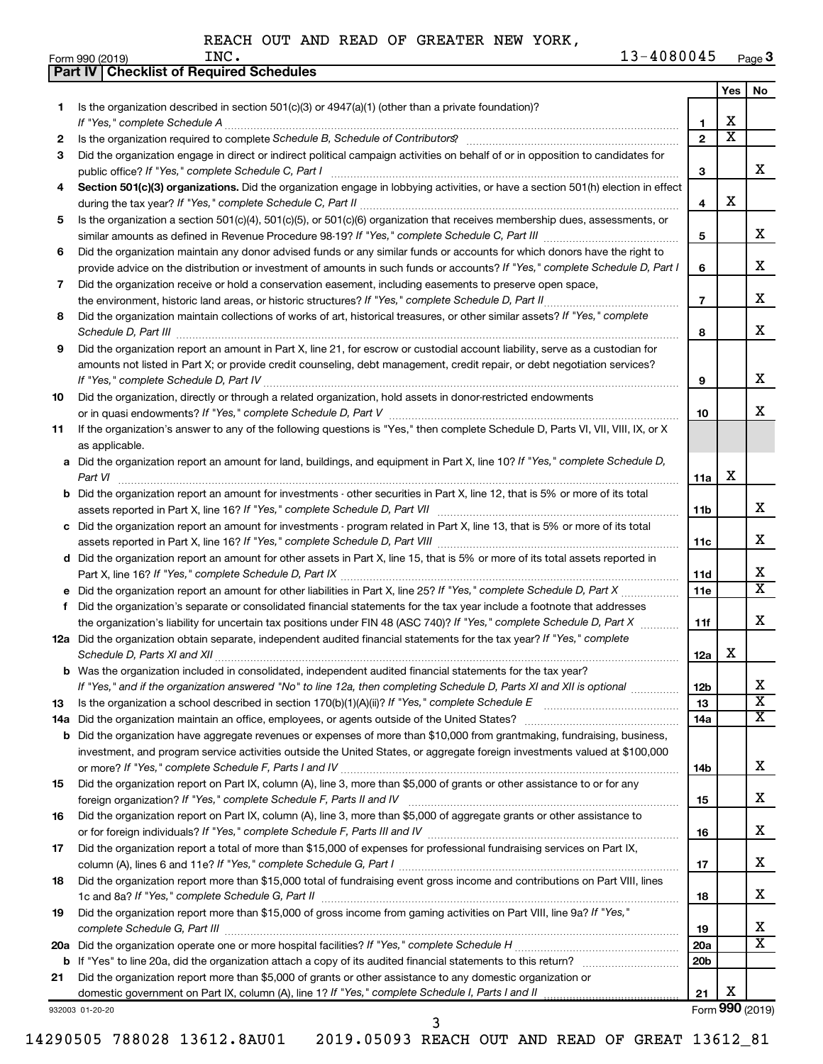|     | <b>Part IV   Checklist of Required Schedules</b>                                                                                                                                                                                   |                 |                         |                             |
|-----|------------------------------------------------------------------------------------------------------------------------------------------------------------------------------------------------------------------------------------|-----------------|-------------------------|-----------------------------|
|     |                                                                                                                                                                                                                                    |                 | Yes                     | No                          |
| 1.  | Is the organization described in section 501(c)(3) or 4947(a)(1) (other than a private foundation)?                                                                                                                                |                 |                         |                             |
|     |                                                                                                                                                                                                                                    | 1               | X                       |                             |
| 2   | Is the organization required to complete Schedule B, Schedule of Contributors? [11] the organization required to complete Schedule B, Schedule of Contributors?                                                                    | $\mathbf{2}$    | $\overline{\mathbf{X}}$ |                             |
| З   | Did the organization engage in direct or indirect political campaign activities on behalf of or in opposition to candidates for                                                                                                    |                 |                         |                             |
|     |                                                                                                                                                                                                                                    | 3               |                         | x                           |
| 4   | Section 501(c)(3) organizations. Did the organization engage in lobbying activities, or have a section 501(h) election in effect                                                                                                   |                 |                         |                             |
|     |                                                                                                                                                                                                                                    | 4               | X                       |                             |
| 5   | Is the organization a section 501(c)(4), 501(c)(5), or 501(c)(6) organization that receives membership dues, assessments, or                                                                                                       |                 |                         |                             |
|     |                                                                                                                                                                                                                                    | 5               |                         | x                           |
| 6   | Did the organization maintain any donor advised funds or any similar funds or accounts for which donors have the right to                                                                                                          |                 |                         |                             |
|     | provide advice on the distribution or investment of amounts in such funds or accounts? If "Yes," complete Schedule D, Part I                                                                                                       | 6               |                         | х                           |
| 7   | Did the organization receive or hold a conservation easement, including easements to preserve open space,                                                                                                                          |                 |                         |                             |
|     |                                                                                                                                                                                                                                    | $\overline{7}$  |                         | х                           |
| 8   | Did the organization maintain collections of works of art, historical treasures, or other similar assets? If "Yes," complete                                                                                                       |                 |                         |                             |
|     |                                                                                                                                                                                                                                    |                 |                         | X                           |
|     | Schedule D, Part III <b>Martin Communication</b> and the Contract of Technical Communication and the Contract of Technical Communication and Communication and Communication and Communication and Communication and Communication | 8               |                         |                             |
| 9   | Did the organization report an amount in Part X, line 21, for escrow or custodial account liability, serve as a custodian for                                                                                                      |                 |                         |                             |
|     | amounts not listed in Part X; or provide credit counseling, debt management, credit repair, or debt negotiation services?                                                                                                          |                 |                         | х                           |
|     |                                                                                                                                                                                                                                    | 9               |                         |                             |
| 10  | Did the organization, directly or through a related organization, hold assets in donor-restricted endowments                                                                                                                       |                 |                         | х                           |
|     |                                                                                                                                                                                                                                    | 10              |                         |                             |
| 11  | If the organization's answer to any of the following questions is "Yes," then complete Schedule D, Parts VI, VII, VIII, IX, or X                                                                                                   |                 |                         |                             |
|     | as applicable.                                                                                                                                                                                                                     |                 |                         |                             |
|     | a Did the organization report an amount for land, buildings, and equipment in Part X, line 10? If "Yes," complete Schedule D,                                                                                                      |                 | х                       |                             |
|     |                                                                                                                                                                                                                                    | 11a             |                         |                             |
|     | <b>b</b> Did the organization report an amount for investments - other securities in Part X, line 12, that is 5% or more of its total                                                                                              |                 |                         |                             |
|     | assets reported in Part X, line 16? If "Yes," complete Schedule D, Part VII [11] [11] [12] [12] [12] [12] [12] [                                                                                                                   | 11b             |                         | x                           |
|     | c Did the organization report an amount for investments - program related in Part X, line 13, that is 5% or more of its total                                                                                                      |                 |                         | х                           |
|     |                                                                                                                                                                                                                                    | 11c             |                         |                             |
|     | d Did the organization report an amount for other assets in Part X, line 15, that is 5% or more of its total assets reported in                                                                                                    | 11d             |                         | х                           |
|     | e Did the organization report an amount for other liabilities in Part X, line 25? If "Yes," complete Schedule D, Part X                                                                                                            | 11e             |                         | $\overline{\texttt{x}}$     |
|     | f Did the organization's separate or consolidated financial statements for the tax year include a footnote that addresses                                                                                                          |                 |                         |                             |
|     | the organization's liability for uncertain tax positions under FIN 48 (ASC 740)? If "Yes," complete Schedule D, Part X                                                                                                             | 11f             |                         | X                           |
|     | 12a Did the organization obtain separate, independent audited financial statements for the tax year? If "Yes," complete                                                                                                            |                 |                         |                             |
|     |                                                                                                                                                                                                                                    | 12a             | х                       |                             |
|     | <b>b</b> Was the organization included in consolidated, independent audited financial statements for the tax year?                                                                                                                 |                 |                         |                             |
|     | If "Yes," and if the organization answered "No" to line 12a, then completing Schedule D, Parts XI and XII is optional <i>manum</i>                                                                                                 | 12 <sub>b</sub> |                         | х                           |
| 13  |                                                                                                                                                                                                                                    | 13              |                         | $\overline{\textbf{x}}$     |
| 14a |                                                                                                                                                                                                                                    | 14a             |                         | $\overline{\textbf{x}}$     |
|     | <b>b</b> Did the organization have aggregate revenues or expenses of more than \$10,000 from grantmaking, fundraising, business,                                                                                                   |                 |                         |                             |
|     | investment, and program service activities outside the United States, or aggregate foreign investments valued at \$100,000                                                                                                         |                 |                         |                             |
|     |                                                                                                                                                                                                                                    | 14b             |                         | х                           |
| 15  | Did the organization report on Part IX, column (A), line 3, more than \$5,000 of grants or other assistance to or for any                                                                                                          |                 |                         |                             |
|     |                                                                                                                                                                                                                                    | 15              |                         | х                           |
| 16  | Did the organization report on Part IX, column (A), line 3, more than \$5,000 of aggregate grants or other assistance to                                                                                                           |                 |                         |                             |
|     |                                                                                                                                                                                                                                    | 16              |                         | х                           |
| 17  | Did the organization report a total of more than \$15,000 of expenses for professional fundraising services on Part IX,                                                                                                            |                 |                         |                             |
|     |                                                                                                                                                                                                                                    | 17              |                         | х                           |
| 18  | Did the organization report more than \$15,000 total of fundraising event gross income and contributions on Part VIII, lines                                                                                                       |                 |                         |                             |
|     |                                                                                                                                                                                                                                    | 18              |                         | х                           |
| 19  | Did the organization report more than \$15,000 of gross income from gaming activities on Part VIII, line 9a? If "Yes,"                                                                                                             |                 |                         |                             |
|     |                                                                                                                                                                                                                                    | 19              |                         | x                           |
|     |                                                                                                                                                                                                                                    | 20a             |                         | $\overline{\textnormal{x}}$ |
| b   |                                                                                                                                                                                                                                    | 20 <sub>b</sub> |                         |                             |
| 21  | Did the organization report more than \$5,000 of grants or other assistance to any domestic organization or                                                                                                                        |                 |                         |                             |
|     | domestic government on Part IX, column (A), line 1? If "Yes," complete Schedule I, Parts I and II                                                                                                                                  | 21              | х                       |                             |
|     | 932003 01-20-20                                                                                                                                                                                                                    |                 |                         | Form 990 (2019)             |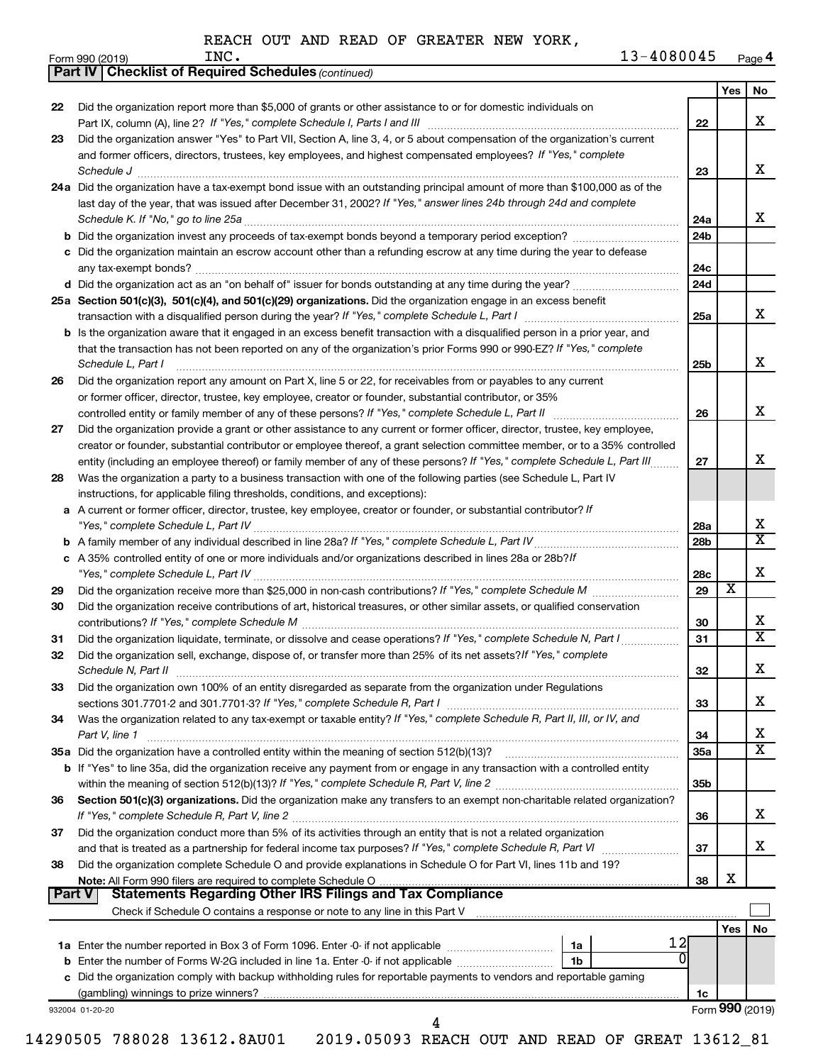|               |                                                                                                                                                                                                                                                                                    |            | Yes                     | No                           |
|---------------|------------------------------------------------------------------------------------------------------------------------------------------------------------------------------------------------------------------------------------------------------------------------------------|------------|-------------------------|------------------------------|
| 22            | Did the organization report more than \$5,000 of grants or other assistance to or for domestic individuals on                                                                                                                                                                      | 22         |                         | х                            |
| 23            | Did the organization answer "Yes" to Part VII, Section A, line 3, 4, or 5 about compensation of the organization's current<br>and former officers, directors, trustees, key employees, and highest compensated employees? If "Yes," complete<br>Schedule J                         | 23         |                         | х                            |
|               | 24a Did the organization have a tax-exempt bond issue with an outstanding principal amount of more than \$100,000 as of the<br>last day of the year, that was issued after December 31, 2002? If "Yes," answer lines 24b through 24d and complete                                  |            |                         |                              |
|               |                                                                                                                                                                                                                                                                                    | 24a        |                         | x                            |
|               |                                                                                                                                                                                                                                                                                    | 24b        |                         |                              |
|               | c Did the organization maintain an escrow account other than a refunding escrow at any time during the year to defease                                                                                                                                                             | 24с        |                         |                              |
|               |                                                                                                                                                                                                                                                                                    | 24d        |                         |                              |
|               | 25a Section 501(c)(3), 501(c)(4), and 501(c)(29) organizations. Did the organization engage in an excess benefit                                                                                                                                                                   | 25a        |                         | x                            |
|               | <b>b</b> Is the organization aware that it engaged in an excess benefit transaction with a disqualified person in a prior year, and<br>that the transaction has not been reported on any of the organization's prior Forms 990 or 990-EZ? If "Yes," complete<br>Schedule L. Part I | 25b        |                         | X                            |
| 26            | Did the organization report any amount on Part X, line 5 or 22, for receivables from or payables to any current                                                                                                                                                                    |            |                         |                              |
|               | or former officer, director, trustee, key employee, creator or founder, substantial contributor, or 35%                                                                                                                                                                            | 26         |                         | X                            |
| 27            | Did the organization provide a grant or other assistance to any current or former officer, director, trustee, key employee,<br>creator or founder, substantial contributor or employee thereof, a grant selection committee member, or to a 35% controlled                         |            |                         |                              |
| 28            | entity (including an employee thereof) or family member of any of these persons? If "Yes," complete Schedule L, Part III<br>Was the organization a party to a business transaction with one of the following parties (see Schedule L, Part IV                                      | 27         |                         | X                            |
|               | instructions, for applicable filing thresholds, conditions, and exceptions):<br>a A current or former officer, director, trustee, key employee, creator or founder, or substantial contributor? If                                                                                 |            |                         |                              |
|               |                                                                                                                                                                                                                                                                                    | 28a        |                         | х<br>$\overline{\mathbf{x}}$ |
|               | c A 35% controlled entity of one or more individuals and/or organizations described in lines 28a or 28b?/f                                                                                                                                                                         | 28b        |                         | X                            |
| 29            |                                                                                                                                                                                                                                                                                    | 28c<br>29  | $\overline{\textbf{x}}$ |                              |
| 30            | Did the organization receive contributions of art, historical treasures, or other similar assets, or qualified conservation                                                                                                                                                        |            |                         | х                            |
| 31            | Did the organization liquidate, terminate, or dissolve and cease operations? If "Yes," complete Schedule N, Part I                                                                                                                                                                 | 30<br>31   |                         | X                            |
| 32            | Did the organization sell, exchange, dispose of, or transfer more than 25% of its net assets? If "Yes," complete                                                                                                                                                                   | 32         |                         | ᅀ                            |
| 33            | Did the organization own 100% of an entity disregarded as separate from the organization under Regulations                                                                                                                                                                         | 33         |                         | x                            |
| 34            | Was the organization related to any tax-exempt or taxable entity? If "Yes," complete Schedule R, Part II, III, or IV, and<br>Part V, line 1                                                                                                                                        | 34         |                         | x                            |
|               |                                                                                                                                                                                                                                                                                    | <b>35a</b> |                         | $\overline{\mathbf{X}}$      |
|               | b If "Yes" to line 35a, did the organization receive any payment from or engage in any transaction with a controlled entity                                                                                                                                                        | 35b        |                         |                              |
| 36            | Section 501(c)(3) organizations. Did the organization make any transfers to an exempt non-charitable related organization?                                                                                                                                                         |            |                         |                              |
|               | Did the organization conduct more than 5% of its activities through an entity that is not a related organization                                                                                                                                                                   | 36         |                         | х                            |
| 37            |                                                                                                                                                                                                                                                                                    | 37         |                         | x                            |
| 38            | Did the organization complete Schedule O and provide explanations in Schedule O for Part VI, lines 11b and 19?                                                                                                                                                                     | 38         | X                       |                              |
| <b>Part V</b> | <b>Statements Regarding Other IRS Filings and Tax Compliance</b>                                                                                                                                                                                                                   |            |                         |                              |
|               |                                                                                                                                                                                                                                                                                    |            | Yes I                   | No                           |
|               | 12                                                                                                                                                                                                                                                                                 |            |                         |                              |
|               | 1 <sub>b</sub>                                                                                                                                                                                                                                                                     |            |                         |                              |
|               | c Did the organization comply with backup withholding rules for reportable payments to vendors and reportable gaming                                                                                                                                                               | 1c         |                         |                              |
|               |                                                                                                                                                                                                                                                                                    |            |                         |                              |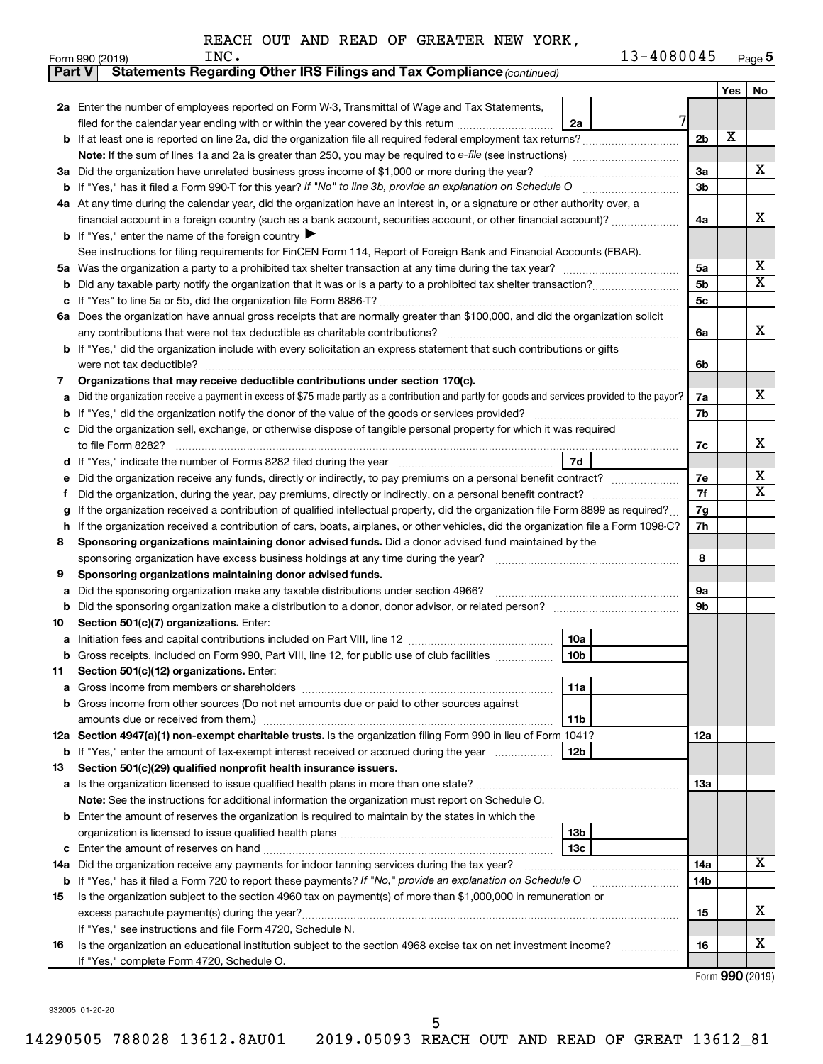| Yes<br>2a Enter the number of employees reported on Form W-3, Transmittal of Wage and Tax Statements,<br>7<br>filed for the calendar year ending with or within the year covered by this return<br>2a<br>X<br>If at least one is reported on line 2a, did the organization file all required federal employment tax returns?<br>2 <sub>b</sub><br>b<br>Note: If the sum of lines 1a and 2a is greater than 250, you may be required to e-file (see instructions) <i></i><br>Did the organization have unrelated business gross income of \$1,000 or more during the year?<br>За<br>За<br>3b<br>b<br>4a At any time during the calendar year, did the organization have an interest in, or a signature or other authority over, a<br>financial account in a foreign country (such as a bank account, securities account, or other financial account)?<br>4a<br><b>b</b> If "Yes," enter the name of the foreign country $\blacktriangleright$<br>See instructions for filing requirements for FinCEN Form 114, Report of Foreign Bank and Financial Accounts (FBAR).<br>5a<br>5a<br>5b<br>b<br>5с<br>6a Does the organization have annual gross receipts that are normally greater than \$100,000, and did the organization solicit<br>any contributions that were not tax deductible as charitable contributions?<br>6a<br>If "Yes," did the organization include with every solicitation an express statement that such contributions or gifts<br>b<br>were not tax deductible?<br>6b<br>Organizations that may receive deductible contributions under section 170(c).<br>7<br>Did the organization receive a payment in excess of \$75 made partly as a contribution and partly for goods and services provided to the payor?<br>7a<br>a<br>7b<br>b<br>Did the organization sell, exchange, or otherwise dispose of tangible personal property for which it was required<br>7c<br>7d<br>d<br>Did the organization receive any funds, directly or indirectly, to pay premiums on a personal benefit contract?<br>7e<br>7f<br>f<br>If the organization received a contribution of qualified intellectual property, did the organization file Form 8899 as required?<br>7g<br>g<br>7h<br>If the organization received a contribution of cars, boats, airplanes, or other vehicles, did the organization file a Form 1098-C?<br>h<br>Sponsoring organizations maintaining donor advised funds. Did a donor advised fund maintained by the<br>8<br>8<br>Sponsoring organizations maintaining donor advised funds.<br>9<br>9а<br>Did the sponsoring organization make any taxable distributions under section 4966?<br>а<br>9b<br>b<br>Section 501(c)(7) organizations. Enter:<br>10<br>10a<br>а<br>Gross receipts, included on Form 990, Part VIII, line 12, for public use of club facilities<br>10b<br>Section 501(c)(12) organizations. Enter:<br>11,<br>11a<br>а<br>Gross income from other sources (Do not net amounts due or paid to other sources against<br>b<br>amounts due or received from them.)<br>11b<br>12a Section 4947(a)(1) non-exempt charitable trusts. Is the organization filing Form 990 in lieu of Form 1041?<br>12a<br><b>b</b> If "Yes," enter the amount of tax-exempt interest received or accrued during the year<br>12b<br>Section 501(c)(29) qualified nonprofit health insurance issuers.<br>13<br>a Is the organization licensed to issue qualified health plans in more than one state?<br>13a<br><b>Note:</b> See the instructions for additional information the organization must report on Schedule O.<br>Enter the amount of reserves the organization is required to maintain by the states in which the<br>b<br>13b<br>13c<br>с<br>14a Did the organization receive any payments for indoor tanning services during the tax year?<br>14a<br><b>b</b> If "Yes," has it filed a Form 720 to report these payments? If "No," provide an explanation on Schedule O<br>14b<br>Is the organization subject to the section 4960 tax on payment(s) of more than \$1,000,000 in remuneration or<br>15<br>excess parachute payment(s) during the year?<br>15<br>If "Yes," see instructions and file Form 4720, Schedule N.<br>Is the organization an educational institution subject to the section 4968 excise tax on net investment income?<br>16<br>16 | <b>Part V</b> | Statements Regarding Other IRS Filings and Tax Compliance (continued) |  |                         |
|---------------------------------------------------------------------------------------------------------------------------------------------------------------------------------------------------------------------------------------------------------------------------------------------------------------------------------------------------------------------------------------------------------------------------------------------------------------------------------------------------------------------------------------------------------------------------------------------------------------------------------------------------------------------------------------------------------------------------------------------------------------------------------------------------------------------------------------------------------------------------------------------------------------------------------------------------------------------------------------------------------------------------------------------------------------------------------------------------------------------------------------------------------------------------------------------------------------------------------------------------------------------------------------------------------------------------------------------------------------------------------------------------------------------------------------------------------------------------------------------------------------------------------------------------------------------------------------------------------------------------------------------------------------------------------------------------------------------------------------------------------------------------------------------------------------------------------------------------------------------------------------------------------------------------------------------------------------------------------------------------------------------------------------------------------------------------------------------------------------------------------------------------------------------------------------------------------------------------------------------------------------------------------------------------------------------------------------------------------------------------------------------------------------------------------------------------------------------------------------------------------------------------------------------------------------------------------------------------------------------------------------------------------------------------------------------------------------------------------------------------------------------------------------------------------------------------------------------------------------------------------------------------------------------------------------------------------------------------------------------------------------------------------------------------------------------------------------------------------------------------------------------------------------------------------------------------------------------------------------------------------------------------------------------------------------------------------------------------------------------------------------------------------------------------------------------------------------------------------------------------------------------------------------------------------------------------------------------------------------------------------------------------------------------------------------------------------------------------------------------------------------------------------------------------------------------------------------------------------------------------------------------------------------------------------------------------------------------------------------------------------------------------------------------------------------------------------------------------------------------------------------------------------------------------------------------------------------------------------------------------------------------------------------|---------------|-----------------------------------------------------------------------|--|-------------------------|
|                                                                                                                                                                                                                                                                                                                                                                                                                                                                                                                                                                                                                                                                                                                                                                                                                                                                                                                                                                                                                                                                                                                                                                                                                                                                                                                                                                                                                                                                                                                                                                                                                                                                                                                                                                                                                                                                                                                                                                                                                                                                                                                                                                                                                                                                                                                                                                                                                                                                                                                                                                                                                                                                                                                                                                                                                                                                                                                                                                                                                                                                                                                                                                                                                                                                                                                                                                                                                                                                                                                                                                                                                                                                                                                                                                                                                                                                                                                                                                                                                                                                                                                                                                                                                                                                                       |               |                                                                       |  | No                      |
|                                                                                                                                                                                                                                                                                                                                                                                                                                                                                                                                                                                                                                                                                                                                                                                                                                                                                                                                                                                                                                                                                                                                                                                                                                                                                                                                                                                                                                                                                                                                                                                                                                                                                                                                                                                                                                                                                                                                                                                                                                                                                                                                                                                                                                                                                                                                                                                                                                                                                                                                                                                                                                                                                                                                                                                                                                                                                                                                                                                                                                                                                                                                                                                                                                                                                                                                                                                                                                                                                                                                                                                                                                                                                                                                                                                                                                                                                                                                                                                                                                                                                                                                                                                                                                                                                       |               |                                                                       |  |                         |
|                                                                                                                                                                                                                                                                                                                                                                                                                                                                                                                                                                                                                                                                                                                                                                                                                                                                                                                                                                                                                                                                                                                                                                                                                                                                                                                                                                                                                                                                                                                                                                                                                                                                                                                                                                                                                                                                                                                                                                                                                                                                                                                                                                                                                                                                                                                                                                                                                                                                                                                                                                                                                                                                                                                                                                                                                                                                                                                                                                                                                                                                                                                                                                                                                                                                                                                                                                                                                                                                                                                                                                                                                                                                                                                                                                                                                                                                                                                                                                                                                                                                                                                                                                                                                                                                                       |               |                                                                       |  |                         |
|                                                                                                                                                                                                                                                                                                                                                                                                                                                                                                                                                                                                                                                                                                                                                                                                                                                                                                                                                                                                                                                                                                                                                                                                                                                                                                                                                                                                                                                                                                                                                                                                                                                                                                                                                                                                                                                                                                                                                                                                                                                                                                                                                                                                                                                                                                                                                                                                                                                                                                                                                                                                                                                                                                                                                                                                                                                                                                                                                                                                                                                                                                                                                                                                                                                                                                                                                                                                                                                                                                                                                                                                                                                                                                                                                                                                                                                                                                                                                                                                                                                                                                                                                                                                                                                                                       |               |                                                                       |  |                         |
|                                                                                                                                                                                                                                                                                                                                                                                                                                                                                                                                                                                                                                                                                                                                                                                                                                                                                                                                                                                                                                                                                                                                                                                                                                                                                                                                                                                                                                                                                                                                                                                                                                                                                                                                                                                                                                                                                                                                                                                                                                                                                                                                                                                                                                                                                                                                                                                                                                                                                                                                                                                                                                                                                                                                                                                                                                                                                                                                                                                                                                                                                                                                                                                                                                                                                                                                                                                                                                                                                                                                                                                                                                                                                                                                                                                                                                                                                                                                                                                                                                                                                                                                                                                                                                                                                       |               |                                                                       |  |                         |
|                                                                                                                                                                                                                                                                                                                                                                                                                                                                                                                                                                                                                                                                                                                                                                                                                                                                                                                                                                                                                                                                                                                                                                                                                                                                                                                                                                                                                                                                                                                                                                                                                                                                                                                                                                                                                                                                                                                                                                                                                                                                                                                                                                                                                                                                                                                                                                                                                                                                                                                                                                                                                                                                                                                                                                                                                                                                                                                                                                                                                                                                                                                                                                                                                                                                                                                                                                                                                                                                                                                                                                                                                                                                                                                                                                                                                                                                                                                                                                                                                                                                                                                                                                                                                                                                                       |               |                                                                       |  | х                       |
|                                                                                                                                                                                                                                                                                                                                                                                                                                                                                                                                                                                                                                                                                                                                                                                                                                                                                                                                                                                                                                                                                                                                                                                                                                                                                                                                                                                                                                                                                                                                                                                                                                                                                                                                                                                                                                                                                                                                                                                                                                                                                                                                                                                                                                                                                                                                                                                                                                                                                                                                                                                                                                                                                                                                                                                                                                                                                                                                                                                                                                                                                                                                                                                                                                                                                                                                                                                                                                                                                                                                                                                                                                                                                                                                                                                                                                                                                                                                                                                                                                                                                                                                                                                                                                                                                       |               |                                                                       |  |                         |
|                                                                                                                                                                                                                                                                                                                                                                                                                                                                                                                                                                                                                                                                                                                                                                                                                                                                                                                                                                                                                                                                                                                                                                                                                                                                                                                                                                                                                                                                                                                                                                                                                                                                                                                                                                                                                                                                                                                                                                                                                                                                                                                                                                                                                                                                                                                                                                                                                                                                                                                                                                                                                                                                                                                                                                                                                                                                                                                                                                                                                                                                                                                                                                                                                                                                                                                                                                                                                                                                                                                                                                                                                                                                                                                                                                                                                                                                                                                                                                                                                                                                                                                                                                                                                                                                                       |               |                                                                       |  |                         |
|                                                                                                                                                                                                                                                                                                                                                                                                                                                                                                                                                                                                                                                                                                                                                                                                                                                                                                                                                                                                                                                                                                                                                                                                                                                                                                                                                                                                                                                                                                                                                                                                                                                                                                                                                                                                                                                                                                                                                                                                                                                                                                                                                                                                                                                                                                                                                                                                                                                                                                                                                                                                                                                                                                                                                                                                                                                                                                                                                                                                                                                                                                                                                                                                                                                                                                                                                                                                                                                                                                                                                                                                                                                                                                                                                                                                                                                                                                                                                                                                                                                                                                                                                                                                                                                                                       |               |                                                                       |  | х                       |
|                                                                                                                                                                                                                                                                                                                                                                                                                                                                                                                                                                                                                                                                                                                                                                                                                                                                                                                                                                                                                                                                                                                                                                                                                                                                                                                                                                                                                                                                                                                                                                                                                                                                                                                                                                                                                                                                                                                                                                                                                                                                                                                                                                                                                                                                                                                                                                                                                                                                                                                                                                                                                                                                                                                                                                                                                                                                                                                                                                                                                                                                                                                                                                                                                                                                                                                                                                                                                                                                                                                                                                                                                                                                                                                                                                                                                                                                                                                                                                                                                                                                                                                                                                                                                                                                                       |               |                                                                       |  |                         |
|                                                                                                                                                                                                                                                                                                                                                                                                                                                                                                                                                                                                                                                                                                                                                                                                                                                                                                                                                                                                                                                                                                                                                                                                                                                                                                                                                                                                                                                                                                                                                                                                                                                                                                                                                                                                                                                                                                                                                                                                                                                                                                                                                                                                                                                                                                                                                                                                                                                                                                                                                                                                                                                                                                                                                                                                                                                                                                                                                                                                                                                                                                                                                                                                                                                                                                                                                                                                                                                                                                                                                                                                                                                                                                                                                                                                                                                                                                                                                                                                                                                                                                                                                                                                                                                                                       |               |                                                                       |  |                         |
|                                                                                                                                                                                                                                                                                                                                                                                                                                                                                                                                                                                                                                                                                                                                                                                                                                                                                                                                                                                                                                                                                                                                                                                                                                                                                                                                                                                                                                                                                                                                                                                                                                                                                                                                                                                                                                                                                                                                                                                                                                                                                                                                                                                                                                                                                                                                                                                                                                                                                                                                                                                                                                                                                                                                                                                                                                                                                                                                                                                                                                                                                                                                                                                                                                                                                                                                                                                                                                                                                                                                                                                                                                                                                                                                                                                                                                                                                                                                                                                                                                                                                                                                                                                                                                                                                       |               |                                                                       |  | х                       |
|                                                                                                                                                                                                                                                                                                                                                                                                                                                                                                                                                                                                                                                                                                                                                                                                                                                                                                                                                                                                                                                                                                                                                                                                                                                                                                                                                                                                                                                                                                                                                                                                                                                                                                                                                                                                                                                                                                                                                                                                                                                                                                                                                                                                                                                                                                                                                                                                                                                                                                                                                                                                                                                                                                                                                                                                                                                                                                                                                                                                                                                                                                                                                                                                                                                                                                                                                                                                                                                                                                                                                                                                                                                                                                                                                                                                                                                                                                                                                                                                                                                                                                                                                                                                                                                                                       |               |                                                                       |  | $\overline{\mathbf{X}}$ |
|                                                                                                                                                                                                                                                                                                                                                                                                                                                                                                                                                                                                                                                                                                                                                                                                                                                                                                                                                                                                                                                                                                                                                                                                                                                                                                                                                                                                                                                                                                                                                                                                                                                                                                                                                                                                                                                                                                                                                                                                                                                                                                                                                                                                                                                                                                                                                                                                                                                                                                                                                                                                                                                                                                                                                                                                                                                                                                                                                                                                                                                                                                                                                                                                                                                                                                                                                                                                                                                                                                                                                                                                                                                                                                                                                                                                                                                                                                                                                                                                                                                                                                                                                                                                                                                                                       |               |                                                                       |  |                         |
|                                                                                                                                                                                                                                                                                                                                                                                                                                                                                                                                                                                                                                                                                                                                                                                                                                                                                                                                                                                                                                                                                                                                                                                                                                                                                                                                                                                                                                                                                                                                                                                                                                                                                                                                                                                                                                                                                                                                                                                                                                                                                                                                                                                                                                                                                                                                                                                                                                                                                                                                                                                                                                                                                                                                                                                                                                                                                                                                                                                                                                                                                                                                                                                                                                                                                                                                                                                                                                                                                                                                                                                                                                                                                                                                                                                                                                                                                                                                                                                                                                                                                                                                                                                                                                                                                       |               |                                                                       |  |                         |
|                                                                                                                                                                                                                                                                                                                                                                                                                                                                                                                                                                                                                                                                                                                                                                                                                                                                                                                                                                                                                                                                                                                                                                                                                                                                                                                                                                                                                                                                                                                                                                                                                                                                                                                                                                                                                                                                                                                                                                                                                                                                                                                                                                                                                                                                                                                                                                                                                                                                                                                                                                                                                                                                                                                                                                                                                                                                                                                                                                                                                                                                                                                                                                                                                                                                                                                                                                                                                                                                                                                                                                                                                                                                                                                                                                                                                                                                                                                                                                                                                                                                                                                                                                                                                                                                                       |               |                                                                       |  | x                       |
|                                                                                                                                                                                                                                                                                                                                                                                                                                                                                                                                                                                                                                                                                                                                                                                                                                                                                                                                                                                                                                                                                                                                                                                                                                                                                                                                                                                                                                                                                                                                                                                                                                                                                                                                                                                                                                                                                                                                                                                                                                                                                                                                                                                                                                                                                                                                                                                                                                                                                                                                                                                                                                                                                                                                                                                                                                                                                                                                                                                                                                                                                                                                                                                                                                                                                                                                                                                                                                                                                                                                                                                                                                                                                                                                                                                                                                                                                                                                                                                                                                                                                                                                                                                                                                                                                       |               |                                                                       |  |                         |
|                                                                                                                                                                                                                                                                                                                                                                                                                                                                                                                                                                                                                                                                                                                                                                                                                                                                                                                                                                                                                                                                                                                                                                                                                                                                                                                                                                                                                                                                                                                                                                                                                                                                                                                                                                                                                                                                                                                                                                                                                                                                                                                                                                                                                                                                                                                                                                                                                                                                                                                                                                                                                                                                                                                                                                                                                                                                                                                                                                                                                                                                                                                                                                                                                                                                                                                                                                                                                                                                                                                                                                                                                                                                                                                                                                                                                                                                                                                                                                                                                                                                                                                                                                                                                                                                                       |               |                                                                       |  |                         |
|                                                                                                                                                                                                                                                                                                                                                                                                                                                                                                                                                                                                                                                                                                                                                                                                                                                                                                                                                                                                                                                                                                                                                                                                                                                                                                                                                                                                                                                                                                                                                                                                                                                                                                                                                                                                                                                                                                                                                                                                                                                                                                                                                                                                                                                                                                                                                                                                                                                                                                                                                                                                                                                                                                                                                                                                                                                                                                                                                                                                                                                                                                                                                                                                                                                                                                                                                                                                                                                                                                                                                                                                                                                                                                                                                                                                                                                                                                                                                                                                                                                                                                                                                                                                                                                                                       |               |                                                                       |  |                         |
|                                                                                                                                                                                                                                                                                                                                                                                                                                                                                                                                                                                                                                                                                                                                                                                                                                                                                                                                                                                                                                                                                                                                                                                                                                                                                                                                                                                                                                                                                                                                                                                                                                                                                                                                                                                                                                                                                                                                                                                                                                                                                                                                                                                                                                                                                                                                                                                                                                                                                                                                                                                                                                                                                                                                                                                                                                                                                                                                                                                                                                                                                                                                                                                                                                                                                                                                                                                                                                                                                                                                                                                                                                                                                                                                                                                                                                                                                                                                                                                                                                                                                                                                                                                                                                                                                       |               |                                                                       |  | x                       |
|                                                                                                                                                                                                                                                                                                                                                                                                                                                                                                                                                                                                                                                                                                                                                                                                                                                                                                                                                                                                                                                                                                                                                                                                                                                                                                                                                                                                                                                                                                                                                                                                                                                                                                                                                                                                                                                                                                                                                                                                                                                                                                                                                                                                                                                                                                                                                                                                                                                                                                                                                                                                                                                                                                                                                                                                                                                                                                                                                                                                                                                                                                                                                                                                                                                                                                                                                                                                                                                                                                                                                                                                                                                                                                                                                                                                                                                                                                                                                                                                                                                                                                                                                                                                                                                                                       |               |                                                                       |  |                         |
|                                                                                                                                                                                                                                                                                                                                                                                                                                                                                                                                                                                                                                                                                                                                                                                                                                                                                                                                                                                                                                                                                                                                                                                                                                                                                                                                                                                                                                                                                                                                                                                                                                                                                                                                                                                                                                                                                                                                                                                                                                                                                                                                                                                                                                                                                                                                                                                                                                                                                                                                                                                                                                                                                                                                                                                                                                                                                                                                                                                                                                                                                                                                                                                                                                                                                                                                                                                                                                                                                                                                                                                                                                                                                                                                                                                                                                                                                                                                                                                                                                                                                                                                                                                                                                                                                       |               |                                                                       |  |                         |
|                                                                                                                                                                                                                                                                                                                                                                                                                                                                                                                                                                                                                                                                                                                                                                                                                                                                                                                                                                                                                                                                                                                                                                                                                                                                                                                                                                                                                                                                                                                                                                                                                                                                                                                                                                                                                                                                                                                                                                                                                                                                                                                                                                                                                                                                                                                                                                                                                                                                                                                                                                                                                                                                                                                                                                                                                                                                                                                                                                                                                                                                                                                                                                                                                                                                                                                                                                                                                                                                                                                                                                                                                                                                                                                                                                                                                                                                                                                                                                                                                                                                                                                                                                                                                                                                                       |               |                                                                       |  | х                       |
|                                                                                                                                                                                                                                                                                                                                                                                                                                                                                                                                                                                                                                                                                                                                                                                                                                                                                                                                                                                                                                                                                                                                                                                                                                                                                                                                                                                                                                                                                                                                                                                                                                                                                                                                                                                                                                                                                                                                                                                                                                                                                                                                                                                                                                                                                                                                                                                                                                                                                                                                                                                                                                                                                                                                                                                                                                                                                                                                                                                                                                                                                                                                                                                                                                                                                                                                                                                                                                                                                                                                                                                                                                                                                                                                                                                                                                                                                                                                                                                                                                                                                                                                                                                                                                                                                       |               |                                                                       |  |                         |
|                                                                                                                                                                                                                                                                                                                                                                                                                                                                                                                                                                                                                                                                                                                                                                                                                                                                                                                                                                                                                                                                                                                                                                                                                                                                                                                                                                                                                                                                                                                                                                                                                                                                                                                                                                                                                                                                                                                                                                                                                                                                                                                                                                                                                                                                                                                                                                                                                                                                                                                                                                                                                                                                                                                                                                                                                                                                                                                                                                                                                                                                                                                                                                                                                                                                                                                                                                                                                                                                                                                                                                                                                                                                                                                                                                                                                                                                                                                                                                                                                                                                                                                                                                                                                                                                                       |               |                                                                       |  | х                       |
|                                                                                                                                                                                                                                                                                                                                                                                                                                                                                                                                                                                                                                                                                                                                                                                                                                                                                                                                                                                                                                                                                                                                                                                                                                                                                                                                                                                                                                                                                                                                                                                                                                                                                                                                                                                                                                                                                                                                                                                                                                                                                                                                                                                                                                                                                                                                                                                                                                                                                                                                                                                                                                                                                                                                                                                                                                                                                                                                                                                                                                                                                                                                                                                                                                                                                                                                                                                                                                                                                                                                                                                                                                                                                                                                                                                                                                                                                                                                                                                                                                                                                                                                                                                                                                                                                       |               |                                                                       |  | $\overline{\mathbf{X}}$ |
|                                                                                                                                                                                                                                                                                                                                                                                                                                                                                                                                                                                                                                                                                                                                                                                                                                                                                                                                                                                                                                                                                                                                                                                                                                                                                                                                                                                                                                                                                                                                                                                                                                                                                                                                                                                                                                                                                                                                                                                                                                                                                                                                                                                                                                                                                                                                                                                                                                                                                                                                                                                                                                                                                                                                                                                                                                                                                                                                                                                                                                                                                                                                                                                                                                                                                                                                                                                                                                                                                                                                                                                                                                                                                                                                                                                                                                                                                                                                                                                                                                                                                                                                                                                                                                                                                       |               |                                                                       |  |                         |
|                                                                                                                                                                                                                                                                                                                                                                                                                                                                                                                                                                                                                                                                                                                                                                                                                                                                                                                                                                                                                                                                                                                                                                                                                                                                                                                                                                                                                                                                                                                                                                                                                                                                                                                                                                                                                                                                                                                                                                                                                                                                                                                                                                                                                                                                                                                                                                                                                                                                                                                                                                                                                                                                                                                                                                                                                                                                                                                                                                                                                                                                                                                                                                                                                                                                                                                                                                                                                                                                                                                                                                                                                                                                                                                                                                                                                                                                                                                                                                                                                                                                                                                                                                                                                                                                                       |               |                                                                       |  |                         |
|                                                                                                                                                                                                                                                                                                                                                                                                                                                                                                                                                                                                                                                                                                                                                                                                                                                                                                                                                                                                                                                                                                                                                                                                                                                                                                                                                                                                                                                                                                                                                                                                                                                                                                                                                                                                                                                                                                                                                                                                                                                                                                                                                                                                                                                                                                                                                                                                                                                                                                                                                                                                                                                                                                                                                                                                                                                                                                                                                                                                                                                                                                                                                                                                                                                                                                                                                                                                                                                                                                                                                                                                                                                                                                                                                                                                                                                                                                                                                                                                                                                                                                                                                                                                                                                                                       |               |                                                                       |  |                         |
|                                                                                                                                                                                                                                                                                                                                                                                                                                                                                                                                                                                                                                                                                                                                                                                                                                                                                                                                                                                                                                                                                                                                                                                                                                                                                                                                                                                                                                                                                                                                                                                                                                                                                                                                                                                                                                                                                                                                                                                                                                                                                                                                                                                                                                                                                                                                                                                                                                                                                                                                                                                                                                                                                                                                                                                                                                                                                                                                                                                                                                                                                                                                                                                                                                                                                                                                                                                                                                                                                                                                                                                                                                                                                                                                                                                                                                                                                                                                                                                                                                                                                                                                                                                                                                                                                       |               |                                                                       |  |                         |
|                                                                                                                                                                                                                                                                                                                                                                                                                                                                                                                                                                                                                                                                                                                                                                                                                                                                                                                                                                                                                                                                                                                                                                                                                                                                                                                                                                                                                                                                                                                                                                                                                                                                                                                                                                                                                                                                                                                                                                                                                                                                                                                                                                                                                                                                                                                                                                                                                                                                                                                                                                                                                                                                                                                                                                                                                                                                                                                                                                                                                                                                                                                                                                                                                                                                                                                                                                                                                                                                                                                                                                                                                                                                                                                                                                                                                                                                                                                                                                                                                                                                                                                                                                                                                                                                                       |               |                                                                       |  |                         |
|                                                                                                                                                                                                                                                                                                                                                                                                                                                                                                                                                                                                                                                                                                                                                                                                                                                                                                                                                                                                                                                                                                                                                                                                                                                                                                                                                                                                                                                                                                                                                                                                                                                                                                                                                                                                                                                                                                                                                                                                                                                                                                                                                                                                                                                                                                                                                                                                                                                                                                                                                                                                                                                                                                                                                                                                                                                                                                                                                                                                                                                                                                                                                                                                                                                                                                                                                                                                                                                                                                                                                                                                                                                                                                                                                                                                                                                                                                                                                                                                                                                                                                                                                                                                                                                                                       |               |                                                                       |  |                         |
|                                                                                                                                                                                                                                                                                                                                                                                                                                                                                                                                                                                                                                                                                                                                                                                                                                                                                                                                                                                                                                                                                                                                                                                                                                                                                                                                                                                                                                                                                                                                                                                                                                                                                                                                                                                                                                                                                                                                                                                                                                                                                                                                                                                                                                                                                                                                                                                                                                                                                                                                                                                                                                                                                                                                                                                                                                                                                                                                                                                                                                                                                                                                                                                                                                                                                                                                                                                                                                                                                                                                                                                                                                                                                                                                                                                                                                                                                                                                                                                                                                                                                                                                                                                                                                                                                       |               |                                                                       |  |                         |
|                                                                                                                                                                                                                                                                                                                                                                                                                                                                                                                                                                                                                                                                                                                                                                                                                                                                                                                                                                                                                                                                                                                                                                                                                                                                                                                                                                                                                                                                                                                                                                                                                                                                                                                                                                                                                                                                                                                                                                                                                                                                                                                                                                                                                                                                                                                                                                                                                                                                                                                                                                                                                                                                                                                                                                                                                                                                                                                                                                                                                                                                                                                                                                                                                                                                                                                                                                                                                                                                                                                                                                                                                                                                                                                                                                                                                                                                                                                                                                                                                                                                                                                                                                                                                                                                                       |               |                                                                       |  |                         |
|                                                                                                                                                                                                                                                                                                                                                                                                                                                                                                                                                                                                                                                                                                                                                                                                                                                                                                                                                                                                                                                                                                                                                                                                                                                                                                                                                                                                                                                                                                                                                                                                                                                                                                                                                                                                                                                                                                                                                                                                                                                                                                                                                                                                                                                                                                                                                                                                                                                                                                                                                                                                                                                                                                                                                                                                                                                                                                                                                                                                                                                                                                                                                                                                                                                                                                                                                                                                                                                                                                                                                                                                                                                                                                                                                                                                                                                                                                                                                                                                                                                                                                                                                                                                                                                                                       |               |                                                                       |  |                         |
|                                                                                                                                                                                                                                                                                                                                                                                                                                                                                                                                                                                                                                                                                                                                                                                                                                                                                                                                                                                                                                                                                                                                                                                                                                                                                                                                                                                                                                                                                                                                                                                                                                                                                                                                                                                                                                                                                                                                                                                                                                                                                                                                                                                                                                                                                                                                                                                                                                                                                                                                                                                                                                                                                                                                                                                                                                                                                                                                                                                                                                                                                                                                                                                                                                                                                                                                                                                                                                                                                                                                                                                                                                                                                                                                                                                                                                                                                                                                                                                                                                                                                                                                                                                                                                                                                       |               |                                                                       |  |                         |
|                                                                                                                                                                                                                                                                                                                                                                                                                                                                                                                                                                                                                                                                                                                                                                                                                                                                                                                                                                                                                                                                                                                                                                                                                                                                                                                                                                                                                                                                                                                                                                                                                                                                                                                                                                                                                                                                                                                                                                                                                                                                                                                                                                                                                                                                                                                                                                                                                                                                                                                                                                                                                                                                                                                                                                                                                                                                                                                                                                                                                                                                                                                                                                                                                                                                                                                                                                                                                                                                                                                                                                                                                                                                                                                                                                                                                                                                                                                                                                                                                                                                                                                                                                                                                                                                                       |               |                                                                       |  |                         |
|                                                                                                                                                                                                                                                                                                                                                                                                                                                                                                                                                                                                                                                                                                                                                                                                                                                                                                                                                                                                                                                                                                                                                                                                                                                                                                                                                                                                                                                                                                                                                                                                                                                                                                                                                                                                                                                                                                                                                                                                                                                                                                                                                                                                                                                                                                                                                                                                                                                                                                                                                                                                                                                                                                                                                                                                                                                                                                                                                                                                                                                                                                                                                                                                                                                                                                                                                                                                                                                                                                                                                                                                                                                                                                                                                                                                                                                                                                                                                                                                                                                                                                                                                                                                                                                                                       |               |                                                                       |  |                         |
|                                                                                                                                                                                                                                                                                                                                                                                                                                                                                                                                                                                                                                                                                                                                                                                                                                                                                                                                                                                                                                                                                                                                                                                                                                                                                                                                                                                                                                                                                                                                                                                                                                                                                                                                                                                                                                                                                                                                                                                                                                                                                                                                                                                                                                                                                                                                                                                                                                                                                                                                                                                                                                                                                                                                                                                                                                                                                                                                                                                                                                                                                                                                                                                                                                                                                                                                                                                                                                                                                                                                                                                                                                                                                                                                                                                                                                                                                                                                                                                                                                                                                                                                                                                                                                                                                       |               |                                                                       |  |                         |
|                                                                                                                                                                                                                                                                                                                                                                                                                                                                                                                                                                                                                                                                                                                                                                                                                                                                                                                                                                                                                                                                                                                                                                                                                                                                                                                                                                                                                                                                                                                                                                                                                                                                                                                                                                                                                                                                                                                                                                                                                                                                                                                                                                                                                                                                                                                                                                                                                                                                                                                                                                                                                                                                                                                                                                                                                                                                                                                                                                                                                                                                                                                                                                                                                                                                                                                                                                                                                                                                                                                                                                                                                                                                                                                                                                                                                                                                                                                                                                                                                                                                                                                                                                                                                                                                                       |               |                                                                       |  |                         |
|                                                                                                                                                                                                                                                                                                                                                                                                                                                                                                                                                                                                                                                                                                                                                                                                                                                                                                                                                                                                                                                                                                                                                                                                                                                                                                                                                                                                                                                                                                                                                                                                                                                                                                                                                                                                                                                                                                                                                                                                                                                                                                                                                                                                                                                                                                                                                                                                                                                                                                                                                                                                                                                                                                                                                                                                                                                                                                                                                                                                                                                                                                                                                                                                                                                                                                                                                                                                                                                                                                                                                                                                                                                                                                                                                                                                                                                                                                                                                                                                                                                                                                                                                                                                                                                                                       |               |                                                                       |  |                         |
|                                                                                                                                                                                                                                                                                                                                                                                                                                                                                                                                                                                                                                                                                                                                                                                                                                                                                                                                                                                                                                                                                                                                                                                                                                                                                                                                                                                                                                                                                                                                                                                                                                                                                                                                                                                                                                                                                                                                                                                                                                                                                                                                                                                                                                                                                                                                                                                                                                                                                                                                                                                                                                                                                                                                                                                                                                                                                                                                                                                                                                                                                                                                                                                                                                                                                                                                                                                                                                                                                                                                                                                                                                                                                                                                                                                                                                                                                                                                                                                                                                                                                                                                                                                                                                                                                       |               |                                                                       |  |                         |
|                                                                                                                                                                                                                                                                                                                                                                                                                                                                                                                                                                                                                                                                                                                                                                                                                                                                                                                                                                                                                                                                                                                                                                                                                                                                                                                                                                                                                                                                                                                                                                                                                                                                                                                                                                                                                                                                                                                                                                                                                                                                                                                                                                                                                                                                                                                                                                                                                                                                                                                                                                                                                                                                                                                                                                                                                                                                                                                                                                                                                                                                                                                                                                                                                                                                                                                                                                                                                                                                                                                                                                                                                                                                                                                                                                                                                                                                                                                                                                                                                                                                                                                                                                                                                                                                                       |               |                                                                       |  |                         |
|                                                                                                                                                                                                                                                                                                                                                                                                                                                                                                                                                                                                                                                                                                                                                                                                                                                                                                                                                                                                                                                                                                                                                                                                                                                                                                                                                                                                                                                                                                                                                                                                                                                                                                                                                                                                                                                                                                                                                                                                                                                                                                                                                                                                                                                                                                                                                                                                                                                                                                                                                                                                                                                                                                                                                                                                                                                                                                                                                                                                                                                                                                                                                                                                                                                                                                                                                                                                                                                                                                                                                                                                                                                                                                                                                                                                                                                                                                                                                                                                                                                                                                                                                                                                                                                                                       |               |                                                                       |  |                         |
|                                                                                                                                                                                                                                                                                                                                                                                                                                                                                                                                                                                                                                                                                                                                                                                                                                                                                                                                                                                                                                                                                                                                                                                                                                                                                                                                                                                                                                                                                                                                                                                                                                                                                                                                                                                                                                                                                                                                                                                                                                                                                                                                                                                                                                                                                                                                                                                                                                                                                                                                                                                                                                                                                                                                                                                                                                                                                                                                                                                                                                                                                                                                                                                                                                                                                                                                                                                                                                                                                                                                                                                                                                                                                                                                                                                                                                                                                                                                                                                                                                                                                                                                                                                                                                                                                       |               |                                                                       |  |                         |
|                                                                                                                                                                                                                                                                                                                                                                                                                                                                                                                                                                                                                                                                                                                                                                                                                                                                                                                                                                                                                                                                                                                                                                                                                                                                                                                                                                                                                                                                                                                                                                                                                                                                                                                                                                                                                                                                                                                                                                                                                                                                                                                                                                                                                                                                                                                                                                                                                                                                                                                                                                                                                                                                                                                                                                                                                                                                                                                                                                                                                                                                                                                                                                                                                                                                                                                                                                                                                                                                                                                                                                                                                                                                                                                                                                                                                                                                                                                                                                                                                                                                                                                                                                                                                                                                                       |               |                                                                       |  |                         |
|                                                                                                                                                                                                                                                                                                                                                                                                                                                                                                                                                                                                                                                                                                                                                                                                                                                                                                                                                                                                                                                                                                                                                                                                                                                                                                                                                                                                                                                                                                                                                                                                                                                                                                                                                                                                                                                                                                                                                                                                                                                                                                                                                                                                                                                                                                                                                                                                                                                                                                                                                                                                                                                                                                                                                                                                                                                                                                                                                                                                                                                                                                                                                                                                                                                                                                                                                                                                                                                                                                                                                                                                                                                                                                                                                                                                                                                                                                                                                                                                                                                                                                                                                                                                                                                                                       |               |                                                                       |  |                         |
|                                                                                                                                                                                                                                                                                                                                                                                                                                                                                                                                                                                                                                                                                                                                                                                                                                                                                                                                                                                                                                                                                                                                                                                                                                                                                                                                                                                                                                                                                                                                                                                                                                                                                                                                                                                                                                                                                                                                                                                                                                                                                                                                                                                                                                                                                                                                                                                                                                                                                                                                                                                                                                                                                                                                                                                                                                                                                                                                                                                                                                                                                                                                                                                                                                                                                                                                                                                                                                                                                                                                                                                                                                                                                                                                                                                                                                                                                                                                                                                                                                                                                                                                                                                                                                                                                       |               |                                                                       |  | $\overline{\mathbf{X}}$ |
|                                                                                                                                                                                                                                                                                                                                                                                                                                                                                                                                                                                                                                                                                                                                                                                                                                                                                                                                                                                                                                                                                                                                                                                                                                                                                                                                                                                                                                                                                                                                                                                                                                                                                                                                                                                                                                                                                                                                                                                                                                                                                                                                                                                                                                                                                                                                                                                                                                                                                                                                                                                                                                                                                                                                                                                                                                                                                                                                                                                                                                                                                                                                                                                                                                                                                                                                                                                                                                                                                                                                                                                                                                                                                                                                                                                                                                                                                                                                                                                                                                                                                                                                                                                                                                                                                       |               |                                                                       |  |                         |
|                                                                                                                                                                                                                                                                                                                                                                                                                                                                                                                                                                                                                                                                                                                                                                                                                                                                                                                                                                                                                                                                                                                                                                                                                                                                                                                                                                                                                                                                                                                                                                                                                                                                                                                                                                                                                                                                                                                                                                                                                                                                                                                                                                                                                                                                                                                                                                                                                                                                                                                                                                                                                                                                                                                                                                                                                                                                                                                                                                                                                                                                                                                                                                                                                                                                                                                                                                                                                                                                                                                                                                                                                                                                                                                                                                                                                                                                                                                                                                                                                                                                                                                                                                                                                                                                                       |               |                                                                       |  |                         |
|                                                                                                                                                                                                                                                                                                                                                                                                                                                                                                                                                                                                                                                                                                                                                                                                                                                                                                                                                                                                                                                                                                                                                                                                                                                                                                                                                                                                                                                                                                                                                                                                                                                                                                                                                                                                                                                                                                                                                                                                                                                                                                                                                                                                                                                                                                                                                                                                                                                                                                                                                                                                                                                                                                                                                                                                                                                                                                                                                                                                                                                                                                                                                                                                                                                                                                                                                                                                                                                                                                                                                                                                                                                                                                                                                                                                                                                                                                                                                                                                                                                                                                                                                                                                                                                                                       |               |                                                                       |  | х                       |
|                                                                                                                                                                                                                                                                                                                                                                                                                                                                                                                                                                                                                                                                                                                                                                                                                                                                                                                                                                                                                                                                                                                                                                                                                                                                                                                                                                                                                                                                                                                                                                                                                                                                                                                                                                                                                                                                                                                                                                                                                                                                                                                                                                                                                                                                                                                                                                                                                                                                                                                                                                                                                                                                                                                                                                                                                                                                                                                                                                                                                                                                                                                                                                                                                                                                                                                                                                                                                                                                                                                                                                                                                                                                                                                                                                                                                                                                                                                                                                                                                                                                                                                                                                                                                                                                                       |               |                                                                       |  |                         |
|                                                                                                                                                                                                                                                                                                                                                                                                                                                                                                                                                                                                                                                                                                                                                                                                                                                                                                                                                                                                                                                                                                                                                                                                                                                                                                                                                                                                                                                                                                                                                                                                                                                                                                                                                                                                                                                                                                                                                                                                                                                                                                                                                                                                                                                                                                                                                                                                                                                                                                                                                                                                                                                                                                                                                                                                                                                                                                                                                                                                                                                                                                                                                                                                                                                                                                                                                                                                                                                                                                                                                                                                                                                                                                                                                                                                                                                                                                                                                                                                                                                                                                                                                                                                                                                                                       |               |                                                                       |  | x                       |
|                                                                                                                                                                                                                                                                                                                                                                                                                                                                                                                                                                                                                                                                                                                                                                                                                                                                                                                                                                                                                                                                                                                                                                                                                                                                                                                                                                                                                                                                                                                                                                                                                                                                                                                                                                                                                                                                                                                                                                                                                                                                                                                                                                                                                                                                                                                                                                                                                                                                                                                                                                                                                                                                                                                                                                                                                                                                                                                                                                                                                                                                                                                                                                                                                                                                                                                                                                                                                                                                                                                                                                                                                                                                                                                                                                                                                                                                                                                                                                                                                                                                                                                                                                                                                                                                                       |               | If "Yes," complete Form 4720, Schedule O.                             |  |                         |

Form (2019) **990**

932005 01-20-20

l,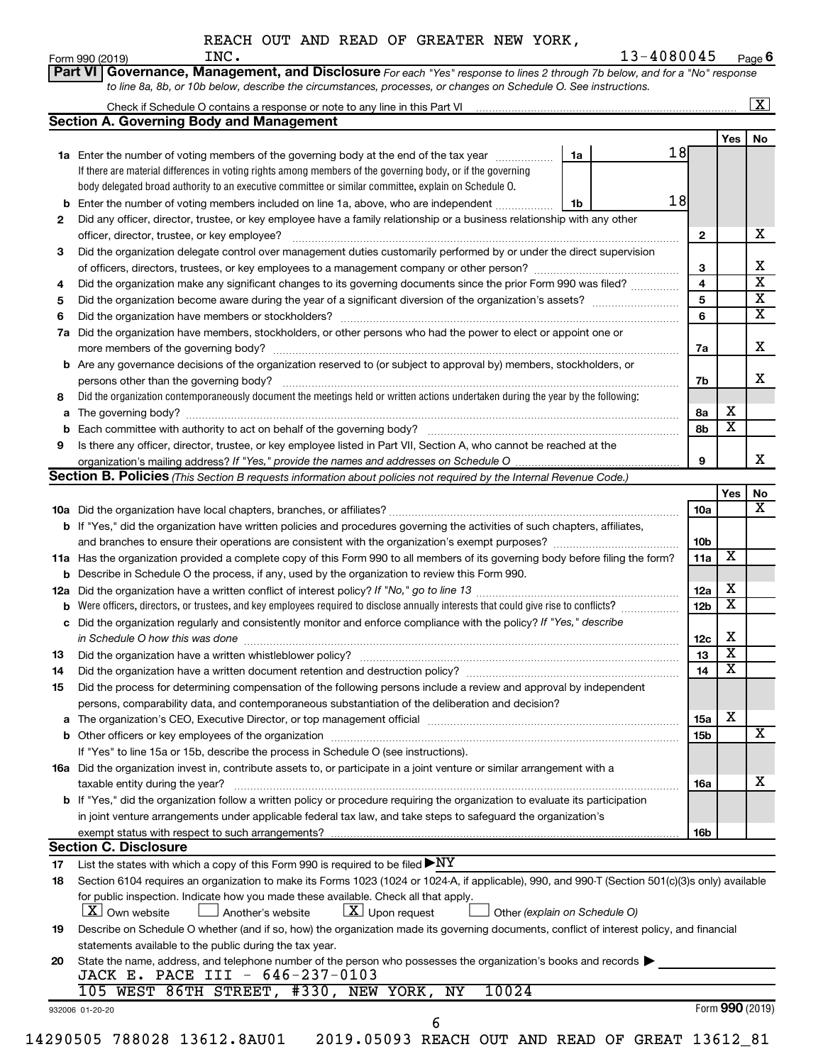|  |  |  |  |  |  | REACH OUT AND READ OF GREATER NEW YORK, |  |  |
|--|--|--|--|--|--|-----------------------------------------|--|--|
|--|--|--|--|--|--|-----------------------------------------|--|--|

|     | <b>Section A. Governing Body and Management</b>                                                                                                  |    |    |                         |                         | $\boxed{\textbf{X}}$ |
|-----|--------------------------------------------------------------------------------------------------------------------------------------------------|----|----|-------------------------|-------------------------|----------------------|
|     |                                                                                                                                                  |    |    |                         | Yes                     | No                   |
|     | 1a Enter the number of voting members of the governing body at the end of the tax year                                                           | 1a | 18 |                         |                         |                      |
|     | If there are material differences in voting rights among members of the governing body, or if the governing                                      |    |    |                         |                         |                      |
|     | body delegated broad authority to an executive committee or similar committee, explain on Schedule O.                                            |    |    |                         |                         |                      |
|     | <b>b</b> Enter the number of voting members included on line 1a, above, who are independent                                                      | 1b | 18 |                         |                         |                      |
| 2   | Did any officer, director, trustee, or key employee have a family relationship or a business relationship with any other                         |    |    |                         |                         |                      |
|     | officer, director, trustee, or key employee?                                                                                                     |    |    | $\mathbf{2}$            |                         |                      |
| 3   | Did the organization delegate control over management duties customarily performed by or under the direct supervision                            |    |    |                         |                         |                      |
|     |                                                                                                                                                  |    |    | 3                       |                         |                      |
|     |                                                                                                                                                  |    |    | $\overline{\mathbf{4}}$ |                         |                      |
| 4   | Did the organization make any significant changes to its governing documents since the prior Form 990 was filed?                                 |    |    | 5                       |                         |                      |
| 5   |                                                                                                                                                  |    |    | 6                       |                         |                      |
| 6   |                                                                                                                                                  |    |    |                         |                         |                      |
| 7a  | Did the organization have members, stockholders, or other persons who had the power to elect or appoint one or                                   |    |    |                         |                         |                      |
|     |                                                                                                                                                  |    |    | 7a                      |                         |                      |
|     | <b>b</b> Are any governance decisions of the organization reserved to (or subject to approval by) members, stockholders, or                      |    |    |                         |                         |                      |
|     | persons other than the governing body?                                                                                                           |    |    | 7b                      |                         |                      |
| 8   | Did the organization contemporaneously document the meetings held or written actions undertaken during the year by the following:                |    |    |                         |                         |                      |
|     |                                                                                                                                                  |    |    | 8а                      | х                       |                      |
|     |                                                                                                                                                  |    |    | 8b                      | $\overline{\mathtt{x}}$ |                      |
| 9   | Is there any officer, director, trustee, or key employee listed in Part VII, Section A, who cannot be reached at the                             |    |    |                         |                         |                      |
|     |                                                                                                                                                  |    |    | 9                       |                         |                      |
|     | Section B. Policies (This Section B requests information about policies not required by the Internal Revenue Code.)                              |    |    |                         |                         |                      |
|     |                                                                                                                                                  |    |    |                         | Yes                     |                      |
|     |                                                                                                                                                  |    |    | 10a                     |                         |                      |
|     | b If "Yes," did the organization have written policies and procedures governing the activities of such chapters, affiliates,                     |    |    |                         |                         |                      |
|     |                                                                                                                                                  |    |    | 10b                     |                         |                      |
|     | 11a Has the organization provided a complete copy of this Form 990 to all members of its governing body before filing the form?                  |    |    | 11a                     | $\overline{\mathbf{X}}$ |                      |
|     | <b>b</b> Describe in Schedule O the process, if any, used by the organization to review this Form 990.                                           |    |    |                         |                         |                      |
| 12a |                                                                                                                                                  |    |    | 12a                     | x                       |                      |
|     | Were officers, directors, or trustees, and key employees required to disclose annually interests that could give rise to conflicts? [            |    |    | 12 <sub>b</sub>         | $\overline{\mathbf{X}}$ |                      |
|     | c Did the organization regularly and consistently monitor and enforce compliance with the policy? If "Yes," describe                             |    |    |                         |                         |                      |
|     | in Schedule O how this was done manufactured and continuum and contact the schedule O how this was done                                          |    |    | 12c                     | х                       |                      |
| 13  |                                                                                                                                                  |    |    | 13                      | $\overline{\text{x}}$   |                      |
| 14  | Did the organization have a written document retention and destruction policy? [11] manufaction manufaction in                                   |    |    | 14                      | $\overline{\mathtt{x}}$ |                      |
| 15  | Did the process for determining compensation of the following persons include a review and approval by independent                               |    |    |                         |                         |                      |
|     | persons, comparability data, and contemporaneous substantiation of the deliberation and decision?                                                |    |    |                         |                         |                      |
|     |                                                                                                                                                  |    |    | 15a                     | х                       |                      |
|     |                                                                                                                                                  |    |    | 15b                     |                         |                      |
|     | If "Yes" to line 15a or 15b, describe the process in Schedule O (see instructions).                                                              |    |    |                         |                         |                      |
|     | 16a Did the organization invest in, contribute assets to, or participate in a joint venture or similar arrangement with a                        |    |    |                         |                         |                      |
|     | taxable entity during the year?                                                                                                                  |    |    | 16a                     |                         |                      |
|     | <b>b</b> If "Yes," did the organization follow a written policy or procedure requiring the organization to evaluate its participation            |    |    |                         |                         |                      |
|     |                                                                                                                                                  |    |    |                         |                         |                      |
|     | in joint venture arrangements under applicable federal tax law, and take steps to safeguard the organization's                                   |    |    |                         |                         |                      |
|     | exempt status with respect to such arrangements?                                                                                                 |    |    | 16b                     |                         |                      |
|     | <b>Section C. Disclosure</b>                                                                                                                     |    |    |                         |                         |                      |
| 17  | List the states with which a copy of this Form 990 is required to be filed $\blacktriangleright\text{NY}$                                        |    |    |                         |                         |                      |
| 18  | Section 6104 requires an organization to make its Forms 1023 (1024 or 1024-A, if applicable), 990, and 990-T (Section 501(c)(3)s only) available |    |    |                         |                         |                      |
|     | for public inspection. Indicate how you made these available. Check all that apply.                                                              |    |    |                         |                         |                      |
|     | $X$ Own website<br>$\lfloor x \rfloor$ Upon request<br>Another's website<br>Other (explain on Schedule O)                                        |    |    |                         |                         |                      |
| 19  | Describe on Schedule O whether (and if so, how) the organization made its governing documents, conflict of interest policy, and financial        |    |    |                         |                         |                      |
|     | statements available to the public during the tax year.                                                                                          |    |    |                         |                         |                      |
| 20  | State the name, address, and telephone number of the person who possesses the organization's books and records                                   |    |    |                         |                         |                      |
|     | JACK E. PACE III - 646-237-0103                                                                                                                  |    |    |                         |                         |                      |
|     | 105 WEST 86TH STREET, #330, NEW YORK, NY<br>10024                                                                                                |    |    |                         |                         |                      |
|     |                                                                                                                                                  |    |    |                         | Form 990 (2019)         |                      |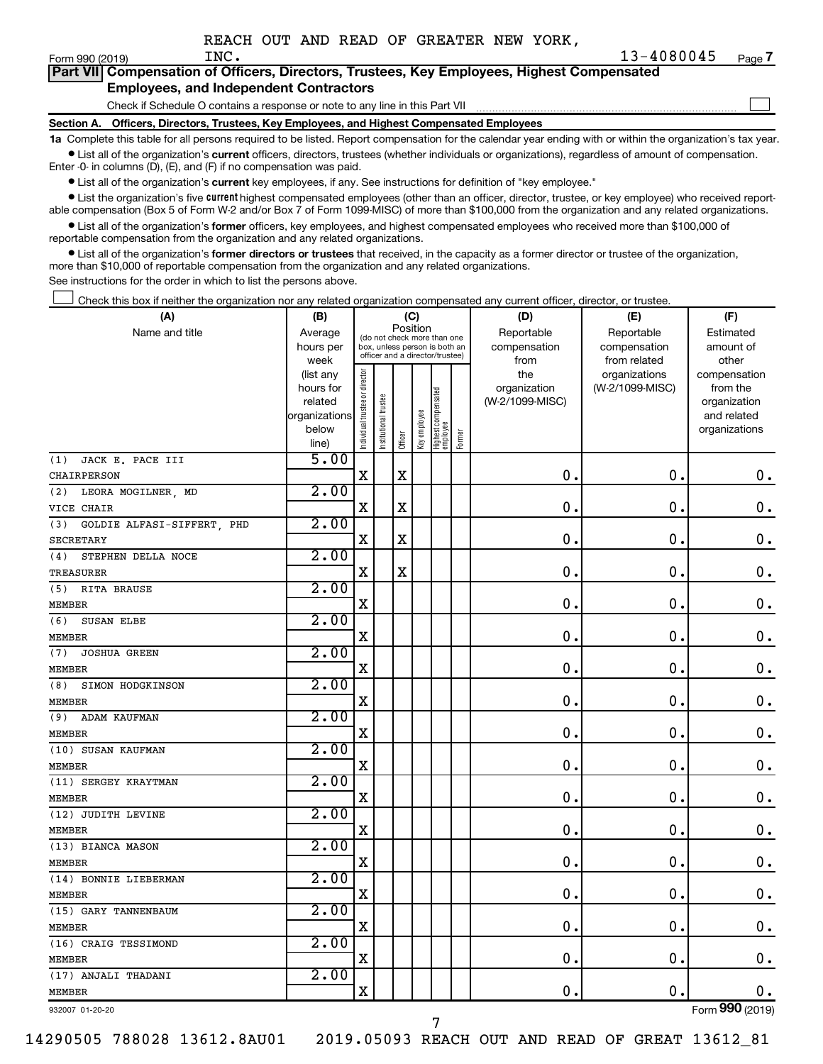$\Box$ 

| Form 990 (2019) |                                               | INC. |  | $13 - 40$                                                                                  |
|-----------------|-----------------------------------------------|------|--|--------------------------------------------------------------------------------------------|
|                 |                                               |      |  | Part VII Compensation of Officers, Directors, Trustees, Key Employees, Highest Compensated |
|                 | <b>Employees, and Independent Contractors</b> |      |  |                                                                                            |

Check if Schedule O contains a response or note to any line in this Part VII

**Section A. Officers, Directors, Trustees, Key Employees, and Highest Compensated Employees**

**1a**  Complete this table for all persons required to be listed. Report compensation for the calendar year ending with or within the organization's tax year.  $\bullet$  List all of the organization's current officers, directors, trustees (whether individuals or organizations), regardless of amount of compensation.

Enter -0- in columns (D), (E), and (F) if no compensation was paid.

**•** List all of the organization's current key employees, if any. See instructions for definition of "key employee."

• List the organization's five *current* highest compensated employees (other than an officer, director, trustee, or key employee) who received reportable compensation (Box 5 of Form W-2 and/or Box 7 of Form 1099-MISC) of more than \$100,000 from the organization and any related organizations.

 $\bullet$  List all of the organization's former officers, key employees, and highest compensated employees who received more than \$100,000 of reportable compensation from the organization and any related organizations.

**•** List all of the organization's former directors or trustees that received, in the capacity as a former director or trustee of the organization, more than \$10,000 of reportable compensation from the organization and any related organizations.

See instructions for the order in which to list the persons above.

Check this box if neither the organization nor any related organization compensated any current officer, director, or trustee.  $\Box$ 

| (A)                               | (B)                  |                                |                                                                  | (C)         |              |                                 |        | (D)                             | (E)             | (F)                         |
|-----------------------------------|----------------------|--------------------------------|------------------------------------------------------------------|-------------|--------------|---------------------------------|--------|---------------------------------|-----------------|-----------------------------|
| Name and title                    | Average              |                                | (do not check more than one                                      |             | Position     |                                 |        | Reportable                      | Reportable      | Estimated                   |
|                                   | hours per            |                                | box, unless person is both an<br>officer and a director/trustee) |             |              |                                 |        | compensation                    | compensation    | amount of                   |
|                                   | week                 |                                |                                                                  |             |              |                                 |        | from                            | from related    | other                       |
|                                   | (list any            |                                |                                                                  |             |              |                                 |        | the                             | organizations   | compensation                |
|                                   | hours for<br>related |                                |                                                                  |             |              |                                 |        | organization<br>(W-2/1099-MISC) | (W-2/1099-MISC) | from the                    |
|                                   | organizations        |                                |                                                                  |             |              |                                 |        |                                 |                 | organization<br>and related |
|                                   | below                |                                |                                                                  |             |              |                                 |        |                                 |                 | organizations               |
|                                   | line)                | Individual trustee or director | nstitutional trustee                                             | Officer     | Key employee | Highest compensated<br>employee | Former |                                 |                 |                             |
| (1)<br>JACK E. PACE III           | 5.00                 |                                |                                                                  |             |              |                                 |        |                                 |                 |                             |
| CHAIRPERSON                       |                      | $\rm X$                        |                                                                  | $\mathbf X$ |              |                                 |        | $\mathbf 0$ .                   | $\mathbf 0$ .   | $\boldsymbol{0}$ .          |
| LEORA MOGILNER, MD<br>(2)         | 2.00                 |                                |                                                                  |             |              |                                 |        |                                 |                 |                             |
| VICE CHAIR                        |                      | $\mathbf X$                    |                                                                  | $\mathbf x$ |              |                                 |        | $\mathbf 0$ .                   | $\mathbf 0$ .   | $\mathbf 0$ .               |
| (3)<br>GOLDIE ALFASI-SIFFERT, PHD | 2.00                 |                                |                                                                  |             |              |                                 |        |                                 |                 |                             |
| <b>SECRETARY</b>                  |                      | $\mathbf X$                    |                                                                  | $\mathbf x$ |              |                                 |        | $\mathbf 0$ .                   | $\mathbf 0$ .   | $0$ .                       |
| STEPHEN DELLA NOCE<br>(4)         | 2.00                 |                                |                                                                  |             |              |                                 |        |                                 |                 |                             |
| TREASURER                         |                      | $\mathbf X$                    |                                                                  | $\mathbf X$ |              |                                 |        | $\mathbf 0$ .                   | $\mathbf 0$ .   | $\mathbf 0$ .               |
| RITA BRAUSE<br>(5)                | 2.00                 |                                |                                                                  |             |              |                                 |        |                                 |                 |                             |
| <b>MEMBER</b>                     |                      | X                              |                                                                  |             |              |                                 |        | $\mathbf 0$ .                   | $\mathbf 0$     | $\mathbf 0$ .               |
| (6)<br>SUSAN ELBE                 | 2.00                 |                                |                                                                  |             |              |                                 |        |                                 |                 |                             |
| MEMBER                            |                      | $\mathbf X$                    |                                                                  |             |              |                                 |        | $\mathbf 0$ .                   | $\mathbf 0$     | $\mathbf 0$ .               |
| (7)<br><b>JOSHUA GREEN</b>        | 2.00                 |                                |                                                                  |             |              |                                 |        |                                 |                 |                             |
| <b>MEMBER</b>                     |                      | $\mathbf X$                    |                                                                  |             |              |                                 |        | $\mathbf 0$ .                   | $\mathbf 0$ .   | $\mathbf 0$ .               |
| SIMON HODGKINSON<br>(8)           | 2.00                 |                                |                                                                  |             |              |                                 |        |                                 |                 |                             |
| MEMBER                            |                      | $\mathbf X$                    |                                                                  |             |              |                                 |        | $\mathbf{0}$ .                  | $\mathbf 0$     | $\mathbf 0$ .               |
| ADAM KAUFMAN<br>(9)               | 2.00                 |                                |                                                                  |             |              |                                 |        |                                 |                 |                             |
| MEMBER                            |                      | X                              |                                                                  |             |              |                                 |        | $\mathbf 0$ .                   | $\mathbf 0$ .   | $\mathbf 0$ .               |
| (10) SUSAN KAUFMAN                | 2.00                 |                                |                                                                  |             |              |                                 |        |                                 |                 |                             |
| <b>MEMBER</b>                     |                      | X                              |                                                                  |             |              |                                 |        | $\mathbf 0$ .                   | $\mathbf 0$ .   | $0$ .                       |
| (11) SERGEY KRAYTMAN              | 2.00                 |                                |                                                                  |             |              |                                 |        |                                 |                 |                             |
| <b>MEMBER</b>                     |                      | $\mathbf X$                    |                                                                  |             |              |                                 |        | $\mathbf 0$ .                   | $\mathbf 0$ .   | $\mathbf 0$ .               |
| (12) JUDITH LEVINE                | 2.00                 |                                |                                                                  |             |              |                                 |        |                                 |                 |                             |
| <b>MEMBER</b>                     |                      | $\mathbf X$                    |                                                                  |             |              |                                 |        | 0.                              | $\mathbf 0$ .   | $\mathbf 0$ .               |
| (13) BIANCA MASON                 | 2.00                 |                                |                                                                  |             |              |                                 |        |                                 |                 |                             |
| <b>MEMBER</b>                     |                      | X                              |                                                                  |             |              |                                 |        | $\mathbf 0$                     | $\mathbf 0$ .   | $\mathbf 0$ .               |
| (14) BONNIE LIEBERMAN             | 2.00                 |                                |                                                                  |             |              |                                 |        |                                 |                 |                             |
| <b>MEMBER</b>                     |                      | $\mathbf X$                    |                                                                  |             |              |                                 |        | $\mathbf 0$                     | $\mathbf 0$     | $\mathbf 0$ .               |
| (15) GARY TANNENBAUM              | 2.00                 |                                |                                                                  |             |              |                                 |        |                                 |                 |                             |
| <b>MEMBER</b>                     |                      | $\mathbf X$                    |                                                                  |             |              |                                 |        | $\mathbf 0$ .                   | 0.              | $\mathbf 0$ .               |
| (16) CRAIG TESSIMOND              | 2.00                 |                                |                                                                  |             |              |                                 |        |                                 |                 |                             |
| <b>MEMBER</b>                     |                      | $\mathbf X$                    |                                                                  |             |              |                                 |        | $\mathbf 0$ .                   | $\mathbf 0$ .   | $\mathbf 0$ .               |
| (17) ANJALI THADANI               | 2.00                 |                                |                                                                  |             |              |                                 |        |                                 |                 |                             |
| <b>MEMBER</b>                     |                      | $\overline{\mathbf{X}}$        |                                                                  |             |              |                                 |        | $\mathbf 0$ .                   | $\mathbf 0$ .   | 0.                          |
|                                   |                      |                                |                                                                  |             |              |                                 |        |                                 |                 | $000$ ( $0.212$ )           |

932007 01-20-20

14290505 788028 13612.8AU01 2019.05093 REACH OUT AND READ OF GREAT 13612\_81

Form (2019) **990**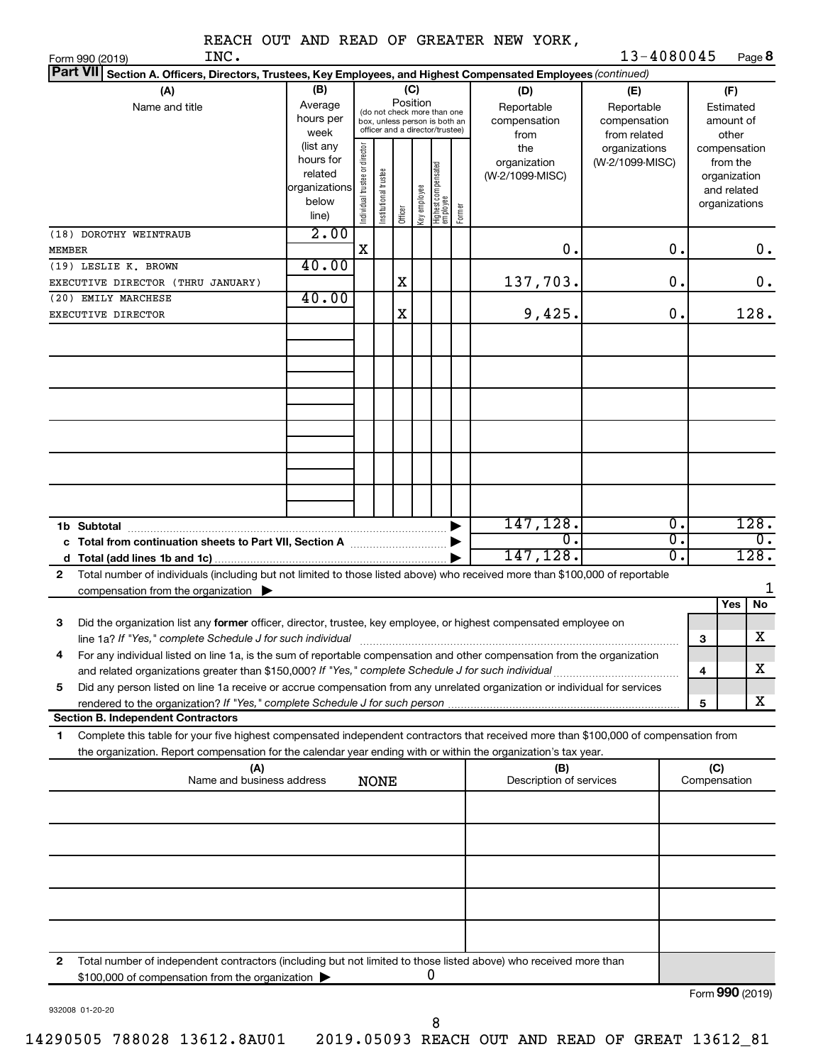| REACH OUT AND READ OF GREATER NEW YORK, |  |  |  |  |  |  |  |  |
|-----------------------------------------|--|--|--|--|--|--|--|--|
|-----------------------------------------|--|--|--|--|--|--|--|--|

| INC.<br>Form 990 (2019)                                                                                                                                                                                                                                      |                                                                      |                                |                       |          |              |                                                                                                 |        |                                           | 13-4080045                                        |    |                 |                                                                          | Page 8           |
|--------------------------------------------------------------------------------------------------------------------------------------------------------------------------------------------------------------------------------------------------------------|----------------------------------------------------------------------|--------------------------------|-----------------------|----------|--------------|-------------------------------------------------------------------------------------------------|--------|-------------------------------------------|---------------------------------------------------|----|-----------------|--------------------------------------------------------------------------|------------------|
| <b>Part VII</b><br>Section A. Officers, Directors, Trustees, Key Employees, and Highest Compensated Employees (continued)                                                                                                                                    |                                                                      |                                |                       |          |              |                                                                                                 |        |                                           |                                                   |    |                 |                                                                          |                  |
| (A)<br>Name and title                                                                                                                                                                                                                                        | (B)<br>Average<br>hours per<br>week                                  |                                |                       | Position | (C)          | (do not check more than one<br>box, unless person is both an<br>officer and a director/trustee) |        | (D)<br>Reportable<br>compensation<br>from | (E)<br>Reportable<br>compensation<br>from related |    |                 | (F)<br>Estimated<br>amount of<br>other                                   |                  |
|                                                                                                                                                                                                                                                              | (list any<br>hours for<br>related<br>organizations<br>below<br>line) | Individual trustee or director | Institutional trustee | Officer  | Key employee | Highest compensated<br>  employee                                                               | Former | the<br>organization<br>(W-2/1099-MISC)    | organizations<br>(W-2/1099-MISC)                  |    |                 | compensation<br>from the<br>organization<br>and related<br>organizations |                  |
| (18) DOROTHY WEINTRAUB                                                                                                                                                                                                                                       | 2.00                                                                 |                                |                       |          |              |                                                                                                 |        |                                           |                                                   |    |                 |                                                                          |                  |
| MEMBER                                                                                                                                                                                                                                                       |                                                                      | X                              |                       |          |              |                                                                                                 |        | 0.                                        |                                                   | 0. |                 |                                                                          | $0$ .            |
| (19) LESLIE K. BROWN                                                                                                                                                                                                                                         | 40.00                                                                |                                |                       |          |              |                                                                                                 |        |                                           |                                                   |    |                 |                                                                          |                  |
| EXECUTIVE DIRECTOR (THRU JANUARY)                                                                                                                                                                                                                            |                                                                      |                                |                       | Χ        |              |                                                                                                 |        | 137,703.                                  |                                                   | 0. |                 |                                                                          | 0.               |
| (20) EMILY MARCHESE<br>EXECUTIVE DIRECTOR                                                                                                                                                                                                                    | 40.00                                                                |                                |                       | Χ        |              |                                                                                                 |        | 9,425.                                    |                                                   | 0. |                 |                                                                          | 128.             |
|                                                                                                                                                                                                                                                              |                                                                      |                                |                       |          |              |                                                                                                 |        |                                           |                                                   |    |                 |                                                                          |                  |
|                                                                                                                                                                                                                                                              |                                                                      |                                |                       |          |              |                                                                                                 |        |                                           |                                                   |    |                 |                                                                          |                  |
| 1b Subtotal                                                                                                                                                                                                                                                  |                                                                      |                                |                       |          |              |                                                                                                 |        | 147,128.                                  |                                                   | σ. |                 |                                                                          | 128.             |
| c Total from continuation sheets to Part VII, Section A manuscription.                                                                                                                                                                                       |                                                                      |                                |                       |          |              |                                                                                                 |        | $\overline{0}$                            |                                                   | σ. |                 |                                                                          | $\overline{0}$ . |
|                                                                                                                                                                                                                                                              |                                                                      |                                |                       |          |              |                                                                                                 |        | 147, 128.                                 |                                                   | σ. |                 |                                                                          | 128.             |
| Total number of individuals (including but not limited to those listed above) who received more than \$100,000 of reportable<br>$\mathbf{2}$                                                                                                                 |                                                                      |                                |                       |          |              |                                                                                                 |        |                                           |                                                   |    |                 |                                                                          | 1                |
| compensation from the organization $\blacktriangleright$                                                                                                                                                                                                     |                                                                      |                                |                       |          |              |                                                                                                 |        |                                           |                                                   |    |                 | Yes                                                                      | No               |
| 3<br>Did the organization list any former officer, director, trustee, key employee, or highest compensated employee on                                                                                                                                       |                                                                      |                                |                       |          |              |                                                                                                 |        |                                           |                                                   |    |                 |                                                                          | X                |
| line 1a? If "Yes," complete Schedule J for such individual [11] manufacture manufacture in the set of the set o<br>For any individual listed on line 1a, is the sum of reportable compensation and other compensation from the organization                  |                                                                      |                                |                       |          |              |                                                                                                 |        |                                           |                                                   |    | 3               |                                                                          |                  |
| and related organizations greater than \$150,000? If "Yes," complete Schedule J for such individual                                                                                                                                                          |                                                                      |                                |                       |          |              |                                                                                                 |        |                                           |                                                   |    | 4               |                                                                          | х                |
| Did any person listed on line 1a receive or accrue compensation from any unrelated organization or individual for services<br>5                                                                                                                              |                                                                      |                                |                       |          |              |                                                                                                 |        |                                           |                                                   |    |                 |                                                                          |                  |
|                                                                                                                                                                                                                                                              |                                                                      |                                |                       |          |              |                                                                                                 |        |                                           |                                                   |    | 5               |                                                                          | х                |
| <b>Section B. Independent Contractors</b>                                                                                                                                                                                                                    |                                                                      |                                |                       |          |              |                                                                                                 |        |                                           |                                                   |    |                 |                                                                          |                  |
| Complete this table for your five highest compensated independent contractors that received more than \$100,000 of compensation from<br>1.<br>the organization. Report compensation for the calendar year ending with or within the organization's tax year. |                                                                      |                                |                       |          |              |                                                                                                 |        |                                           |                                                   |    |                 |                                                                          |                  |
| (A)                                                                                                                                                                                                                                                          |                                                                      |                                |                       |          |              |                                                                                                 |        | (B)                                       |                                                   |    | (C)             |                                                                          |                  |
| Name and business address                                                                                                                                                                                                                                    |                                                                      |                                | <b>NONE</b>           |          |              |                                                                                                 |        | Description of services                   |                                                   |    | Compensation    |                                                                          |                  |
|                                                                                                                                                                                                                                                              |                                                                      |                                |                       |          |              |                                                                                                 |        |                                           |                                                   |    |                 |                                                                          |                  |
|                                                                                                                                                                                                                                                              |                                                                      |                                |                       |          |              |                                                                                                 |        |                                           |                                                   |    |                 |                                                                          |                  |
|                                                                                                                                                                                                                                                              |                                                                      |                                |                       |          |              |                                                                                                 |        |                                           |                                                   |    |                 |                                                                          |                  |
|                                                                                                                                                                                                                                                              |                                                                      |                                |                       |          |              |                                                                                                 |        |                                           |                                                   |    |                 |                                                                          |                  |
|                                                                                                                                                                                                                                                              |                                                                      |                                |                       |          |              |                                                                                                 |        |                                           |                                                   |    |                 |                                                                          |                  |
| Total number of independent contractors (including but not limited to those listed above) who received more than<br>2                                                                                                                                        |                                                                      |                                |                       |          |              | 0                                                                                               |        |                                           |                                                   |    |                 |                                                                          |                  |
| \$100,000 of compensation from the organization                                                                                                                                                                                                              |                                                                      |                                |                       |          |              |                                                                                                 |        |                                           |                                                   |    | Form 990 (2019) |                                                                          |                  |

932008 01-20-20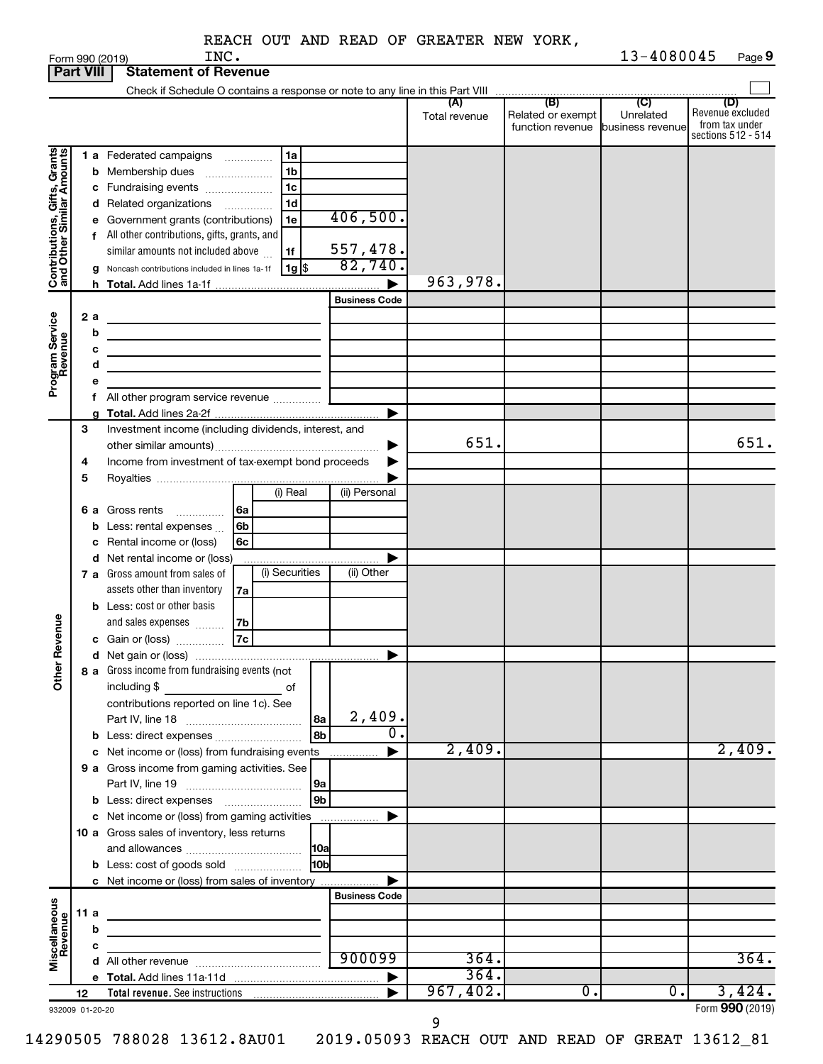| REACH OUT AND READ OF GREATER NEW YORK, |
|-----------------------------------------|
|-----------------------------------------|

|                                                           |      | INC.<br>Form 990 (2019)                                                                        |                      |               |                                                        | 13-4080045       | Page 9                                                   |
|-----------------------------------------------------------|------|------------------------------------------------------------------------------------------------|----------------------|---------------|--------------------------------------------------------|------------------|----------------------------------------------------------|
| <b>Part VIII</b>                                          |      | <b>Statement of Revenue</b>                                                                    |                      |               |                                                        |                  |                                                          |
|                                                           |      |                                                                                                |                      | (A)           | (B)                                                    | $\overline{C}$   | (D)                                                      |
|                                                           |      |                                                                                                |                      | Total revenue | Related or exempt<br>function revenue business revenue | Unrelated        | Revenue excluded<br>from tax under<br>sections 512 - 514 |
|                                                           |      | 1 a Federated campaigns<br>1a                                                                  |                      |               |                                                        |                  |                                                          |
| Contributions, Gifts, Grants<br>and Other Similar Amounts |      | 1 <sub>b</sub><br><b>b</b> Membership dues                                                     |                      |               |                                                        |                  |                                                          |
|                                                           |      | 1c<br>c Fundraising events                                                                     |                      |               |                                                        |                  |                                                          |
|                                                           |      | 1d<br>d Related organizations                                                                  |                      |               |                                                        |                  |                                                          |
|                                                           |      | e Government grants (contributions)<br>1e                                                      | 406,500.             |               |                                                        |                  |                                                          |
|                                                           |      | f All other contributions, gifts, grants, and                                                  |                      |               |                                                        |                  |                                                          |
|                                                           |      | similar amounts not included above<br>1f                                                       | 557,478.             |               |                                                        |                  |                                                          |
|                                                           |      | $1g$ \$<br>Noncash contributions included in lines 1a-1f<br>g                                  | 82,740.              |               |                                                        |                  |                                                          |
|                                                           |      |                                                                                                |                      | 963,978.      |                                                        |                  |                                                          |
|                                                           |      |                                                                                                | <b>Business Code</b> |               |                                                        |                  |                                                          |
|                                                           | 2a   |                                                                                                |                      |               |                                                        |                  |                                                          |
|                                                           |      | b<br>the control of the control of the control of the control of the control of                |                      |               |                                                        |                  |                                                          |
|                                                           |      | с<br>the control of the control of the control of the control of the control of the control of |                      |               |                                                        |                  |                                                          |
|                                                           |      | d<br>the control of the control of the control of the control of the control of                |                      |               |                                                        |                  |                                                          |
| Program Service<br>Revenue                                |      | е                                                                                              |                      |               |                                                        |                  |                                                          |
|                                                           |      | All other program service revenue<br>f.                                                        |                      |               |                                                        |                  |                                                          |
|                                                           |      |                                                                                                | ▶                    |               |                                                        |                  |                                                          |
|                                                           | 3    | Investment income (including dividends, interest, and                                          |                      |               |                                                        |                  |                                                          |
|                                                           |      |                                                                                                | ▶                    | 651.          |                                                        |                  | 651.                                                     |
|                                                           | 4    | Income from investment of tax-exempt bond proceeds                                             | ▶                    |               |                                                        |                  |                                                          |
|                                                           | 5    | (i) Real                                                                                       | (ii) Personal        |               |                                                        |                  |                                                          |
|                                                           |      |                                                                                                |                      |               |                                                        |                  |                                                          |
|                                                           |      | 6 a Gross rents<br>6a<br>.                                                                     |                      |               |                                                        |                  |                                                          |
|                                                           |      | <b>b</b> Less: rental expenses $\ldots$<br>6b<br>Rental income or (loss)<br>6c                 |                      |               |                                                        |                  |                                                          |
|                                                           |      | С<br>d Net rental income or (loss)                                                             |                      |               |                                                        |                  |                                                          |
|                                                           |      | (i) Securities<br>7 a Gross amount from sales of                                               | (ii) Other           |               |                                                        |                  |                                                          |
|                                                           |      | assets other than inventory<br>7a                                                              |                      |               |                                                        |                  |                                                          |
|                                                           |      | <b>b</b> Less: cost or other basis                                                             |                      |               |                                                        |                  |                                                          |
|                                                           |      | and sales expenses<br>7b                                                                       |                      |               |                                                        |                  |                                                          |
| venue                                                     |      | 7c<br>c Gain or (loss)                                                                         |                      |               |                                                        |                  |                                                          |
| œ                                                         |      |                                                                                                |                      |               |                                                        |                  |                                                          |
| Other                                                     |      | 8 a Gross income from fundraising events (not                                                  |                      |               |                                                        |                  |                                                          |
|                                                           |      | including \$                                                                                   |                      |               |                                                        |                  |                                                          |
|                                                           |      | contributions reported on line 1c). See                                                        |                      |               |                                                        |                  |                                                          |
|                                                           |      | l 8a                                                                                           | 2,409.               |               |                                                        |                  |                                                          |
|                                                           |      | 8b<br>b Less: direct expenses                                                                  | 0.                   |               |                                                        |                  |                                                          |
|                                                           |      | c Net income or (loss) from fundraising events                                                 | .                    | 2,409.        |                                                        |                  | 2,409.                                                   |
|                                                           |      | 9 a Gross income from gaming activities. See                                                   |                      |               |                                                        |                  |                                                          |
|                                                           |      | 9a                                                                                             |                      |               |                                                        |                  |                                                          |
|                                                           |      | 9 <sub>b</sub>                                                                                 |                      |               |                                                        |                  |                                                          |
|                                                           |      | c Net income or (loss) from gaming activities                                                  | .                    |               |                                                        |                  |                                                          |
|                                                           |      | 10 a Gross sales of inventory, less returns                                                    |                      |               |                                                        |                  |                                                          |
|                                                           |      | <b>10a</b>                                                                                     |                      |               |                                                        |                  |                                                          |
|                                                           |      | 10 <sub>b</sub><br><b>b</b> Less: cost of goods sold                                           |                      |               |                                                        |                  |                                                          |
|                                                           |      | c Net income or (loss) from sales of inventory                                                 | <b>Business Code</b> |               |                                                        |                  |                                                          |
|                                                           | 11 a |                                                                                                |                      |               |                                                        |                  |                                                          |
|                                                           |      | b                                                                                              |                      |               |                                                        |                  |                                                          |
|                                                           |      | c                                                                                              |                      |               |                                                        |                  |                                                          |
| Miscellaneous<br>Revenue                                  |      |                                                                                                | 900099               | 364.          |                                                        |                  | 364.                                                     |
|                                                           |      |                                                                                                |                      | 364.          |                                                        |                  |                                                          |
|                                                           | 12   |                                                                                                |                      | 967,402.      | $\overline{0}$ .                                       | $\overline{0}$ . | 3,424.                                                   |
|                                                           |      | 932009 01-20-20                                                                                |                      |               |                                                        |                  | Form 990 (2019)                                          |

14290505 788028 13612.8AU01 2019.05093 REACH OUT AND READ OF GREAT 13612\_81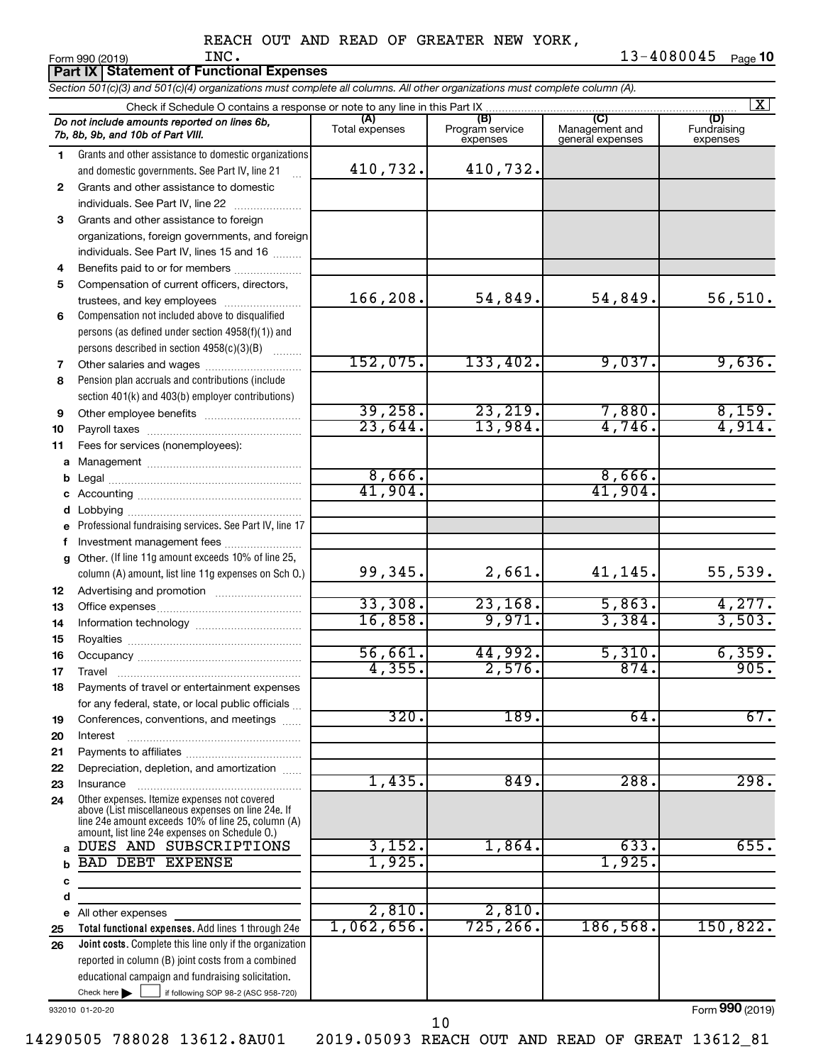**Part IX | Statement of Functional Expenses** 

*Section 501(c)(3) and 501(c)(4) organizations must complete all columns. All other organizations must complete column (A).*

|              |                                                                                                      |                |                 |                                    | $\overline{\mathbf{x}}$ |
|--------------|------------------------------------------------------------------------------------------------------|----------------|-----------------|------------------------------------|-------------------------|
|              | Do not include amounts reported on lines 6b,                                                         | (A)            | (B)             | (C)                                | (D)                     |
|              | 7b, 8b, 9b, and 10b of Part VIII.                                                                    | Total expenses | Program service | Management and<br>general expenses | Fundraising             |
|              |                                                                                                      |                | expenses        |                                    | expenses                |
| 1.           | Grants and other assistance to domestic organizations                                                | 410,732.       | 410,732.        |                                    |                         |
|              | and domestic governments. See Part IV, line 21                                                       |                |                 |                                    |                         |
| $\mathbf{2}$ | Grants and other assistance to domestic                                                              |                |                 |                                    |                         |
|              | individuals. See Part IV, line 22                                                                    |                |                 |                                    |                         |
| 3            | Grants and other assistance to foreign                                                               |                |                 |                                    |                         |
|              | organizations, foreign governments, and foreign                                                      |                |                 |                                    |                         |
|              | individuals. See Part IV, lines 15 and 16                                                            |                |                 |                                    |                         |
| 4            | Benefits paid to or for members                                                                      |                |                 |                                    |                         |
| 5            | Compensation of current officers, directors,                                                         |                |                 |                                    |                         |
|              | trustees, and key employees                                                                          | 166,208.       | 54,849.         | 54,849.                            | 56, 510.                |
| 6            | Compensation not included above to disqualified                                                      |                |                 |                                    |                         |
|              | persons (as defined under section 4958(f)(1)) and                                                    |                |                 |                                    |                         |
|              | persons described in section 4958(c)(3)(B)                                                           |                |                 |                                    |                         |
| 7            | Other salaries and wages                                                                             | 152,075.       | 133,402.        | 9,037.                             | 9,636.                  |
| 8            | Pension plan accruals and contributions (include                                                     |                |                 |                                    |                         |
|              | section 401(k) and 403(b) employer contributions)                                                    |                |                 |                                    |                         |
| 9            | Other employee benefits                                                                              | 39,258.        | 23, 219.        | 7,880.                             | $\frac{8,159.}{4,914.}$ |
| 10           |                                                                                                      | 23,644.        | 13,984.         | 4,746.                             |                         |
| 11           | Fees for services (nonemployees):                                                                    |                |                 |                                    |                         |
| a            |                                                                                                      |                |                 |                                    |                         |
| b            |                                                                                                      | 8,666.         |                 | 8,666.                             |                         |
| с            |                                                                                                      | 41,904.        |                 | 41,904.                            |                         |
| d            | Lobbying                                                                                             |                |                 |                                    |                         |
| e            | Professional fundraising services. See Part IV, line 17                                              |                |                 |                                    |                         |
| f            | Investment management fees                                                                           |                |                 |                                    |                         |
| a            | Other. (If line 11g amount exceeds 10% of line 25,                                                   |                |                 |                                    |                         |
|              | column (A) amount, list line 11g expenses on Sch O.)                                                 | 99,345.        | 2,661.          | 41,145.                            | 55,539.                 |
| 12           |                                                                                                      |                |                 |                                    |                         |
| 13           |                                                                                                      | 33,308.        | 23,168.         | 5,863.                             | 4,277.                  |
| 14           |                                                                                                      | 16,858.        | 9,971.          | 3,384.                             | 3,503.                  |
| 15           |                                                                                                      |                |                 |                                    |                         |
| 16           |                                                                                                      | 56,661         | 44,992.         | 5,310.                             | 6, 359.                 |
| 17           | Travel                                                                                               | 4, 355.        | 2,576.          | 874.                               | 905.                    |
| 18           | Payments of travel or entertainment expenses                                                         |                |                 |                                    |                         |
|              | for any federal, state, or local public officials                                                    |                |                 |                                    |                         |
| 19           | Conferences, conventions, and meetings                                                               | 320.           | 189.            | 64.                                | 67.                     |
| 20           | Interest                                                                                             |                |                 |                                    |                         |
| 21           |                                                                                                      |                |                 |                                    |                         |
| 22           | Depreciation, depletion, and amortization                                                            |                |                 |                                    |                         |
| 23           | Insurance                                                                                            | 1,435.         | 849.            | 288.                               | 298.                    |
| 24           | Other expenses. Itemize expenses not covered                                                         |                |                 |                                    |                         |
|              | above (List miscellaneous expenses on line 24e. If                                                   |                |                 |                                    |                         |
|              | line 24e amount exceeds 10% of line 25, column (A)<br>amount, list line 24e expenses on Schedule O.) |                |                 |                                    |                         |
|              | DUES AND SUBSCRIPTIONS                                                                               | 3,152.         | 1,864.          | 633.                               | 655.                    |
| b            | <b>BAD DEBT EXPENSE</b>                                                                              | 1,925.         |                 | 1,925.                             |                         |
| с            |                                                                                                      |                |                 |                                    |                         |
| d            |                                                                                                      |                |                 |                                    |                         |
| e            | All other expenses                                                                                   | 2,810.         | 2,810.          |                                    |                         |
| 25           | Total functional expenses. Add lines 1 through 24e                                                   | 1,062,656.     | 725, 266.       | 186,568.                           | 150,822.                |
| 26           | <b>Joint costs.</b> Complete this line only if the organization                                      |                |                 |                                    |                         |
|              | reported in column (B) joint costs from a combined                                                   |                |                 |                                    |                         |
|              | educational campaign and fundraising solicitation.                                                   |                |                 |                                    |                         |
|              | Check here<br>if following SOP 98-2 (ASC 958-720)                                                    |                |                 |                                    |                         |
|              |                                                                                                      |                |                 |                                    |                         |

932010 01-20-20

Form (2019) **990**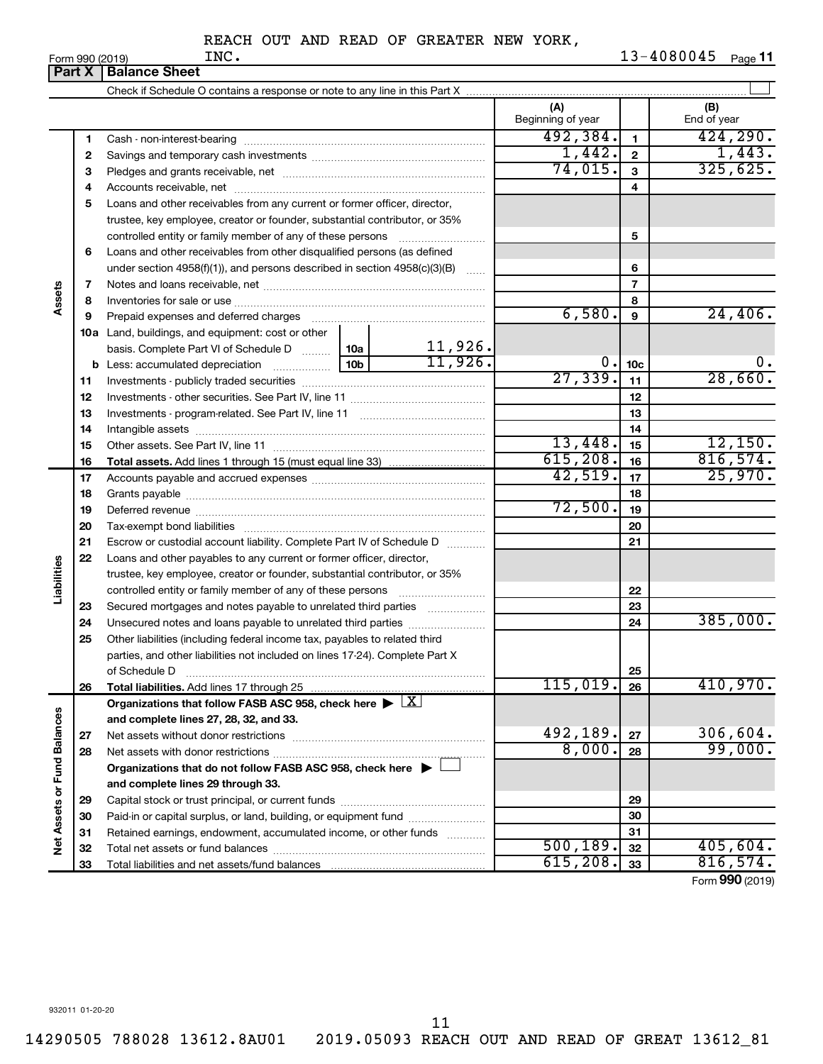|                             |    | <b>Part X   Balance Sheet</b>                                                                          |         |            |                          |                 |                    |
|-----------------------------|----|--------------------------------------------------------------------------------------------------------|---------|------------|--------------------------|-----------------|--------------------|
|                             |    |                                                                                                        |         |            |                          |                 |                    |
|                             |    |                                                                                                        |         |            | (A)<br>Beginning of year |                 | (B)<br>End of year |
|                             | 1  |                                                                                                        |         |            | 492,384.                 | $\mathbf{1}$    | 424, 290.          |
|                             | 2  |                                                                                                        |         |            | 1,442.                   | $\mathbf{2}$    | 1,443.             |
|                             | з  |                                                                                                        | 74,015. | 3          | 325,625.                 |                 |                    |
|                             | 4  |                                                                                                        |         | 4          |                          |                 |                    |
|                             | 5  | Loans and other receivables from any current or former officer, director,                              |         |            |                          |                 |                    |
|                             |    | trustee, key employee, creator or founder, substantial contributor, or 35%                             |         |            |                          |                 |                    |
|                             |    | controlled entity or family member of any of these persons                                             |         |            |                          | 5               |                    |
|                             | 6  | Loans and other receivables from other disqualified persons (as defined                                |         |            |                          |                 |                    |
|                             |    | under section $4958(f)(1)$ , and persons described in section $4958(c)(3)(B)$                          |         | 6          |                          |                 |                    |
|                             | 7  |                                                                                                        |         |            |                          | $\overline{7}$  |                    |
| Assets                      | 8  |                                                                                                        |         |            |                          | 8               |                    |
|                             | 9  | Prepaid expenses and deferred charges                                                                  |         |            | 6,580.                   | 9               | 24,406.            |
|                             |    | 10a Land, buildings, and equipment: cost or other                                                      |         |            |                          |                 |                    |
|                             |    | basis. Complete Part VI of Schedule D  10a                                                             |         | $11,926$ . |                          |                 |                    |
|                             |    | <b>b</b> Less: accumulated depreciation                                                                | 10b     | 11,926.    | 0.                       | 10 <sub>c</sub> | $\mathbf 0$ .      |
|                             | 11 |                                                                                                        |         |            | 27,339.                  | 11              | 28,660.            |
|                             | 12 |                                                                                                        |         |            |                          | 12              |                    |
|                             | 13 |                                                                                                        |         |            |                          | 13              |                    |
|                             | 14 |                                                                                                        |         |            |                          | 14              |                    |
|                             | 15 |                                                                                                        |         |            | 13,448.                  | 15              | 12,150.            |
|                             | 16 |                                                                                                        |         |            | 615, 208.                | 16              | 816,574.           |
|                             | 17 |                                                                                                        |         |            | 42,519.                  | 17              | 25,970.            |
|                             | 18 |                                                                                                        |         |            |                          | 18              |                    |
|                             | 19 |                                                                                                        |         |            | 72,500.                  | 19              |                    |
|                             | 20 |                                                                                                        |         |            |                          | 20              |                    |
|                             | 21 | Escrow or custodial account liability. Complete Part IV of Schedule D                                  |         |            |                          | 21              |                    |
|                             | 22 | Loans and other payables to any current or former officer, director,                                   |         |            |                          |                 |                    |
| Liabilities                 |    | trustee, key employee, creator or founder, substantial contributor, or 35%                             |         |            |                          |                 |                    |
|                             |    |                                                                                                        |         |            |                          | 22              |                    |
|                             | 23 | Secured mortgages and notes payable to unrelated third parties                                         |         |            |                          | 23              |                    |
|                             | 24 | Unsecured notes and loans payable to unrelated third parties                                           |         |            |                          | 24              | 385,000.           |
|                             | 25 | Other liabilities (including federal income tax, payables to related third                             |         |            |                          |                 |                    |
|                             |    | parties, and other liabilities not included on lines 17-24). Complete Part X                           |         |            |                          |                 |                    |
|                             |    | of Schedule D                                                                                          |         |            |                          | 25              |                    |
|                             | 26 | Total liabilities. Add lines 17 through 25                                                             |         |            | 115,019.                 | 26              | 410,970.           |
|                             |    | Organizations that follow FASB ASC 958, check here $\blacktriangleright \lfloor \underline{X} \rfloor$ |         |            |                          |                 |                    |
|                             |    | and complete lines 27, 28, 32, and 33.                                                                 |         |            | 492,189.                 |                 |                    |
|                             | 27 |                                                                                                        | 8,000.  | 27         | 306,604.<br>99,000.      |                 |                    |
|                             | 28 |                                                                                                        |         |            |                          | 28              |                    |
|                             |    | Organizations that do not follow FASB ASC 958, check here $\blacktriangleright$                        |         |            |                          |                 |                    |
| Net Assets or Fund Balances |    | and complete lines 29 through 33.                                                                      |         |            |                          |                 |                    |
|                             | 29 |                                                                                                        |         |            |                          | 29              |                    |
|                             | 30 | Paid-in or capital surplus, or land, building, or equipment fund                                       |         |            |                          | 30              |                    |
|                             | 31 | Retained earnings, endowment, accumulated income, or other funds                                       |         |            | 500, 189.                | 31              | 405,604.           |
|                             | 32 |                                                                                                        |         |            | 615, 208.                | 32              | 816,574.           |
|                             | 33 |                                                                                                        |         |            |                          | 33              |                    |

Form (2019) **990**

932011 01-20-20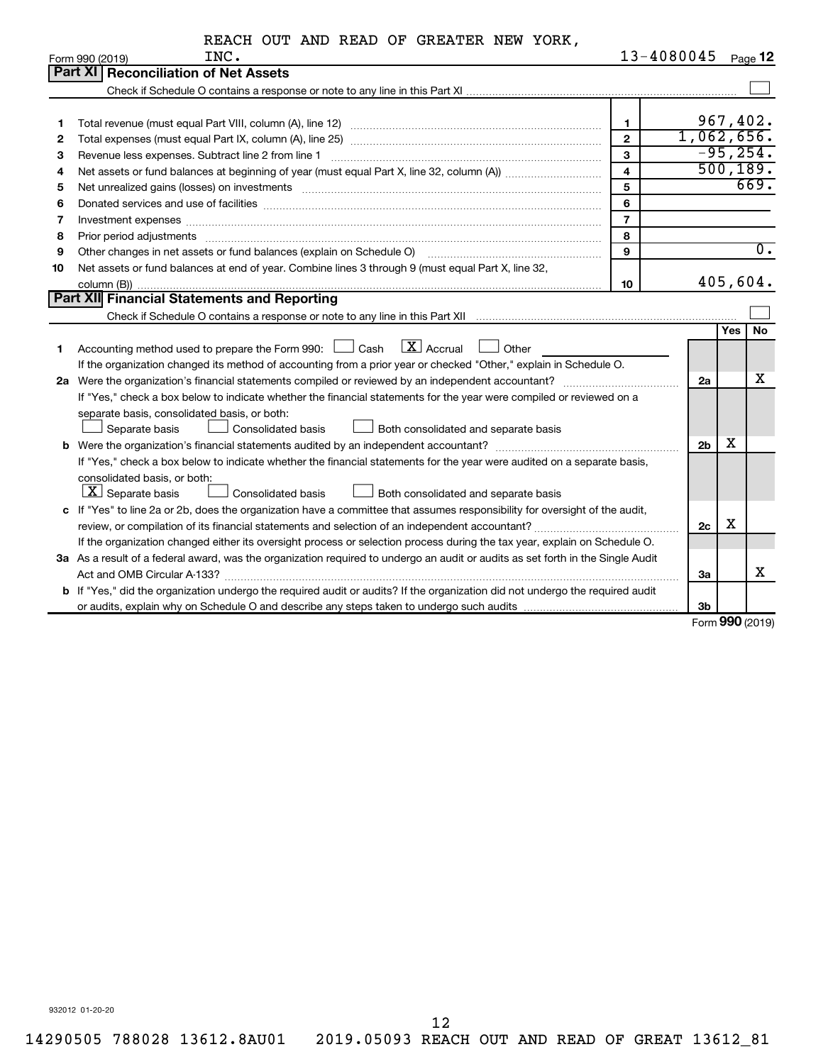|  |  | REACH OUT AND READ OF GREATER NEW YORK, |  |  |
|--|--|-----------------------------------------|--|--|
|  |  |                                         |  |  |

|                                                              | INC.<br>Form 990 (2019)                                                                                                                                                                                                        | 13-4080045              |                |            | Page 12          |
|--------------------------------------------------------------|--------------------------------------------------------------------------------------------------------------------------------------------------------------------------------------------------------------------------------|-------------------------|----------------|------------|------------------|
|                                                              | Part XI<br><b>Reconciliation of Net Assets</b>                                                                                                                                                                                 |                         |                |            |                  |
|                                                              |                                                                                                                                                                                                                                |                         |                |            |                  |
|                                                              |                                                                                                                                                                                                                                |                         |                |            |                  |
| 1                                                            |                                                                                                                                                                                                                                | 1                       |                |            | 967,402.         |
| 2                                                            |                                                                                                                                                                                                                                | $\overline{2}$          | 1,062,656.     |            |                  |
| 3<br>Revenue less expenses. Subtract line 2 from line 1<br>3 |                                                                                                                                                                                                                                |                         |                |            | $-95, 254.$      |
| 4                                                            |                                                                                                                                                                                                                                | $\overline{\mathbf{4}}$ |                |            | 500, 189.        |
| 5                                                            | Net unrealized gains (losses) on investments [11] matter than the control of the state of the state of the state of the state of the state of the state of the state of the state of the state of the state of the state of th | 5                       |                |            | 669.             |
| 6                                                            | Donated services and use of facilities [[111] matter contracts and all the services and use of facilities [[11                                                                                                                 | 6                       |                |            |                  |
| 7                                                            |                                                                                                                                                                                                                                | $\overline{7}$          |                |            |                  |
| 8                                                            |                                                                                                                                                                                                                                | 8                       |                |            |                  |
| 9                                                            | Other changes in net assets or fund balances (explain on Schedule O)                                                                                                                                                           | 9                       |                |            | $\overline{0}$ . |
| 10                                                           | Net assets or fund balances at end of year. Combine lines 3 through 9 (must equal Part X, line 32,                                                                                                                             |                         |                |            |                  |
|                                                              |                                                                                                                                                                                                                                | 10                      |                |            | 405,604.         |
|                                                              | Part XII Financial Statements and Reporting                                                                                                                                                                                    |                         |                |            |                  |
|                                                              |                                                                                                                                                                                                                                |                         |                |            |                  |
|                                                              |                                                                                                                                                                                                                                |                         |                | <b>Yes</b> | <b>No</b>        |
| 1                                                            | $\lfloor x \rfloor$ Accrual<br>Accounting method used to prepare the Form 990: [130] Cash<br>Other                                                                                                                             |                         |                |            |                  |
|                                                              | If the organization changed its method of accounting from a prior year or checked "Other," explain in Schedule O.                                                                                                              |                         |                |            |                  |
| 2a                                                           |                                                                                                                                                                                                                                |                         | 2a             |            | х                |
|                                                              | If "Yes," check a box below to indicate whether the financial statements for the year were compiled or reviewed on a                                                                                                           |                         |                |            |                  |
|                                                              | separate basis, consolidated basis, or both:                                                                                                                                                                                   |                         |                |            |                  |
|                                                              | Both consolidated and separate basis<br>Separate basis<br>Consolidated basis                                                                                                                                                   |                         |                |            |                  |
| b                                                            |                                                                                                                                                                                                                                |                         | 2 <sub>b</sub> | x          |                  |
|                                                              | If "Yes," check a box below to indicate whether the financial statements for the year were audited on a separate basis,                                                                                                        |                         |                |            |                  |
|                                                              | consolidated basis, or both:                                                                                                                                                                                                   |                         |                |            |                  |
|                                                              | $ \mathbf{X} $ Separate basis<br>Consolidated basis<br>Both consolidated and separate basis                                                                                                                                    |                         |                |            |                  |
| c                                                            | If "Yes" to line 2a or 2b, does the organization have a committee that assumes responsibility for oversight of the audit,                                                                                                      |                         |                |            |                  |
|                                                              |                                                                                                                                                                                                                                |                         | 2c             | х          |                  |
|                                                              | If the organization changed either its oversight process or selection process during the tax year, explain on Schedule O.                                                                                                      |                         |                |            |                  |
|                                                              | 3a As a result of a federal award, was the organization required to undergo an audit or audits as set forth in the Single Audit                                                                                                |                         |                |            |                  |
|                                                              |                                                                                                                                                                                                                                |                         | За             |            | x                |
|                                                              | b If "Yes," did the organization undergo the required audit or audits? If the organization did not undergo the required audit                                                                                                  |                         |                |            |                  |
|                                                              |                                                                                                                                                                                                                                |                         | 3b             |            |                  |

Form (2019) **990**

932012 01-20-20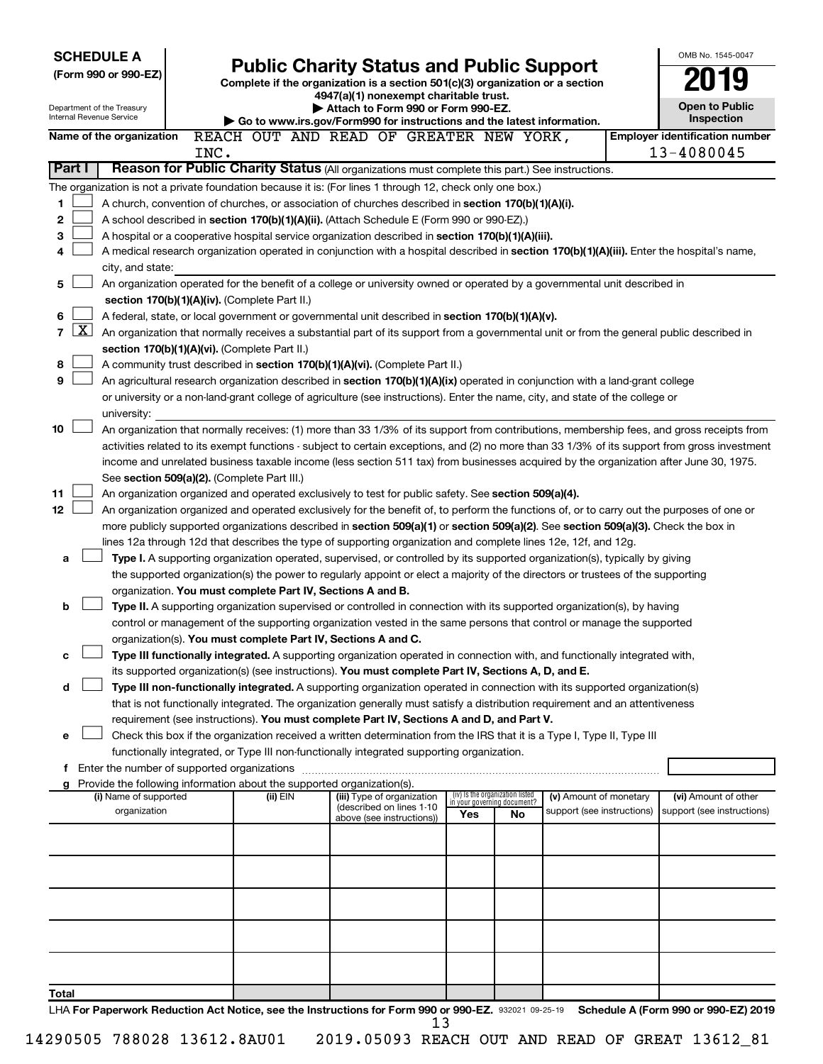| <b>SCHEDULE A</b><br><b>Public Charity Status and Public Support</b>                                                                                      |                                                                                                                             |                                                                                                                                                                                       |                                    |  |     |                                   | OMB No. 1545-0047          |  |                                                                                                                                            |
|-----------------------------------------------------------------------------------------------------------------------------------------------------------|-----------------------------------------------------------------------------------------------------------------------------|---------------------------------------------------------------------------------------------------------------------------------------------------------------------------------------|------------------------------------|--|-----|-----------------------------------|----------------------------|--|--------------------------------------------------------------------------------------------------------------------------------------------|
| (Form 990 or 990-EZ)                                                                                                                                      |                                                                                                                             | Complete if the organization is a section 501(c)(3) organization or a section                                                                                                         |                                    |  |     |                                   |                            |  |                                                                                                                                            |
|                                                                                                                                                           |                                                                                                                             | 4947(a)(1) nonexempt charitable trust.                                                                                                                                                |                                    |  |     |                                   |                            |  |                                                                                                                                            |
| Department of the Treasury<br>Internal Revenue Service                                                                                                    |                                                                                                                             |                                                                                                                                                                                       | Attach to Form 990 or Form 990-EZ. |  |     |                                   |                            |  | <b>Open to Public</b><br>Inspection                                                                                                        |
| Name of the organization                                                                                                                                  |                                                                                                                             | Go to www.irs.gov/Form990 for instructions and the latest information.<br>REACH OUT AND READ OF GREATER NEW YORK,                                                                     |                                    |  |     |                                   |                            |  | <b>Employer identification number</b>                                                                                                      |
|                                                                                                                                                           | INC.                                                                                                                        |                                                                                                                                                                                       |                                    |  |     |                                   |                            |  | 13-4080045                                                                                                                                 |
| Part I                                                                                                                                                    |                                                                                                                             | Reason for Public Charity Status (All organizations must complete this part.) See instructions.                                                                                       |                                    |  |     |                                   |                            |  |                                                                                                                                            |
| The organization is not a private foundation because it is: (For lines 1 through 12, check only one box.)                                                 |                                                                                                                             |                                                                                                                                                                                       |                                    |  |     |                                   |                            |  |                                                                                                                                            |
| 1                                                                                                                                                         |                                                                                                                             | A church, convention of churches, or association of churches described in <b>section 170(b)(1)(A)(i).</b>                                                                             |                                    |  |     |                                   |                            |  |                                                                                                                                            |
| 2                                                                                                                                                         | A school described in section 170(b)(1)(A)(ii). (Attach Schedule E (Form 990 or 990-EZ).)                                   |                                                                                                                                                                                       |                                    |  |     |                                   |                            |  |                                                                                                                                            |
| 3                                                                                                                                                         |                                                                                                                             | A hospital or a cooperative hospital service organization described in section 170(b)(1)(A)(iii).                                                                                     |                                    |  |     |                                   |                            |  |                                                                                                                                            |
| 4                                                                                                                                                         |                                                                                                                             |                                                                                                                                                                                       |                                    |  |     |                                   |                            |  | A medical research organization operated in conjunction with a hospital described in section 170(b)(1)(A)(iii). Enter the hospital's name, |
| city, and state:                                                                                                                                          |                                                                                                                             |                                                                                                                                                                                       |                                    |  |     |                                   |                            |  |                                                                                                                                            |
| 5                                                                                                                                                         | section 170(b)(1)(A)(iv). (Complete Part II.)                                                                               | An organization operated for the benefit of a college or university owned or operated by a governmental unit described in                                                             |                                    |  |     |                                   |                            |  |                                                                                                                                            |
| 6                                                                                                                                                         |                                                                                                                             | A federal, state, or local government or governmental unit described in section 170(b)(1)(A)(v).                                                                                      |                                    |  |     |                                   |                            |  |                                                                                                                                            |
| $\lfloor x \rfloor$<br>$\overline{7}$                                                                                                                     |                                                                                                                             |                                                                                                                                                                                       |                                    |  |     |                                   |                            |  | An organization that normally receives a substantial part of its support from a governmental unit or from the general public described in  |
|                                                                                                                                                           | section 170(b)(1)(A)(vi). (Complete Part II.)                                                                               |                                                                                                                                                                                       |                                    |  |     |                                   |                            |  |                                                                                                                                            |
| 8                                                                                                                                                         |                                                                                                                             | A community trust described in section 170(b)(1)(A)(vi). (Complete Part II.)                                                                                                          |                                    |  |     |                                   |                            |  |                                                                                                                                            |
| 9                                                                                                                                                         |                                                                                                                             | An agricultural research organization described in section 170(b)(1)(A)(ix) operated in conjunction with a land-grant college                                                         |                                    |  |     |                                   |                            |  |                                                                                                                                            |
|                                                                                                                                                           |                                                                                                                             | or university or a non-land-grant college of agriculture (see instructions). Enter the name, city, and state of the college or                                                        |                                    |  |     |                                   |                            |  |                                                                                                                                            |
| university:                                                                                                                                               |                                                                                                                             |                                                                                                                                                                                       |                                    |  |     |                                   |                            |  |                                                                                                                                            |
| 10                                                                                                                                                        |                                                                                                                             |                                                                                                                                                                                       |                                    |  |     |                                   |                            |  | An organization that normally receives: (1) more than 33 1/3% of its support from contributions, membership fees, and gross receipts from  |
| activities related to its exempt functions - subject to certain exceptions, and (2) no more than 33 1/3% of its support from gross investment             |                                                                                                                             |                                                                                                                                                                                       |                                    |  |     |                                   |                            |  |                                                                                                                                            |
| income and unrelated business taxable income (less section 511 tax) from businesses acquired by the organization after June 30, 1975.                     |                                                                                                                             |                                                                                                                                                                                       |                                    |  |     |                                   |                            |  |                                                                                                                                            |
| See section 509(a)(2). (Complete Part III.)<br>11<br>An organization organized and operated exclusively to test for public safety. See section 509(a)(4). |                                                                                                                             |                                                                                                                                                                                       |                                    |  |     |                                   |                            |  |                                                                                                                                            |
| 12<br>An organization organized and operated exclusively for the benefit of, to perform the functions of, or to carry out the purposes of one or          |                                                                                                                             |                                                                                                                                                                                       |                                    |  |     |                                   |                            |  |                                                                                                                                            |
| more publicly supported organizations described in section 509(a)(1) or section 509(a)(2). See section 509(a)(3). Check the box in                        |                                                                                                                             |                                                                                                                                                                                       |                                    |  |     |                                   |                            |  |                                                                                                                                            |
| lines 12a through 12d that describes the type of supporting organization and complete lines 12e, 12f, and 12g.                                            |                                                                                                                             |                                                                                                                                                                                       |                                    |  |     |                                   |                            |  |                                                                                                                                            |
| a                                                                                                                                                         | Type I. A supporting organization operated, supervised, or controlled by its supported organization(s), typically by giving |                                                                                                                                                                                       |                                    |  |     |                                   |                            |  |                                                                                                                                            |
|                                                                                                                                                           |                                                                                                                             | the supported organization(s) the power to regularly appoint or elect a majority of the directors or trustees of the supporting                                                       |                                    |  |     |                                   |                            |  |                                                                                                                                            |
|                                                                                                                                                           |                                                                                                                             | organization. You must complete Part IV, Sections A and B.                                                                                                                            |                                    |  |     |                                   |                            |  |                                                                                                                                            |
| b                                                                                                                                                         |                                                                                                                             | Type II. A supporting organization supervised or controlled in connection with its supported organization(s), by having                                                               |                                    |  |     |                                   |                            |  |                                                                                                                                            |
|                                                                                                                                                           |                                                                                                                             | control or management of the supporting organization vested in the same persons that control or manage the supported<br>organization(s). You must complete Part IV, Sections A and C. |                                    |  |     |                                   |                            |  |                                                                                                                                            |
| с                                                                                                                                                         |                                                                                                                             | Type III functionally integrated. A supporting organization operated in connection with, and functionally integrated with,                                                            |                                    |  |     |                                   |                            |  |                                                                                                                                            |
|                                                                                                                                                           |                                                                                                                             | its supported organization(s) (see instructions). You must complete Part IV, Sections A, D, and E.                                                                                    |                                    |  |     |                                   |                            |  |                                                                                                                                            |
| d                                                                                                                                                         |                                                                                                                             | Type III non-functionally integrated. A supporting organization operated in connection with its supported organization(s)                                                             |                                    |  |     |                                   |                            |  |                                                                                                                                            |
|                                                                                                                                                           |                                                                                                                             | that is not functionally integrated. The organization generally must satisfy a distribution requirement and an attentiveness                                                          |                                    |  |     |                                   |                            |  |                                                                                                                                            |
|                                                                                                                                                           |                                                                                                                             | requirement (see instructions). You must complete Part IV, Sections A and D, and Part V.                                                                                              |                                    |  |     |                                   |                            |  |                                                                                                                                            |
| e                                                                                                                                                         |                                                                                                                             | Check this box if the organization received a written determination from the IRS that it is a Type I, Type II, Type III                                                               |                                    |  |     |                                   |                            |  |                                                                                                                                            |
|                                                                                                                                                           |                                                                                                                             | functionally integrated, or Type III non-functionally integrated supporting organization.                                                                                             |                                    |  |     |                                   |                            |  |                                                                                                                                            |
|                                                                                                                                                           |                                                                                                                             |                                                                                                                                                                                       |                                    |  |     |                                   |                            |  |                                                                                                                                            |
| Provide the following information about the supported organization(s).<br>g<br>(i) Name of supported                                                      |                                                                                                                             | (ii) EIN                                                                                                                                                                              | (iii) Type of organization         |  |     | (iv) Is the organization listed   | (v) Amount of monetary     |  | (vi) Amount of other                                                                                                                       |
| organization                                                                                                                                              |                                                                                                                             |                                                                                                                                                                                       | (described on lines 1-10           |  | Yes | in your governing document?<br>No | support (see instructions) |  | support (see instructions)                                                                                                                 |
|                                                                                                                                                           |                                                                                                                             |                                                                                                                                                                                       | above (see instructions))          |  |     |                                   |                            |  |                                                                                                                                            |
|                                                                                                                                                           |                                                                                                                             |                                                                                                                                                                                       |                                    |  |     |                                   |                            |  |                                                                                                                                            |
|                                                                                                                                                           |                                                                                                                             |                                                                                                                                                                                       |                                    |  |     |                                   |                            |  |                                                                                                                                            |
|                                                                                                                                                           |                                                                                                                             |                                                                                                                                                                                       |                                    |  |     |                                   |                            |  |                                                                                                                                            |
|                                                                                                                                                           |                                                                                                                             |                                                                                                                                                                                       |                                    |  |     |                                   |                            |  |                                                                                                                                            |
|                                                                                                                                                           |                                                                                                                             |                                                                                                                                                                                       |                                    |  |     |                                   |                            |  |                                                                                                                                            |
|                                                                                                                                                           |                                                                                                                             |                                                                                                                                                                                       |                                    |  |     |                                   |                            |  |                                                                                                                                            |
|                                                                                                                                                           |                                                                                                                             |                                                                                                                                                                                       |                                    |  |     |                                   |                            |  |                                                                                                                                            |
|                                                                                                                                                           |                                                                                                                             |                                                                                                                                                                                       |                                    |  |     |                                   |                            |  |                                                                                                                                            |
| Total                                                                                                                                                     |                                                                                                                             |                                                                                                                                                                                       |                                    |  |     |                                   |                            |  |                                                                                                                                            |
|                                                                                                                                                           |                                                                                                                             |                                                                                                                                                                                       |                                    |  |     |                                   |                            |  | LHA For Paperwork Reduction Act Notice, see the Instructions for Form 990 or 990-EZ. 932021 09-25-19 Schedule A (Form 990 or 990-EZ) 2019  |

|  | ×<br>٠<br>٠ |
|--|-------------|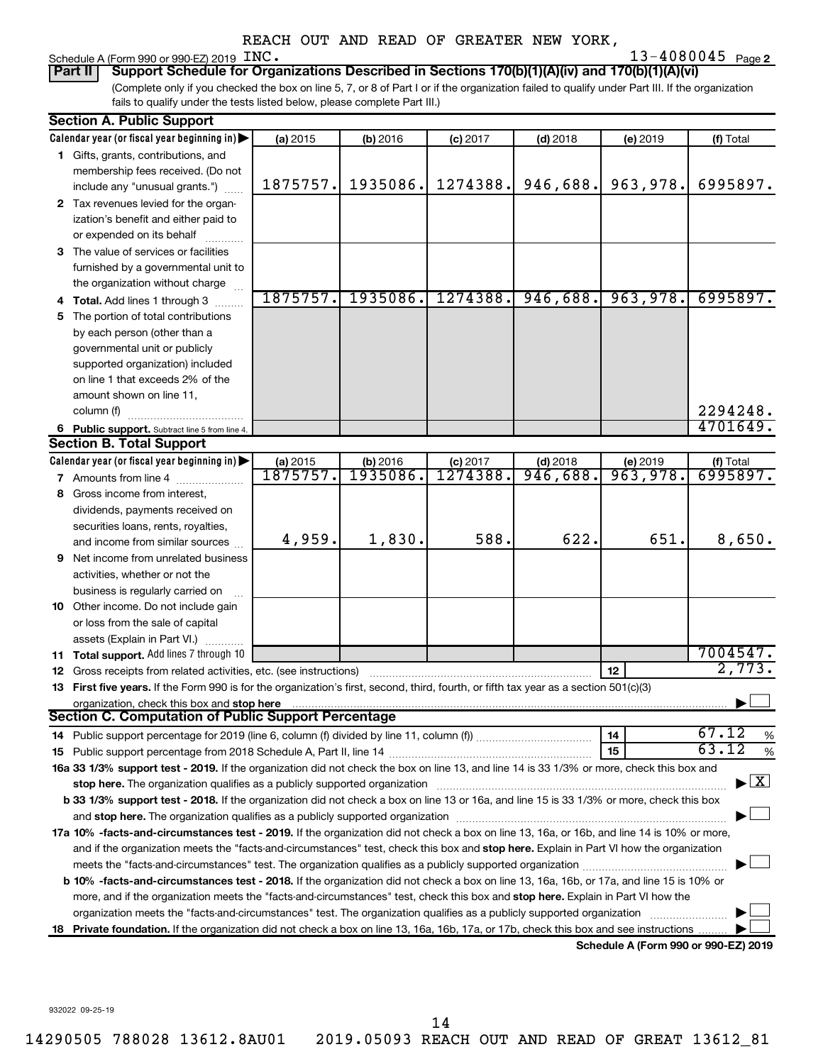# Schedule A (Form 990 or 990-EZ) 2019 INC.<br>**Part II** | Support Schedule for Orga

**2** INC. **2020 2020 2020 2020 2020 2020 2020 2020 2020 2020 2020 2020 2020 2020 2020 2020 2020 2020 2020 2020 2020 2020 2020 2020 2020 2020 2020 2020 2020 2020 20** 

(Complete only if you checked the box on line 5, 7, or 8 of Part I or if the organization failed to qualify under Part III. If the organization fails to qualify under the tests listed below, please complete Part III.) **Part II Support Schedule for Organizations Described in Sections 170(b)(1)(A)(iv) and 170(b)(1)(A)(vi)**

|    | <b>Section A. Public Support</b>                                                                                                                                                                                                                           |          |          |            |            |                                      |                                    |
|----|------------------------------------------------------------------------------------------------------------------------------------------------------------------------------------------------------------------------------------------------------------|----------|----------|------------|------------|--------------------------------------|------------------------------------|
|    | Calendar year (or fiscal year beginning in)                                                                                                                                                                                                                | (a) 2015 | (b) 2016 | $(c)$ 2017 | $(d)$ 2018 | (e) 2019                             | (f) Total                          |
|    | 1 Gifts, grants, contributions, and                                                                                                                                                                                                                        |          |          |            |            |                                      |                                    |
|    | membership fees received. (Do not                                                                                                                                                                                                                          |          |          |            |            |                                      |                                    |
|    | include any "unusual grants.")                                                                                                                                                                                                                             | 1875757. | 1935086. | 1274388.   | 946,688.   | 963,978.                             | 6995897.                           |
|    | 2 Tax revenues levied for the organ-                                                                                                                                                                                                                       |          |          |            |            |                                      |                                    |
|    | ization's benefit and either paid to                                                                                                                                                                                                                       |          |          |            |            |                                      |                                    |
|    | or expended on its behalf                                                                                                                                                                                                                                  |          |          |            |            |                                      |                                    |
|    | 3 The value of services or facilities                                                                                                                                                                                                                      |          |          |            |            |                                      |                                    |
|    | furnished by a governmental unit to                                                                                                                                                                                                                        |          |          |            |            |                                      |                                    |
|    | the organization without charge                                                                                                                                                                                                                            |          |          |            |            |                                      |                                    |
|    | 4 Total. Add lines 1 through 3                                                                                                                                                                                                                             | 1875757. | 1935086. | 1274388.   | 946,688.   | 963,978.                             | 6995897.                           |
|    | 5 The portion of total contributions                                                                                                                                                                                                                       |          |          |            |            |                                      |                                    |
|    | by each person (other than a                                                                                                                                                                                                                               |          |          |            |            |                                      |                                    |
|    | governmental unit or publicly                                                                                                                                                                                                                              |          |          |            |            |                                      |                                    |
|    | supported organization) included                                                                                                                                                                                                                           |          |          |            |            |                                      |                                    |
|    | on line 1 that exceeds 2% of the                                                                                                                                                                                                                           |          |          |            |            |                                      |                                    |
|    | amount shown on line 11,                                                                                                                                                                                                                                   |          |          |            |            |                                      |                                    |
|    | column (f)                                                                                                                                                                                                                                                 |          |          |            |            |                                      | 2294248.                           |
|    | 6 Public support. Subtract line 5 from line 4.                                                                                                                                                                                                             |          |          |            |            |                                      | 4701649.                           |
|    | <b>Section B. Total Support</b>                                                                                                                                                                                                                            |          |          |            |            |                                      |                                    |
|    | Calendar year (or fiscal year beginning in)                                                                                                                                                                                                                | (a) 2015 | (b) 2016 | $(c)$ 2017 | $(d)$ 2018 | (e) 2019                             | (f) Total                          |
|    | 7 Amounts from line 4                                                                                                                                                                                                                                      | 1875757. | 1935086. | 1274388.   | 946,688.   | 963,978.                             | 6995897.                           |
|    | 8 Gross income from interest,                                                                                                                                                                                                                              |          |          |            |            |                                      |                                    |
|    | dividends, payments received on                                                                                                                                                                                                                            |          |          |            |            |                                      |                                    |
|    | securities loans, rents, royalties,                                                                                                                                                                                                                        |          |          |            |            |                                      |                                    |
|    | and income from similar sources                                                                                                                                                                                                                            | 4,959.   | 1,830.   | 588.       | 622.       | 651.                                 | 8,650.                             |
|    | <b>9</b> Net income from unrelated business                                                                                                                                                                                                                |          |          |            |            |                                      |                                    |
|    | activities, whether or not the                                                                                                                                                                                                                             |          |          |            |            |                                      |                                    |
|    | business is regularly carried on                                                                                                                                                                                                                           |          |          |            |            |                                      |                                    |
|    | 10 Other income. Do not include gain                                                                                                                                                                                                                       |          |          |            |            |                                      |                                    |
|    | or loss from the sale of capital                                                                                                                                                                                                                           |          |          |            |            |                                      |                                    |
|    | assets (Explain in Part VI.)                                                                                                                                                                                                                               |          |          |            |            |                                      |                                    |
|    | 11 Total support. Add lines 7 through 10                                                                                                                                                                                                                   |          |          |            |            |                                      | 7004547.                           |
|    | <b>12</b> Gross receipts from related activities, etc. (see instructions)                                                                                                                                                                                  |          |          |            |            | 12                                   | 2,773.                             |
|    | 13 First five years. If the Form 990 is for the organization's first, second, third, fourth, or fifth tax year as a section 501(c)(3)                                                                                                                      |          |          |            |            |                                      |                                    |
|    | organization, check this box and stop here                                                                                                                                                                                                                 |          |          |            |            |                                      |                                    |
|    | <b>Section C. Computation of Public Support Percentage</b>                                                                                                                                                                                                 |          |          |            |            |                                      |                                    |
|    |                                                                                                                                                                                                                                                            |          |          |            |            | 14                                   | 67.12<br>%                         |
|    |                                                                                                                                                                                                                                                            |          |          |            |            | 15                                   | 63.12<br>%                         |
|    | 16a 33 1/3% support test - 2019. If the organization did not check the box on line 13, and line 14 is 33 1/3% or more, check this box and                                                                                                                  |          |          |            |            |                                      | $\blacktriangleright$ $\mathbf{X}$ |
|    | stop here. The organization qualifies as a publicly supported organization manufaction manufacture or the organization manufacture or the organization manufacture or the organization manufacture or the state of the state o                             |          |          |            |            |                                      |                                    |
|    | b 33 1/3% support test - 2018. If the organization did not check a box on line 13 or 16a, and line 15 is 33 1/3% or more, check this box                                                                                                                   |          |          |            |            |                                      |                                    |
|    | and stop here. The organization qualifies as a publicly supported organization manufaction and stop here. The organization                                                                                                                                 |          |          |            |            |                                      |                                    |
|    | 17a 10% -facts-and-circumstances test - 2019. If the organization did not check a box on line 13, 16a, or 16b, and line 14 is 10% or more,                                                                                                                 |          |          |            |            |                                      |                                    |
|    | and if the organization meets the "facts-and-circumstances" test, check this box and stop here. Explain in Part VI how the organization                                                                                                                    |          |          |            |            |                                      |                                    |
|    |                                                                                                                                                                                                                                                            |          |          |            |            |                                      |                                    |
|    | <b>b 10%</b> -facts-and-circumstances test - 2018. If the organization did not check a box on line 13, 16a, 16b, or 17a, and line 15 is 10% or                                                                                                             |          |          |            |            |                                      |                                    |
|    | more, and if the organization meets the "facts-and-circumstances" test, check this box and stop here. Explain in Part VI how the<br>organization meets the "facts-and-circumstances" test. The organization qualifies as a publicly supported organization |          |          |            |            |                                      |                                    |
| 18 | Private foundation. If the organization did not check a box on line 13, 16a, 16b, 17a, or 17b, check this box and see instructions                                                                                                                         |          |          |            |            |                                      |                                    |
|    |                                                                                                                                                                                                                                                            |          |          |            |            | Schedule A (Form 990 or 990-EZ) 2019 |                                    |
|    |                                                                                                                                                                                                                                                            |          |          |            |            |                                      |                                    |

932022 09-25-19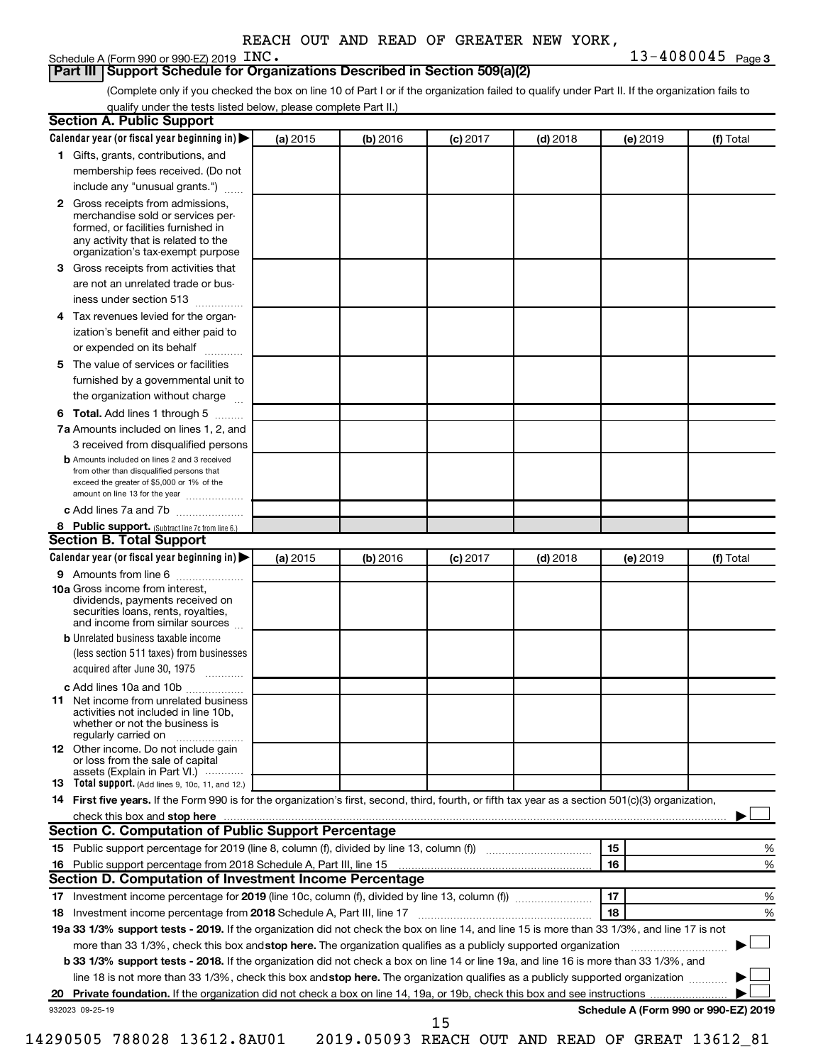### **Part III Support Schedule for Organizations Described in Section 509(a)(2)**

(Complete only if you checked the box on line 10 of Part I or if the organization failed to qualify under Part II. If the organization fails to qualify under the tests listed below, please complete Part II.)

|              | Calendar year (or fiscal year beginning in)                                                                                                                                                                                                               | (a) 2015 | (b) 2016 | $(c)$ 2017 | $(d)$ 2018 |    | (e) 2019 | (f) Total                            |
|--------------|-----------------------------------------------------------------------------------------------------------------------------------------------------------------------------------------------------------------------------------------------------------|----------|----------|------------|------------|----|----------|--------------------------------------|
|              | 1 Gifts, grants, contributions, and                                                                                                                                                                                                                       |          |          |            |            |    |          |                                      |
|              | membership fees received. (Do not                                                                                                                                                                                                                         |          |          |            |            |    |          |                                      |
|              | include any "unusual grants.")                                                                                                                                                                                                                            |          |          |            |            |    |          |                                      |
| $\mathbf{2}$ | Gross receipts from admissions,<br>merchandise sold or services per-<br>formed, or facilities furnished in<br>any activity that is related to the<br>organization's tax-exempt purpose                                                                    |          |          |            |            |    |          |                                      |
| 3.           | Gross receipts from activities that                                                                                                                                                                                                                       |          |          |            |            |    |          |                                      |
|              |                                                                                                                                                                                                                                                           |          |          |            |            |    |          |                                      |
|              | are not an unrelated trade or bus-<br>iness under section 513                                                                                                                                                                                             |          |          |            |            |    |          |                                      |
| 4            | Tax revenues levied for the organ-                                                                                                                                                                                                                        |          |          |            |            |    |          |                                      |
|              | ization's benefit and either paid to<br>or expended on its behalf<br>.                                                                                                                                                                                    |          |          |            |            |    |          |                                      |
| 5            | The value of services or facilities                                                                                                                                                                                                                       |          |          |            |            |    |          |                                      |
|              | furnished by a governmental unit to<br>the organization without charge                                                                                                                                                                                    |          |          |            |            |    |          |                                      |
|              |                                                                                                                                                                                                                                                           |          |          |            |            |    |          |                                      |
| 6            | Total. Add lines 1 through 5                                                                                                                                                                                                                              |          |          |            |            |    |          |                                      |
|              | 7a Amounts included on lines 1, 2, and                                                                                                                                                                                                                    |          |          |            |            |    |          |                                      |
|              | 3 received from disqualified persons<br><b>b</b> Amounts included on lines 2 and 3 received                                                                                                                                                               |          |          |            |            |    |          |                                      |
|              | from other than disqualified persons that<br>exceed the greater of \$5,000 or 1% of the<br>amount on line 13 for the year                                                                                                                                 |          |          |            |            |    |          |                                      |
|              | c Add lines 7a and 7b                                                                                                                                                                                                                                     |          |          |            |            |    |          |                                      |
|              | 8 Public support. (Subtract line 7c from line 6.)                                                                                                                                                                                                         |          |          |            |            |    |          |                                      |
|              | <b>Section B. Total Support</b>                                                                                                                                                                                                                           |          |          |            |            |    |          |                                      |
|              | Calendar year (or fiscal year beginning in)                                                                                                                                                                                                               | (a) 2015 | (b) 2016 | $(c)$ 2017 | $(d)$ 2018 |    | (e) 2019 | (f) Total                            |
|              | 9 Amounts from line 6                                                                                                                                                                                                                                     |          |          |            |            |    |          |                                      |
|              | <b>10a</b> Gross income from interest,<br>dividends, payments received on<br>securities loans, rents, royalties,<br>and income from similar sources                                                                                                       |          |          |            |            |    |          |                                      |
|              | <b>b</b> Unrelated business taxable income                                                                                                                                                                                                                |          |          |            |            |    |          |                                      |
|              | (less section 511 taxes) from businesses<br>acquired after June 30, 1975                                                                                                                                                                                  |          |          |            |            |    |          |                                      |
|              | c Add lines 10a and 10b                                                                                                                                                                                                                                   |          |          |            |            |    |          |                                      |
| 11           | Net income from unrelated business<br>activities not included in line 10b.<br>whether or not the business is<br>regularly carried on                                                                                                                      |          |          |            |            |    |          |                                      |
|              | <b>12</b> Other income. Do not include gain<br>or loss from the sale of capital<br>assets (Explain in Part VI.)                                                                                                                                           |          |          |            |            |    |          |                                      |
|              | <b>13</b> Total support. (Add lines 9, 10c, 11, and 12.)                                                                                                                                                                                                  |          |          |            |            |    |          |                                      |
|              | 14 First five years. If the Form 990 is for the organization's first, second, third, fourth, or fifth tax year as a section 501(c)(3) organization,                                                                                                       |          |          |            |            |    |          |                                      |
|              | check this box and stop here <i>machine and content and content and states and stop here</i> and stop here and stop the content and stop here and stop here and stop here and stop here and stop here and stop here and stop here a                       |          |          |            |            |    |          |                                      |
|              | Section C. Computation of Public Support Percentage                                                                                                                                                                                                       |          |          |            |            |    |          |                                      |
|              |                                                                                                                                                                                                                                                           |          |          |            |            | 15 |          | %                                    |
|              |                                                                                                                                                                                                                                                           |          |          |            |            | 16 |          | %                                    |
|              | Section D. Computation of Investment Income Percentage                                                                                                                                                                                                    |          |          |            |            |    |          |                                      |
|              |                                                                                                                                                                                                                                                           |          |          |            |            | 17 |          | %                                    |
|              |                                                                                                                                                                                                                                                           |          |          |            |            |    |          |                                      |
|              |                                                                                                                                                                                                                                                           |          |          |            |            | 18 |          |                                      |
|              |                                                                                                                                                                                                                                                           |          |          |            |            |    |          | %                                    |
|              | 19a 33 1/3% support tests - 2019. If the organization did not check the box on line 14, and line 15 is more than 33 1/3%, and line 17 is not                                                                                                              |          |          |            |            |    |          |                                      |
|              | more than 33 1/3%, check this box and stop here. The organization qualifies as a publicly supported organization<br>b 33 1/3% support tests - 2018. If the organization did not check a box on line 14 or line 19a, and line 16 is more than 33 1/3%, and |          |          |            |            |    |          |                                      |
|              | line 18 is not more than 33 1/3%, check this box and stop here. The organization qualifies as a publicly supported organization                                                                                                                           |          |          |            |            |    |          |                                      |
|              | 932023 09-25-19                                                                                                                                                                                                                                           |          |          |            |            |    |          | Schedule A (Form 990 or 990-EZ) 2019 |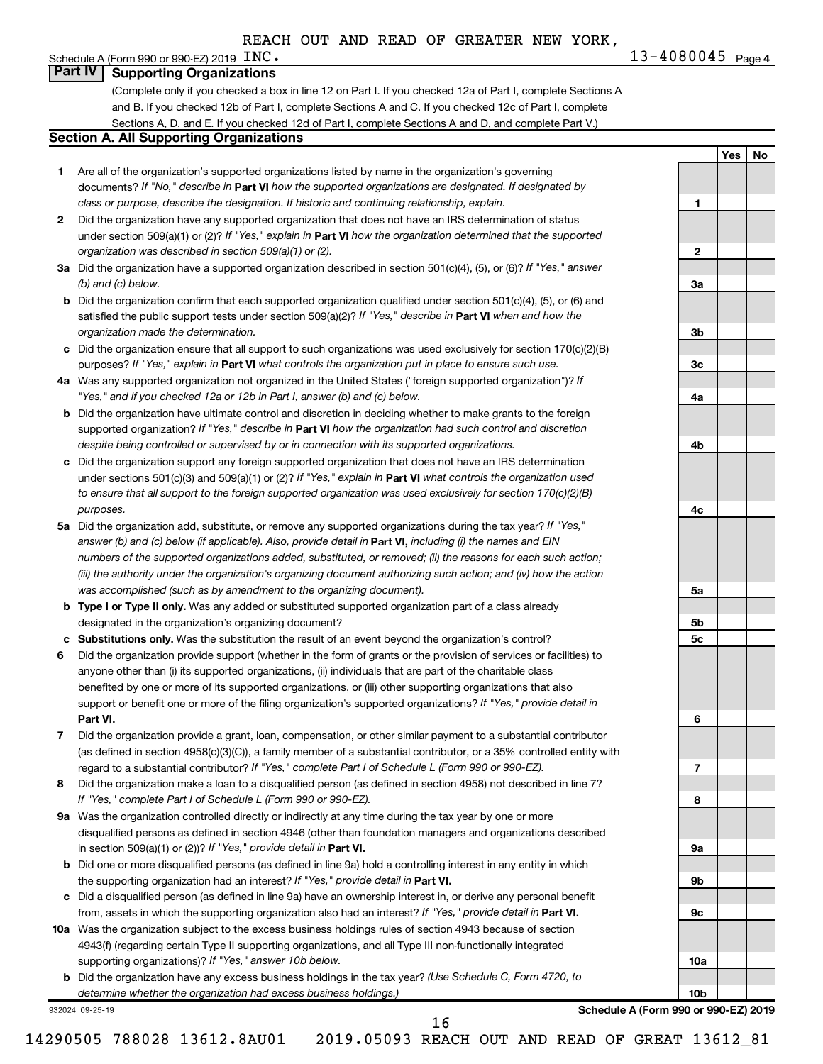**4** INC. **13-4080045**  $_{\text{Page 4}}$ 

**1**

**2**

**3a**

**3b**

**3c**

**4a**

**4b**

**4c**

**5a**

**5b 5c**

**6**

**7**

**8**

**9a**

**9b**

**9c**

**10a**

**10b**

**Yes No**

## Schedule A (Form 990 or 990-EZ) 2019  $\text{INC.}$ **Part IV Supporting Organizations**

(Complete only if you checked a box in line 12 on Part I. If you checked 12a of Part I, complete Sections A and B. If you checked 12b of Part I, complete Sections A and C. If you checked 12c of Part I, complete Sections A, D, and E. If you checked 12d of Part I, complete Sections A and D, and complete Part V.)

### **Section A. All Supporting Organizations**

- **1** Are all of the organization's supported organizations listed by name in the organization's governing documents? If "No," describe in Part VI how the supported organizations are designated. If designated by *class or purpose, describe the designation. If historic and continuing relationship, explain.*
- **2** Did the organization have any supported organization that does not have an IRS determination of status under section 509(a)(1) or (2)? If "Yes," explain in Part **VI** how the organization determined that the supported *organization was described in section 509(a)(1) or (2).*
- **3a** Did the organization have a supported organization described in section 501(c)(4), (5), or (6)? If "Yes," answer *(b) and (c) below.*
- **b** Did the organization confirm that each supported organization qualified under section 501(c)(4), (5), or (6) and satisfied the public support tests under section 509(a)(2)? If "Yes," describe in Part VI when and how the *organization made the determination.*
- **c** Did the organization ensure that all support to such organizations was used exclusively for section 170(c)(2)(B) purposes? If "Yes," explain in Part VI what controls the organization put in place to ensure such use.
- **4 a** *If* Was any supported organization not organized in the United States ("foreign supported organization")? *"Yes," and if you checked 12a or 12b in Part I, answer (b) and (c) below.*
- **b** Did the organization have ultimate control and discretion in deciding whether to make grants to the foreign supported organization? If "Yes," describe in Part VI how the organization had such control and discretion *despite being controlled or supervised by or in connection with its supported organizations.*
- **c** Did the organization support any foreign supported organization that does not have an IRS determination under sections 501(c)(3) and 509(a)(1) or (2)? If "Yes," explain in Part VI what controls the organization used *to ensure that all support to the foreign supported organization was used exclusively for section 170(c)(2)(B) purposes.*
- **5a** Did the organization add, substitute, or remove any supported organizations during the tax year? If "Yes," answer (b) and (c) below (if applicable). Also, provide detail in **Part VI,** including (i) the names and EIN *numbers of the supported organizations added, substituted, or removed; (ii) the reasons for each such action; (iii) the authority under the organization's organizing document authorizing such action; and (iv) how the action was accomplished (such as by amendment to the organizing document).*
- **b** Type I or Type II only. Was any added or substituted supported organization part of a class already designated in the organization's organizing document?
- **c Substitutions only.**  Was the substitution the result of an event beyond the organization's control?
- **6** Did the organization provide support (whether in the form of grants or the provision of services or facilities) to **Part VI.** support or benefit one or more of the filing organization's supported organizations? If "Yes," provide detail in anyone other than (i) its supported organizations, (ii) individuals that are part of the charitable class benefited by one or more of its supported organizations, or (iii) other supporting organizations that also
- **7** Did the organization provide a grant, loan, compensation, or other similar payment to a substantial contributor regard to a substantial contributor? If "Yes," complete Part I of Schedule L (Form 990 or 990-EZ). (as defined in section 4958(c)(3)(C)), a family member of a substantial contributor, or a 35% controlled entity with
- **8** Did the organization make a loan to a disqualified person (as defined in section 4958) not described in line 7? *If "Yes," complete Part I of Schedule L (Form 990 or 990-EZ).*
- **9 a** Was the organization controlled directly or indirectly at any time during the tax year by one or more in section 509(a)(1) or (2))? If "Yes," provide detail in **Part VI.** disqualified persons as defined in section 4946 (other than foundation managers and organizations described
- **b** Did one or more disqualified persons (as defined in line 9a) hold a controlling interest in any entity in which the supporting organization had an interest? If "Yes," provide detail in Part VI.
- **c** Did a disqualified person (as defined in line 9a) have an ownership interest in, or derive any personal benefit from, assets in which the supporting organization also had an interest? If "Yes," provide detail in Part VI.
- **10 a** Was the organization subject to the excess business holdings rules of section 4943 because of section supporting organizations)? If "Yes," answer 10b below. 4943(f) (regarding certain Type II supporting organizations, and all Type III non-functionally integrated
	- **b** Did the organization have any excess business holdings in the tax year? (Use Schedule C, Form 4720, to *determine whether the organization had excess business holdings.)*

932024 09-25-19

**Schedule A (Form 990 or 990-EZ) 2019**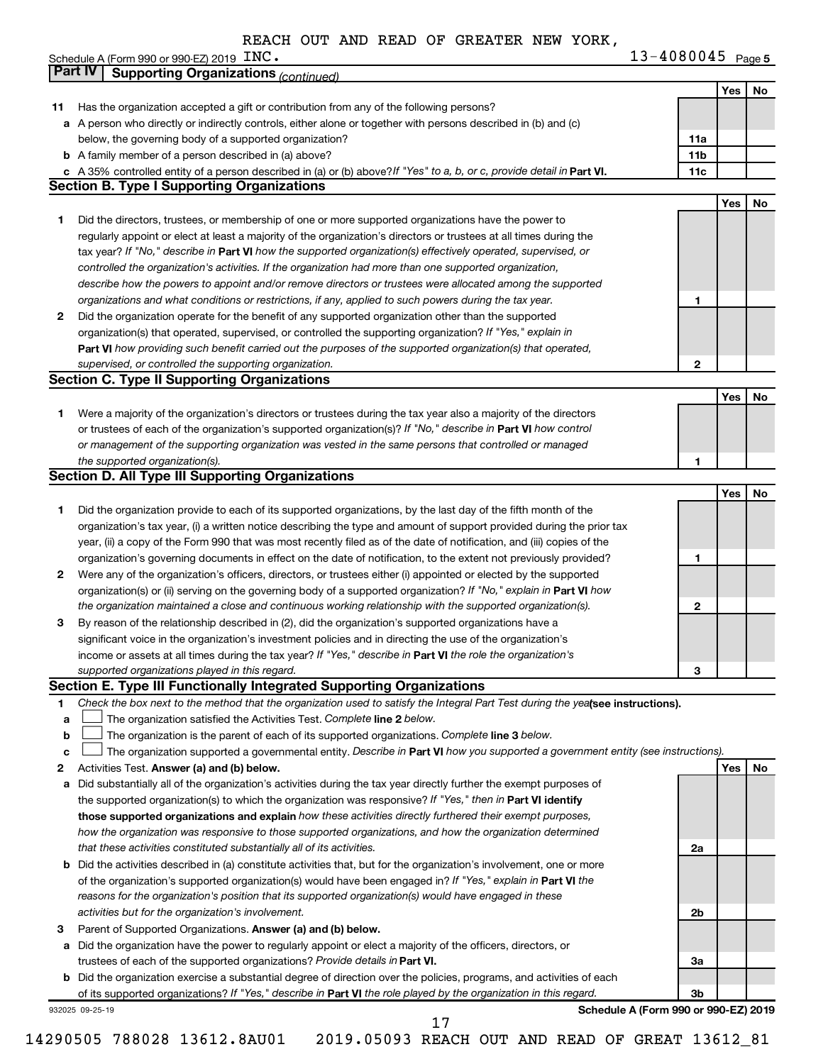| $13 - 4080045$ Page 5 |  |
|-----------------------|--|
|-----------------------|--|

|    | Schedule A (Form 990 or 990-EZ) 2019 $INC.$                                                                                     | 13-4080045 Page 5                    |     |    |
|----|---------------------------------------------------------------------------------------------------------------------------------|--------------------------------------|-----|----|
|    | <b>Part IV</b><br><b>Supporting Organizations (continued)</b>                                                                   |                                      |     |    |
|    |                                                                                                                                 |                                      | Yes | No |
| 11 | Has the organization accepted a gift or contribution from any of the following persons?                                         |                                      |     |    |
|    | a A person who directly or indirectly controls, either alone or together with persons described in (b) and (c)                  |                                      |     |    |
|    | below, the governing body of a supported organization?                                                                          | 11a                                  |     |    |
|    | <b>b</b> A family member of a person described in (a) above?                                                                    | 11 <sub>b</sub>                      |     |    |
|    | c A 35% controlled entity of a person described in (a) or (b) above? If "Yes" to a, b, or c, provide detail in Part VI.         | 11c                                  |     |    |
|    | <b>Section B. Type I Supporting Organizations</b>                                                                               |                                      |     |    |
|    |                                                                                                                                 |                                      | Yes | No |
| 1  | Did the directors, trustees, or membership of one or more supported organizations have the power to                             |                                      |     |    |
|    | regularly appoint or elect at least a majority of the organization's directors or trustees at all times during the              |                                      |     |    |
|    | tax year? If "No," describe in Part VI how the supported organization(s) effectively operated, supervised, or                   |                                      |     |    |
|    | controlled the organization's activities. If the organization had more than one supported organization,                         |                                      |     |    |
|    | describe how the powers to appoint and/or remove directors or trustees were allocated among the supported                       |                                      |     |    |
|    | organizations and what conditions or restrictions, if any, applied to such powers during the tax year.                          | 1                                    |     |    |
| 2  | Did the organization operate for the benefit of any supported organization other than the supported                             |                                      |     |    |
|    | organization(s) that operated, supervised, or controlled the supporting organization? If "Yes," explain in                      |                                      |     |    |
|    | Part VI how providing such benefit carried out the purposes of the supported organization(s) that operated,                     |                                      |     |    |
|    | supervised, or controlled the supporting organization.                                                                          | $\mathbf{2}$                         |     |    |
|    | <b>Section C. Type II Supporting Organizations</b>                                                                              |                                      |     |    |
|    |                                                                                                                                 |                                      | Yes | No |
| 1  | Were a majority of the organization's directors or trustees during the tax year also a majority of the directors                |                                      |     |    |
|    | or trustees of each of the organization's supported organization(s)? If "No," describe in Part VI how control                   |                                      |     |    |
|    | or management of the supporting organization was vested in the same persons that controlled or managed                          |                                      |     |    |
|    | the supported organization(s).                                                                                                  | 1                                    |     |    |
|    | <b>Section D. All Type III Supporting Organizations</b>                                                                         |                                      |     |    |
|    |                                                                                                                                 |                                      | Yes | No |
| 1  | Did the organization provide to each of its supported organizations, by the last day of the fifth month of the                  |                                      |     |    |
|    | organization's tax year, (i) a written notice describing the type and amount of support provided during the prior tax           |                                      |     |    |
|    | year, (ii) a copy of the Form 990 that was most recently filed as of the date of notification, and (iii) copies of the          |                                      |     |    |
|    | organization's governing documents in effect on the date of notification, to the extent not previously provided?                | 1                                    |     |    |
| 2  | Were any of the organization's officers, directors, or trustees either (i) appointed or elected by the supported                |                                      |     |    |
|    | organization(s) or (ii) serving on the governing body of a supported organization? If "No," explain in <b>Part VI</b> how       |                                      |     |    |
|    | the organization maintained a close and continuous working relationship with the supported organization(s).                     | 2                                    |     |    |
| 3  | By reason of the relationship described in (2), did the organization's supported organizations have a                           |                                      |     |    |
|    | significant voice in the organization's investment policies and in directing the use of the organization's                      |                                      |     |    |
|    | income or assets at all times during the tax year? If "Yes," describe in Part VI the role the organization's                    |                                      |     |    |
|    | supported organizations played in this regard.                                                                                  | 3                                    |     |    |
|    | Section E. Type III Functionally Integrated Supporting Organizations                                                            |                                      |     |    |
| 1  | Check the box next to the method that the organization used to satisfy the Integral Part Test during the yealsee instructions). |                                      |     |    |
| a  | The organization satisfied the Activities Test. Complete line 2 below.                                                          |                                      |     |    |
| b  | The organization is the parent of each of its supported organizations. Complete line 3 below.                                   |                                      |     |    |
| с  | The organization supported a governmental entity. Describe in Part VI how you supported a government entity (see instructions). |                                      |     |    |
| 2  | Activities Test. Answer (a) and (b) below.                                                                                      |                                      | Yes | No |
| а  | Did substantially all of the organization's activities during the tax year directly further the exempt purposes of              |                                      |     |    |
|    | the supported organization(s) to which the organization was responsive? If "Yes," then in Part VI identify                      |                                      |     |    |
|    | those supported organizations and explain how these activities directly furthered their exempt purposes,                        |                                      |     |    |
|    | how the organization was responsive to those supported organizations, and how the organization determined                       |                                      |     |    |
|    | that these activities constituted substantially all of its activities.                                                          | 2a                                   |     |    |
|    | <b>b</b> Did the activities described in (a) constitute activities that, but for the organization's involvement, one or more    |                                      |     |    |
|    | of the organization's supported organization(s) would have been engaged in? If "Yes," explain in Part VI the                    |                                      |     |    |
|    | reasons for the organization's position that its supported organization(s) would have engaged in these                          |                                      |     |    |
|    | activities but for the organization's involvement.                                                                              | 2b                                   |     |    |
| З  | Parent of Supported Organizations. Answer (a) and (b) below.                                                                    |                                      |     |    |
|    | a Did the organization have the power to regularly appoint or elect a majority of the officers, directors, or                   |                                      |     |    |
|    | trustees of each of the supported organizations? Provide details in Part VI.                                                    | За                                   |     |    |
|    | <b>b</b> Did the organization exercise a substantial degree of direction over the policies, programs, and activities of each    |                                      |     |    |
|    | of its supported organizations? If "Yes," describe in Part VI the role played by the organization in this regard.               | 3b                                   |     |    |
|    | 932025 09-25-19                                                                                                                 | Schedule A (Form 990 or 990-EZ) 2019 |     |    |

14290505 788028 13612.8AU01 2019.05093 REACH OUT AND READ OF GREAT 13612\_81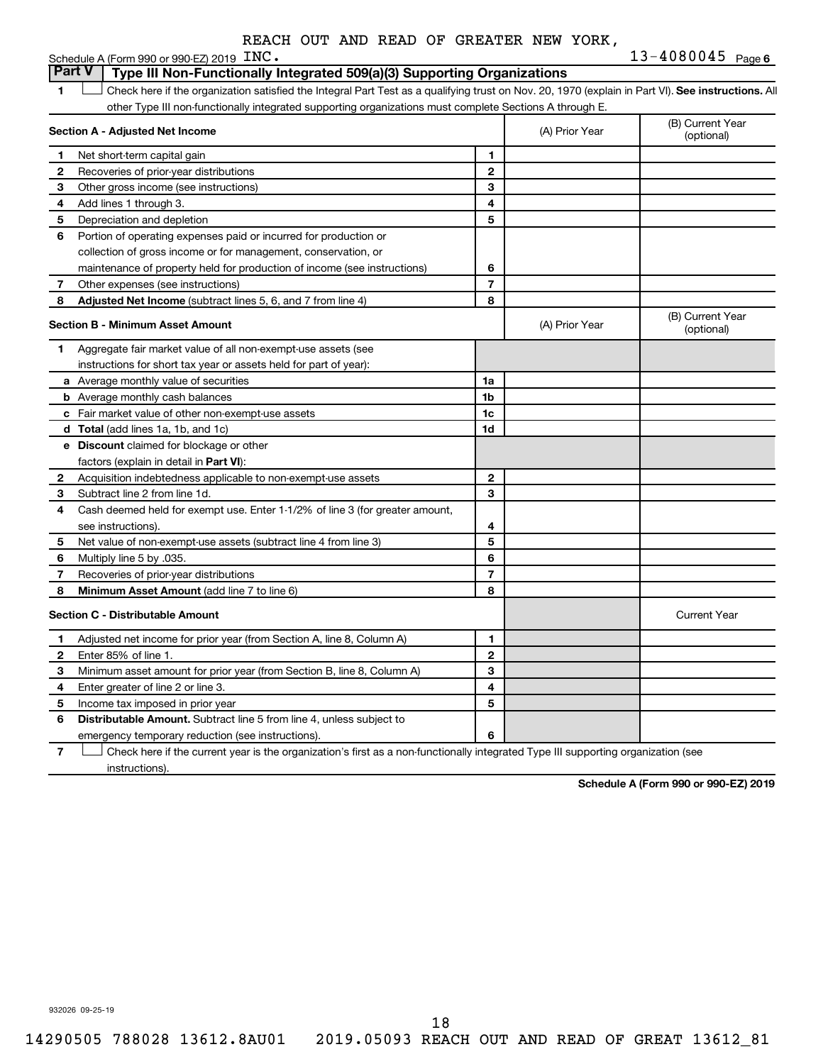|      |  |  | REACH OUT AND READ OF GREATER NEW YORK. |  |                |
|------|--|--|-----------------------------------------|--|----------------|
| INC. |  |  |                                         |  | $13 - 4080045$ |

|              | Schedule A (Form 990 or 990-EZ) 2019 $\text{LNC}$ .                                                                                                |                |                                | 13-4080045<br>Page 6           |
|--------------|----------------------------------------------------------------------------------------------------------------------------------------------------|----------------|--------------------------------|--------------------------------|
|              | <b>Part V</b><br>Type III Non-Functionally Integrated 509(a)(3) Supporting Organizations                                                           |                |                                |                                |
| 1            | Check here if the organization satisfied the Integral Part Test as a qualifying trust on Nov. 20, 1970 (explain in Part VI). See instructions. All |                |                                |                                |
|              | other Type III non-functionally integrated supporting organizations must complete Sections A through E.                                            |                |                                |                                |
|              | Section A - Adjusted Net Income                                                                                                                    | (A) Prior Year | (B) Current Year<br>(optional) |                                |
| 1            | Net short-term capital gain                                                                                                                        | 1              |                                |                                |
| 2            | Recoveries of prior-year distributions                                                                                                             | $\mathbf{2}$   |                                |                                |
| З            | Other gross income (see instructions)                                                                                                              | 3              |                                |                                |
| 4            | Add lines 1 through 3.                                                                                                                             | 4              |                                |                                |
| 5            | Depreciation and depletion                                                                                                                         | 5              |                                |                                |
| 6            | Portion of operating expenses paid or incurred for production or                                                                                   |                |                                |                                |
|              | collection of gross income or for management, conservation, or                                                                                     |                |                                |                                |
|              | maintenance of property held for production of income (see instructions)                                                                           | 6              |                                |                                |
| 7            | Other expenses (see instructions)                                                                                                                  | $\overline{7}$ |                                |                                |
| 8            | Adjusted Net Income (subtract lines 5, 6, and 7 from line 4)                                                                                       | 8              |                                |                                |
|              | Section B - Minimum Asset Amount                                                                                                                   |                | (A) Prior Year                 | (B) Current Year<br>(optional) |
| 1.           | Aggregate fair market value of all non-exempt-use assets (see                                                                                      |                |                                |                                |
|              | instructions for short tax year or assets held for part of year):                                                                                  |                |                                |                                |
|              | a Average monthly value of securities                                                                                                              | 1a             |                                |                                |
|              | <b>b</b> Average monthly cash balances                                                                                                             | 1 <sub>b</sub> |                                |                                |
|              | c Fair market value of other non-exempt-use assets                                                                                                 | 1 <sub>c</sub> |                                |                                |
|              | d Total (add lines 1a, 1b, and 1c)                                                                                                                 | 1 <sub>d</sub> |                                |                                |
|              | <b>e</b> Discount claimed for blockage or other                                                                                                    |                |                                |                                |
|              | factors (explain in detail in <b>Part VI</b> ):                                                                                                    |                |                                |                                |
| 2            | Acquisition indebtedness applicable to non-exempt-use assets                                                                                       | $\mathbf{2}$   |                                |                                |
| 3            | Subtract line 2 from line 1d.                                                                                                                      | 3              |                                |                                |
| 4            | Cash deemed held for exempt use. Enter 1-1/2% of line 3 (for greater amount,                                                                       |                |                                |                                |
|              | see instructions).                                                                                                                                 | 4              |                                |                                |
| 5            | Net value of non-exempt-use assets (subtract line 4 from line 3)                                                                                   | 5              |                                |                                |
| 6            | Multiply line 5 by .035.                                                                                                                           | 6              |                                |                                |
| 7            | Recoveries of prior-year distributions                                                                                                             | $\overline{7}$ |                                |                                |
| 8            | Minimum Asset Amount (add line 7 to line 6)                                                                                                        | 8              |                                |                                |
|              | <b>Section C - Distributable Amount</b>                                                                                                            |                |                                | <b>Current Year</b>            |
| 1            | Adjusted net income for prior year (from Section A, line 8, Column A)                                                                              | 1              |                                |                                |
| $\mathbf{2}$ | Enter 85% of line 1.                                                                                                                               | $\mathbf{2}$   |                                |                                |
| З            | Minimum asset amount for prior year (from Section B, line 8, Column A)                                                                             | 3              |                                |                                |
| 4            | Enter greater of line 2 or line 3.                                                                                                                 | 4              |                                |                                |
| 5            | Income tax imposed in prior year                                                                                                                   | 5              |                                |                                |
| 6            | <b>Distributable Amount.</b> Subtract line 5 from line 4, unless subject to                                                                        |                |                                |                                |
|              | emergency temporary reduction (see instructions).                                                                                                  | 6              |                                |                                |

**7** Let Check here if the current year is the organization's first as a non-functionally integrated Type III supporting organization (see instructions).

**Schedule A (Form 990 or 990-EZ) 2019**

932026 09-25-19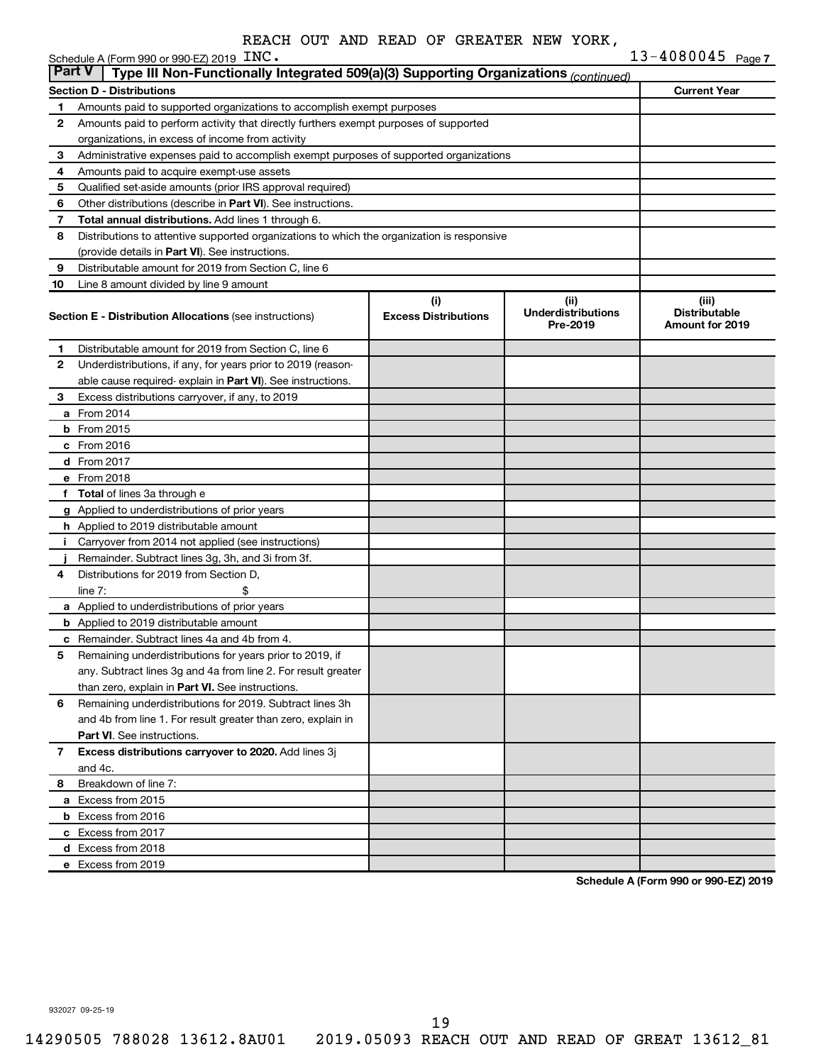|              | Schedule A (Form 990 or 990-EZ) 2019 INC.                                                                                 |                                    |                                                | 13-4080045 Page 7                                |
|--------------|---------------------------------------------------------------------------------------------------------------------------|------------------------------------|------------------------------------------------|--------------------------------------------------|
| Part V       | Type III Non-Functionally Integrated 509(a)(3) Supporting Organizations (continued)                                       |                                    |                                                |                                                  |
|              | Section D - Distributions                                                                                                 |                                    |                                                | <b>Current Year</b>                              |
| 1            | Amounts paid to supported organizations to accomplish exempt purposes                                                     |                                    |                                                |                                                  |
| 2            | Amounts paid to perform activity that directly furthers exempt purposes of supported                                      |                                    |                                                |                                                  |
|              | organizations, in excess of income from activity                                                                          |                                    |                                                |                                                  |
| 3            | Administrative expenses paid to accomplish exempt purposes of supported organizations                                     |                                    |                                                |                                                  |
| 4            | Amounts paid to acquire exempt-use assets                                                                                 |                                    |                                                |                                                  |
| 5<br>6       | Qualified set-aside amounts (prior IRS approval required)<br>Other distributions (describe in Part VI). See instructions. |                                    |                                                |                                                  |
| 7            | Total annual distributions. Add lines 1 through 6.                                                                        |                                    |                                                |                                                  |
| 8            | Distributions to attentive supported organizations to which the organization is responsive                                |                                    |                                                |                                                  |
|              | (provide details in Part VI). See instructions.                                                                           |                                    |                                                |                                                  |
| 9            | Distributable amount for 2019 from Section C, line 6                                                                      |                                    |                                                |                                                  |
| 10           | Line 8 amount divided by line 9 amount                                                                                    |                                    |                                                |                                                  |
|              | <b>Section E - Distribution Allocations (see instructions)</b>                                                            | (i)<br><b>Excess Distributions</b> | (iii)<br><b>Underdistributions</b><br>Pre-2019 | (iii)<br><b>Distributable</b><br>Amount for 2019 |
| 1            | Distributable amount for 2019 from Section C. line 6                                                                      |                                    |                                                |                                                  |
| 2            | Underdistributions, if any, for years prior to 2019 (reason-                                                              |                                    |                                                |                                                  |
|              | able cause required-explain in Part VI). See instructions.                                                                |                                    |                                                |                                                  |
| 3            | Excess distributions carryover, if any, to 2019                                                                           |                                    |                                                |                                                  |
|              | <b>a</b> From 2014                                                                                                        |                                    |                                                |                                                  |
|              | <b>b</b> From 2015                                                                                                        |                                    |                                                |                                                  |
|              | $c$ From 2016                                                                                                             |                                    |                                                |                                                  |
|              | d From 2017                                                                                                               |                                    |                                                |                                                  |
|              | e From 2018                                                                                                               |                                    |                                                |                                                  |
|              | f Total of lines 3a through e                                                                                             |                                    |                                                |                                                  |
|              | g Applied to underdistributions of prior years                                                                            |                                    |                                                |                                                  |
|              | <b>h</b> Applied to 2019 distributable amount                                                                             |                                    |                                                |                                                  |
| j.           | Carryover from 2014 not applied (see instructions)                                                                        |                                    |                                                |                                                  |
|              | Remainder. Subtract lines 3g, 3h, and 3i from 3f.                                                                         |                                    |                                                |                                                  |
| 4            | Distributions for 2019 from Section D,                                                                                    |                                    |                                                |                                                  |
|              | line $7:$<br>\$                                                                                                           |                                    |                                                |                                                  |
|              | a Applied to underdistributions of prior years                                                                            |                                    |                                                |                                                  |
|              | <b>b</b> Applied to 2019 distributable amount                                                                             |                                    |                                                |                                                  |
|              | c Remainder. Subtract lines 4a and 4b from 4.                                                                             |                                    |                                                |                                                  |
| 5            | Remaining underdistributions for years prior to 2019, if                                                                  |                                    |                                                |                                                  |
|              | any. Subtract lines 3g and 4a from line 2. For result greater                                                             |                                    |                                                |                                                  |
|              | than zero, explain in Part VI. See instructions.                                                                          |                                    |                                                |                                                  |
| 6            | Remaining underdistributions for 2019. Subtract lines 3h                                                                  |                                    |                                                |                                                  |
|              | and 4b from line 1. For result greater than zero, explain in                                                              |                                    |                                                |                                                  |
|              | <b>Part VI.</b> See instructions.                                                                                         |                                    |                                                |                                                  |
| $\mathbf{7}$ | Excess distributions carryover to 2020. Add lines 3j<br>and 4c.                                                           |                                    |                                                |                                                  |
| 8            | Breakdown of line 7:                                                                                                      |                                    |                                                |                                                  |
|              | a Excess from 2015                                                                                                        |                                    |                                                |                                                  |
|              | <b>b</b> Excess from 2016                                                                                                 |                                    |                                                |                                                  |
|              | c Excess from 2017                                                                                                        |                                    |                                                |                                                  |
|              | d Excess from 2018                                                                                                        |                                    |                                                |                                                  |
|              | e Excess from 2019                                                                                                        |                                    |                                                |                                                  |

**Schedule A (Form 990 or 990-EZ) 2019**

932027 09-25-19

19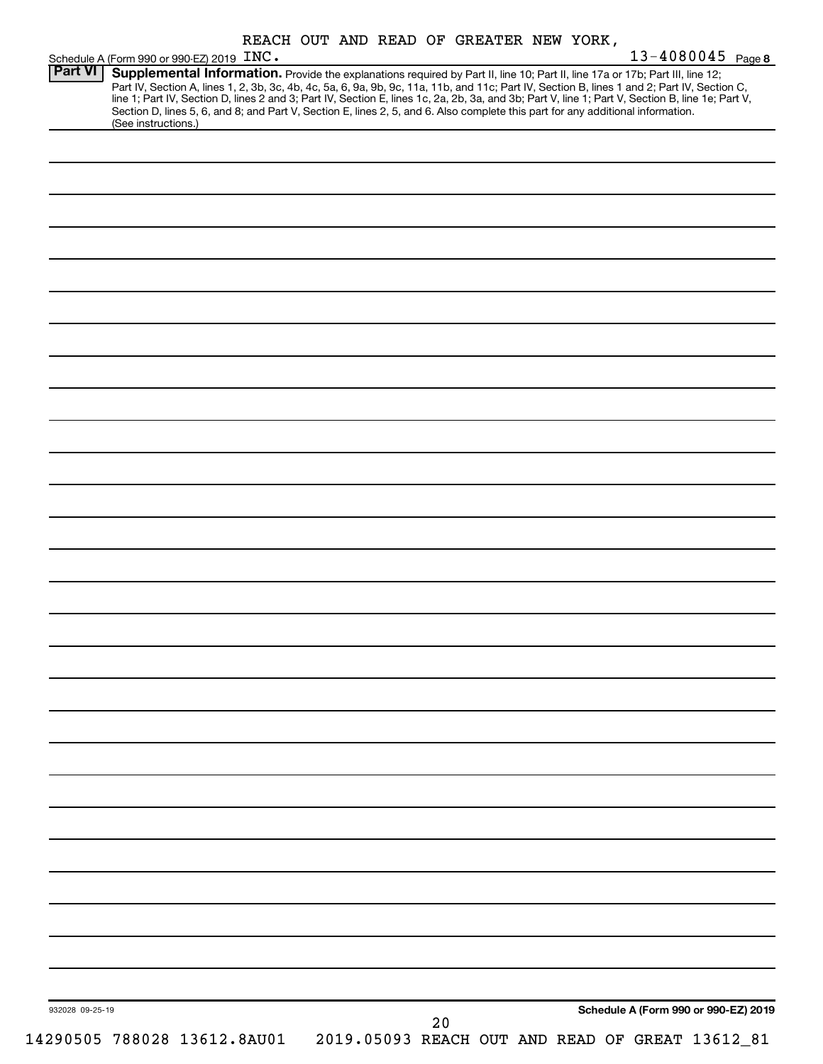| REACH OUT AND READ OF GREATER NEW YORK, |  |  |  |  |  |  |  |  |
|-----------------------------------------|--|--|--|--|--|--|--|--|
|-----------------------------------------|--|--|--|--|--|--|--|--|

|                 | Schedule A (Form 990 or 990-EZ) 2019 INC. |                                                                                                                                                                                                                               |  |    |  |  | 13-4080045 Page 8                    |
|-----------------|-------------------------------------------|-------------------------------------------------------------------------------------------------------------------------------------------------------------------------------------------------------------------------------|--|----|--|--|--------------------------------------|
| Part VI         |                                           | Supplemental Information. Provide the explanations required by Part II, line 10; Part II, line 17a or 17b; Part III, line 12;                                                                                                 |  |    |  |  |                                      |
|                 |                                           | Part IV, Section A, lines 1, 2, 3b, 3c, 4b, 4c, 5a, 6, 9a, 9b, 9c, 11a, 11b, and 11c; Part IV, Section B, lines 1 and 2; Part IV, Section C, line 1; Part IV, Section D, lines 2 and 3; Part IV, Section E, lines 1c, 2a, 2b, |  |    |  |  |                                      |
|                 |                                           | Section D, lines 5, 6, and 8; and Part V, Section E, lines 2, 5, and 6. Also complete this part for any additional information.                                                                                               |  |    |  |  |                                      |
|                 | (See instructions.)                       |                                                                                                                                                                                                                               |  |    |  |  |                                      |
|                 |                                           |                                                                                                                                                                                                                               |  |    |  |  |                                      |
|                 |                                           |                                                                                                                                                                                                                               |  |    |  |  |                                      |
|                 |                                           |                                                                                                                                                                                                                               |  |    |  |  |                                      |
|                 |                                           |                                                                                                                                                                                                                               |  |    |  |  |                                      |
|                 |                                           |                                                                                                                                                                                                                               |  |    |  |  |                                      |
|                 |                                           |                                                                                                                                                                                                                               |  |    |  |  |                                      |
|                 |                                           |                                                                                                                                                                                                                               |  |    |  |  |                                      |
|                 |                                           |                                                                                                                                                                                                                               |  |    |  |  |                                      |
|                 |                                           |                                                                                                                                                                                                                               |  |    |  |  |                                      |
|                 |                                           |                                                                                                                                                                                                                               |  |    |  |  |                                      |
|                 |                                           |                                                                                                                                                                                                                               |  |    |  |  |                                      |
|                 |                                           |                                                                                                                                                                                                                               |  |    |  |  |                                      |
|                 |                                           |                                                                                                                                                                                                                               |  |    |  |  |                                      |
|                 |                                           |                                                                                                                                                                                                                               |  |    |  |  |                                      |
|                 |                                           |                                                                                                                                                                                                                               |  |    |  |  |                                      |
|                 |                                           |                                                                                                                                                                                                                               |  |    |  |  |                                      |
|                 |                                           |                                                                                                                                                                                                                               |  |    |  |  |                                      |
|                 |                                           |                                                                                                                                                                                                                               |  |    |  |  |                                      |
|                 |                                           |                                                                                                                                                                                                                               |  |    |  |  |                                      |
|                 |                                           |                                                                                                                                                                                                                               |  |    |  |  |                                      |
|                 |                                           |                                                                                                                                                                                                                               |  |    |  |  |                                      |
|                 |                                           |                                                                                                                                                                                                                               |  |    |  |  |                                      |
|                 |                                           |                                                                                                                                                                                                                               |  |    |  |  |                                      |
|                 |                                           |                                                                                                                                                                                                                               |  |    |  |  |                                      |
|                 |                                           |                                                                                                                                                                                                                               |  |    |  |  |                                      |
|                 |                                           |                                                                                                                                                                                                                               |  |    |  |  |                                      |
|                 |                                           |                                                                                                                                                                                                                               |  |    |  |  |                                      |
|                 |                                           |                                                                                                                                                                                                                               |  |    |  |  |                                      |
|                 |                                           |                                                                                                                                                                                                                               |  |    |  |  |                                      |
|                 |                                           |                                                                                                                                                                                                                               |  |    |  |  |                                      |
|                 |                                           |                                                                                                                                                                                                                               |  |    |  |  |                                      |
|                 |                                           |                                                                                                                                                                                                                               |  |    |  |  |                                      |
|                 |                                           |                                                                                                                                                                                                                               |  |    |  |  |                                      |
|                 |                                           |                                                                                                                                                                                                                               |  |    |  |  |                                      |
|                 |                                           |                                                                                                                                                                                                                               |  |    |  |  |                                      |
|                 |                                           |                                                                                                                                                                                                                               |  |    |  |  |                                      |
|                 |                                           |                                                                                                                                                                                                                               |  |    |  |  |                                      |
|                 |                                           |                                                                                                                                                                                                                               |  |    |  |  |                                      |
|                 |                                           |                                                                                                                                                                                                                               |  |    |  |  |                                      |
|                 |                                           |                                                                                                                                                                                                                               |  |    |  |  |                                      |
|                 |                                           |                                                                                                                                                                                                                               |  |    |  |  |                                      |
|                 |                                           |                                                                                                                                                                                                                               |  |    |  |  |                                      |
|                 |                                           |                                                                                                                                                                                                                               |  |    |  |  |                                      |
|                 |                                           |                                                                                                                                                                                                                               |  |    |  |  |                                      |
|                 |                                           |                                                                                                                                                                                                                               |  |    |  |  |                                      |
|                 |                                           |                                                                                                                                                                                                                               |  |    |  |  |                                      |
|                 |                                           |                                                                                                                                                                                                                               |  |    |  |  |                                      |
|                 |                                           |                                                                                                                                                                                                                               |  |    |  |  |                                      |
|                 |                                           |                                                                                                                                                                                                                               |  |    |  |  |                                      |
|                 |                                           |                                                                                                                                                                                                                               |  |    |  |  |                                      |
|                 |                                           |                                                                                                                                                                                                                               |  |    |  |  |                                      |
|                 |                                           |                                                                                                                                                                                                                               |  |    |  |  |                                      |
|                 |                                           |                                                                                                                                                                                                                               |  |    |  |  |                                      |
|                 |                                           |                                                                                                                                                                                                                               |  |    |  |  |                                      |
|                 |                                           |                                                                                                                                                                                                                               |  |    |  |  |                                      |
|                 |                                           |                                                                                                                                                                                                                               |  |    |  |  |                                      |
|                 |                                           |                                                                                                                                                                                                                               |  |    |  |  |                                      |
|                 |                                           |                                                                                                                                                                                                                               |  |    |  |  |                                      |
|                 |                                           |                                                                                                                                                                                                                               |  |    |  |  |                                      |
|                 |                                           |                                                                                                                                                                                                                               |  |    |  |  |                                      |
|                 |                                           |                                                                                                                                                                                                                               |  |    |  |  |                                      |
|                 |                                           |                                                                                                                                                                                                                               |  |    |  |  |                                      |
| 932028 09-25-19 |                                           |                                                                                                                                                                                                                               |  |    |  |  | Schedule A (Form 990 or 990-EZ) 2019 |
|                 |                                           |                                                                                                                                                                                                                               |  | 20 |  |  |                                      |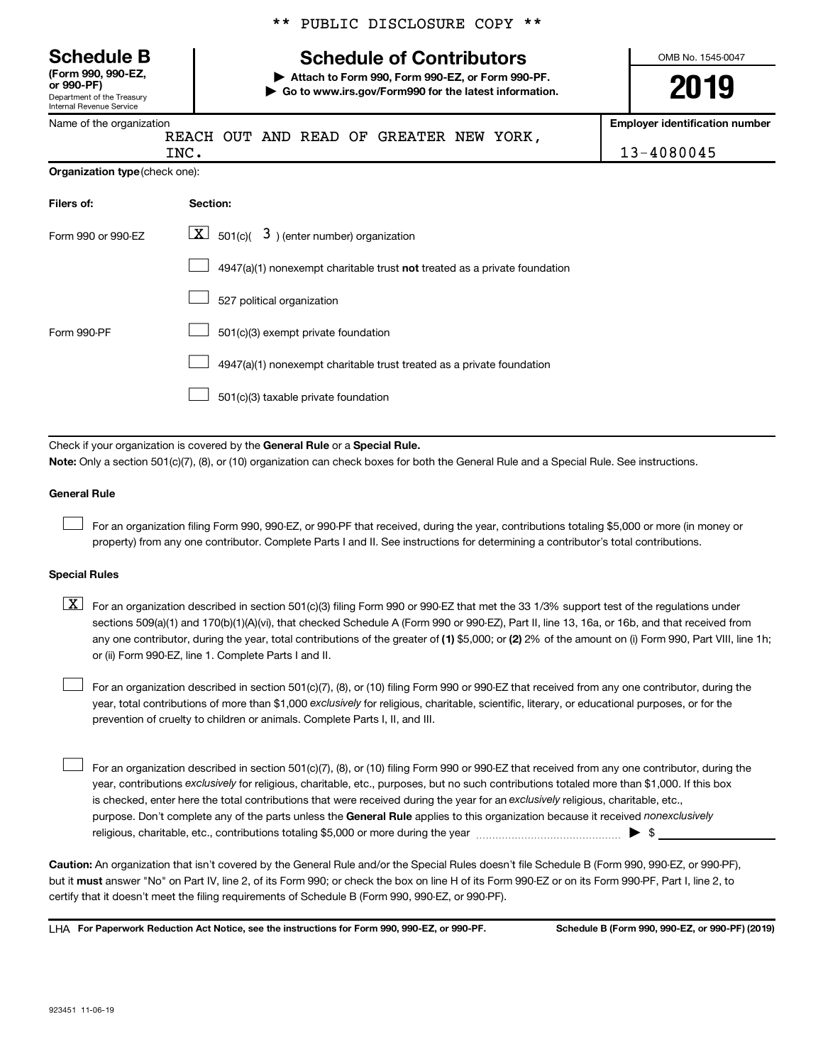Department of the Treasury Internal Revenue Service **(Form 990, 990-EZ,**

|  |  | ** PUBLIC DISCLOSURE COPY ** |  |  |
|--|--|------------------------------|--|--|
|--|--|------------------------------|--|--|

# **Schedule B Schedule of Contributors**

**or 990-PF) | Attach to Form 990, Form 990-EZ, or Form 990-PF. | Go to www.irs.gov/Form990 for the latest information.** OMB No. 1545-0047

**Employer identification number**

| Name of the organization |  |
|--------------------------|--|
| RI                       |  |

REACH OUT AND READ OF GREATER NEW YORK,

**Organization type** (check one): INC. 13-4080045

| Filers of:         | Section:                                                                  |
|--------------------|---------------------------------------------------------------------------|
| Form 990 or 990-EZ | $\lfloor \underline{X} \rfloor$ 501(c)( 3) (enter number) organization    |
|                    | 4947(a)(1) nonexempt charitable trust not treated as a private foundation |
|                    | 527 political organization                                                |
| Form 990-PF        | 501(c)(3) exempt private foundation                                       |
|                    | 4947(a)(1) nonexempt charitable trust treated as a private foundation     |
|                    | 501(c)(3) taxable private foundation                                      |

Check if your organization is covered by the General Rule or a Special Rule. **Note:**  Only a section 501(c)(7), (8), or (10) organization can check boxes for both the General Rule and a Special Rule. See instructions.

#### **General Rule**

 $\Box$ 

For an organization filing Form 990, 990-EZ, or 990-PF that received, during the year, contributions totaling \$5,000 or more (in money or property) from any one contributor. Complete Parts I and II. See instructions for determining a contributor's total contributions.

#### **Special Rules**

any one contributor, during the year, total contributions of the greater of (1) \$5,000; or (2) 2% of the amount on (i) Form 990, Part VIII, line 1h;  $\boxed{\text{X}}$  For an organization described in section 501(c)(3) filing Form 990 or 990-EZ that met the 33 1/3% support test of the regulations under sections 509(a)(1) and 170(b)(1)(A)(vi), that checked Schedule A (Form 990 or 990-EZ), Part II, line 13, 16a, or 16b, and that received from or (ii) Form 990-EZ, line 1. Complete Parts I and II.

year, total contributions of more than \$1,000 *exclusively* for religious, charitable, scientific, literary, or educational purposes, or for the For an organization described in section 501(c)(7), (8), or (10) filing Form 990 or 990-EZ that received from any one contributor, during the prevention of cruelty to children or animals. Complete Parts I, II, and III.  $\Box$ 

purpose. Don't complete any of the parts unless the General Rule applies to this organization because it received nonexclusively year, contributions exclusively for religious, charitable, etc., purposes, but no such contributions totaled more than \$1,000. If this box is checked, enter here the total contributions that were received during the year for an exclusively religious, charitable, etc., For an organization described in section 501(c)(7), (8), or (10) filing Form 990 or 990-EZ that received from any one contributor, during the religious, charitable, etc., contributions totaling \$5,000 or more during the year  $\ldots$  $\ldots$  $\ldots$  $\ldots$  $\ldots$  $\ldots$  $\Box$ 

**Caution:**  An organization that isn't covered by the General Rule and/or the Special Rules doesn't file Schedule B (Form 990, 990-EZ, or 990-PF),  **must** but it answer "No" on Part IV, line 2, of its Form 990; or check the box on line H of its Form 990-EZ or on its Form 990-PF, Part I, line 2, to certify that it doesn't meet the filing requirements of Schedule B (Form 990, 990-EZ, or 990-PF).

**For Paperwork Reduction Act Notice, see the instructions for Form 990, 990-EZ, or 990-PF. Schedule B (Form 990, 990-EZ, or 990-PF) (2019)** LHA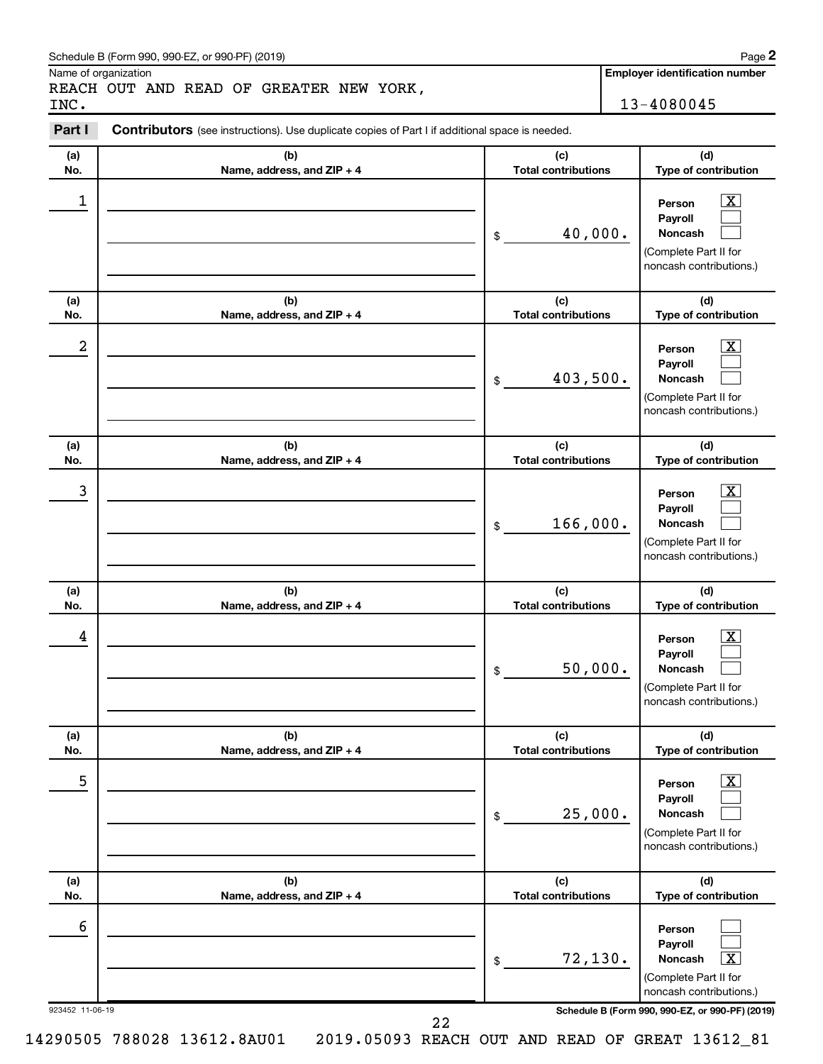#### Schedule B (Form 990, 990-EZ, or 990-PF) (2019)

Name of organization

REACH OUT AND READ OF GREATER NEW YORK, INC. 13-4080045

**Employer identification number**

#### **(a) No. (b) Name, address, and ZIP + 4 (c) Total contributions (d) Type of contribution Person Payroll Noncash (a) No. (b) Name, address, and ZIP + 4 (c) Total contributions (d) Type of contribution Person Payroll Noncash (a) No. (b) Name, address, and ZIP + 4 (c) Total contributions (d) Type of contribution Person Payroll Noncash (a) No. (b) Name, address, and ZIP + 4 (c) Total contributions (d) Type of contribution Person Payroll Noncash (a) No. (b) Name, address, and ZIP + 4 (c) Total contributions (d) Type of contribution Person Payroll Noncash (a) No. (b) Name, address, and ZIP + 4 (c) Total contributions (d) Type of contribution Person Payroll Noncash Part I** Contributors (see instructions). Use duplicate copies of Part I if additional space is needed. \$ (Complete Part II for noncash contributions.) \$ (Complete Part II for noncash contributions.) \$ (Complete Part II for noncash contributions.) \$ (Complete Part II for noncash contributions.) \$ (Complete Part II for noncash contributions.) \$ (Complete Part II for noncash contributions.)  $\boxed{\textbf{X}}$  $\Box$  $\Box$  $\overline{\mathbf{X}}$  $\Box$  $\Box$  $\boxed{\textbf{X}}$  $\Box$  $\Box$  $\boxed{\textbf{X}}$  $\Box$  $\Box$  $\boxed{\text{X}}$  $\Box$  $\Box$  $\Box$  $\Box$  $\boxed{\textbf{X}}$  $\begin{array}{|c|c|c|c|c|}\hline \ \text{1} & \text{Person} & \text{X} \ \hline \end{array}$ 40,000.  $2$  Person  $\overline{\text{X}}$ 403,500.  $\begin{array}{|c|c|c|c|c|c|}\hline \text{3} & \text{Person} & \text{X} \ \hline \end{array}$ 166,000.  $\begin{array}{|c|c|c|c|c|}\hline \text{4} & \text{Person} & \text{\textbf{X}}\ \hline \end{array}$ 50,000. 5 X 25,000. 6 72,130. X

923452 11-06-19 **Schedule B (Form 990, 990-EZ, or 990-PF) (2019)**

14290505 788028 13612.8AU01 2019.05093 REACH OUT AND READ OF GREAT 13612\_81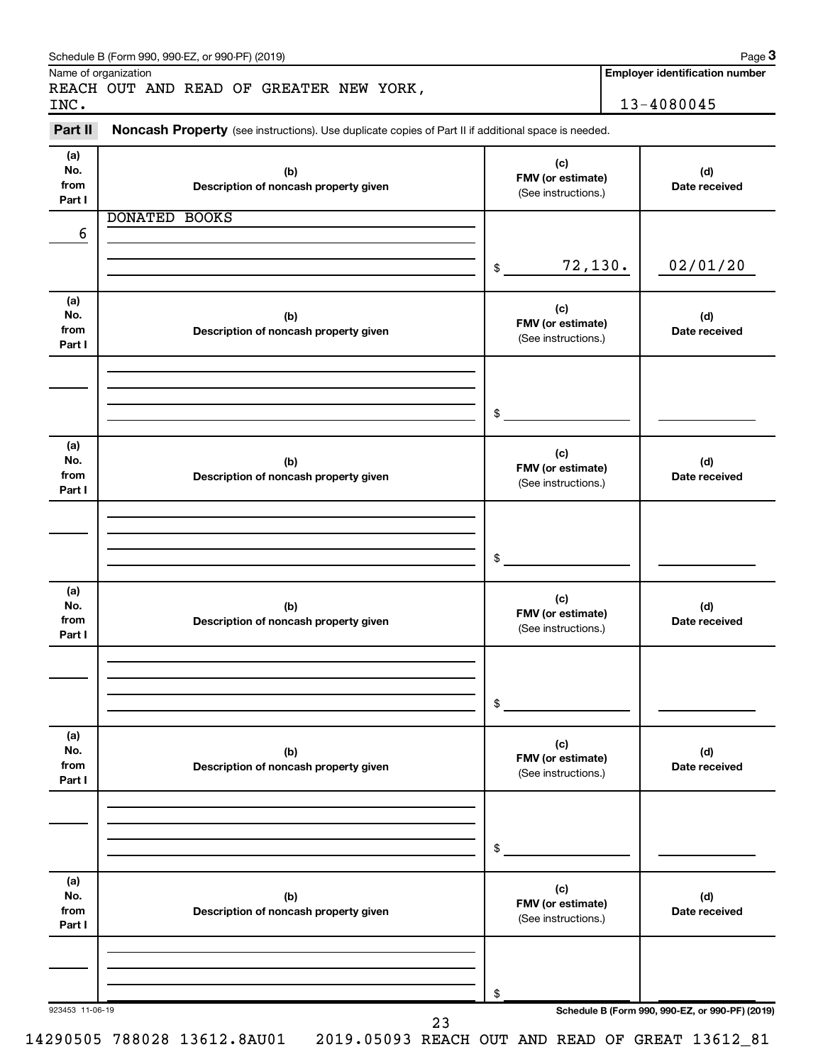|                              | Name of organization<br>REACH OUT AND READ OF GREATER NEW YORK,                                     |                                                 | <b>Employer identification number</b>           |
|------------------------------|-----------------------------------------------------------------------------------------------------|-------------------------------------------------|-------------------------------------------------|
| INC.<br>Part II              | Noncash Property (see instructions). Use duplicate copies of Part II if additional space is needed. |                                                 | 13-4080045                                      |
|                              |                                                                                                     |                                                 |                                                 |
| (a)<br>No.<br>from<br>Part I | (b)<br>Description of noncash property given                                                        | (c)<br>FMV (or estimate)<br>(See instructions.) | (d)<br>Date received                            |
|                              | <b>DONATED BOOKS</b>                                                                                |                                                 |                                                 |
| 6                            |                                                                                                     |                                                 |                                                 |
|                              |                                                                                                     | 72,130.<br>\$                                   | 02/01/20                                        |
| (a)<br>No.<br>from<br>Part I | (b)<br>Description of noncash property given                                                        | (c)<br>FMV (or estimate)<br>(See instructions.) | (d)<br>Date received                            |
|                              |                                                                                                     |                                                 |                                                 |
|                              |                                                                                                     | \$                                              |                                                 |
| (a)<br>No.<br>from<br>Part I | (b)<br>Description of noncash property given                                                        | (c)<br>FMV (or estimate)<br>(See instructions.) | (d)<br>Date received                            |
|                              |                                                                                                     |                                                 |                                                 |
|                              |                                                                                                     | \$                                              |                                                 |
| (a)<br>No.<br>from<br>Part I | (b)<br>Description of noncash property given                                                        | (c)<br>FMV (or estimate)<br>(See instructions.) | (d)<br>Date received                            |
|                              |                                                                                                     |                                                 |                                                 |
|                              |                                                                                                     | \$                                              |                                                 |
| (a)<br>No.<br>from<br>Part I | (b)<br>Description of noncash property given                                                        | (c)<br>FMV (or estimate)<br>(See instructions.) | (d)<br>Date received                            |
|                              |                                                                                                     |                                                 |                                                 |
|                              |                                                                                                     | \$                                              |                                                 |
| (a)<br>No.<br>from<br>Part I | (b)<br>Description of noncash property given                                                        | (c)<br>FMV (or estimate)<br>(See instructions.) | (d)<br>Date received                            |
|                              |                                                                                                     |                                                 |                                                 |
| 923453 11-06-19              |                                                                                                     | \$                                              | Schedule B (Form 990, 990-EZ, or 990-PF) (2019) |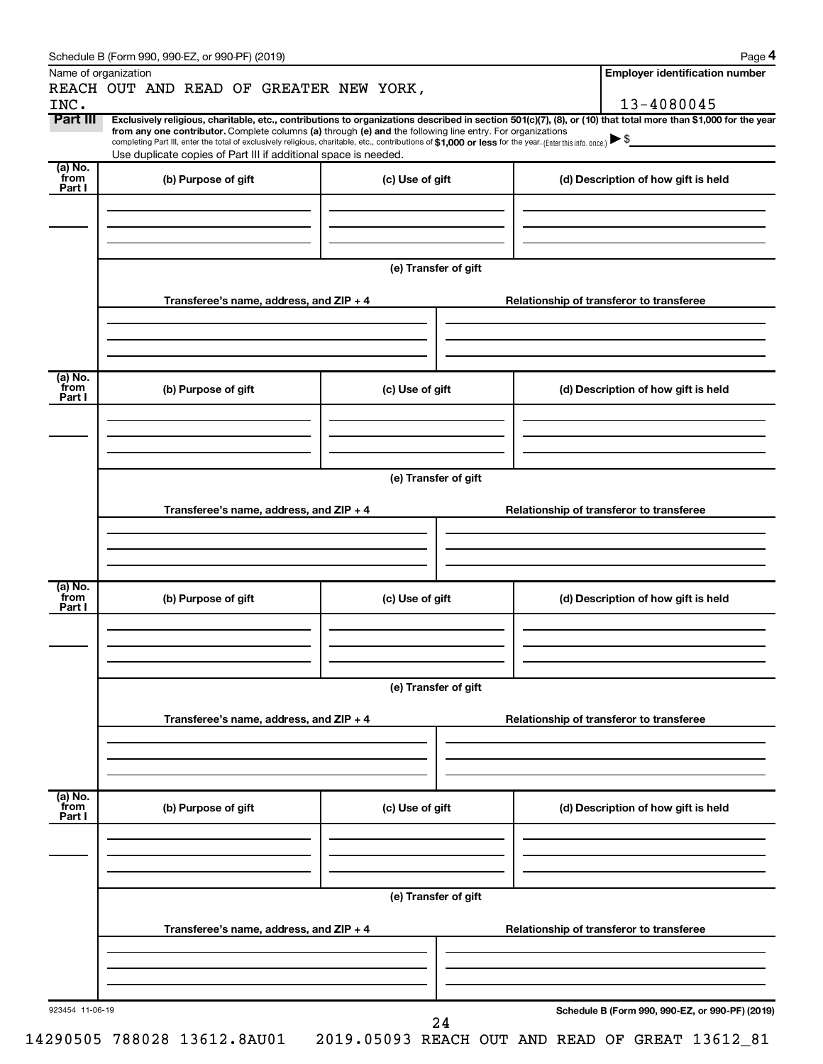|                           | Name of organization                                                                                                                                                                                                                                                        |                      | <b>Employer identification number</b>                                                                                                                          |
|---------------------------|-----------------------------------------------------------------------------------------------------------------------------------------------------------------------------------------------------------------------------------------------------------------------------|----------------------|----------------------------------------------------------------------------------------------------------------------------------------------------------------|
| INC.                      | REACH OUT AND READ OF GREATER NEW YORK,                                                                                                                                                                                                                                     |                      | 13-4080045                                                                                                                                                     |
| Part III                  |                                                                                                                                                                                                                                                                             |                      | Exclusively religious, charitable, etc., contributions to organizations described in section 501(c)(7), (8), or (10) that total more than \$1,000 for the year |
|                           | from any one contributor. Complete columns (a) through (e) and the following line entry. For organizations<br>completing Part III, enter the total of exclusively religious, charitable, etc., contributions of \$1,000 or less for the year. (Enter this info. once.) ▶ \$ |                      |                                                                                                                                                                |
|                           | Use duplicate copies of Part III if additional space is needed.                                                                                                                                                                                                             |                      |                                                                                                                                                                |
| (a) No.<br>`from          | (b) Purpose of gift                                                                                                                                                                                                                                                         | (c) Use of gift      | (d) Description of how gift is held                                                                                                                            |
| Part I                    |                                                                                                                                                                                                                                                                             |                      |                                                                                                                                                                |
|                           |                                                                                                                                                                                                                                                                             |                      |                                                                                                                                                                |
|                           |                                                                                                                                                                                                                                                                             |                      |                                                                                                                                                                |
|                           |                                                                                                                                                                                                                                                                             |                      |                                                                                                                                                                |
|                           |                                                                                                                                                                                                                                                                             | (e) Transfer of gift |                                                                                                                                                                |
|                           |                                                                                                                                                                                                                                                                             |                      |                                                                                                                                                                |
|                           | Transferee's name, address, and $ZIP + 4$                                                                                                                                                                                                                                   |                      | Relationship of transferor to transferee                                                                                                                       |
|                           |                                                                                                                                                                                                                                                                             |                      |                                                                                                                                                                |
|                           |                                                                                                                                                                                                                                                                             |                      |                                                                                                                                                                |
|                           |                                                                                                                                                                                                                                                                             |                      |                                                                                                                                                                |
| (a) No.<br>from           | (b) Purpose of gift                                                                                                                                                                                                                                                         | (c) Use of gift      | (d) Description of how gift is held                                                                                                                            |
| Part I                    |                                                                                                                                                                                                                                                                             |                      |                                                                                                                                                                |
|                           |                                                                                                                                                                                                                                                                             |                      |                                                                                                                                                                |
|                           |                                                                                                                                                                                                                                                                             |                      |                                                                                                                                                                |
|                           |                                                                                                                                                                                                                                                                             |                      |                                                                                                                                                                |
|                           |                                                                                                                                                                                                                                                                             | (e) Transfer of gift |                                                                                                                                                                |
|                           |                                                                                                                                                                                                                                                                             |                      |                                                                                                                                                                |
|                           | Transferee's name, address, and $ZIP + 4$                                                                                                                                                                                                                                   |                      | Relationship of transferor to transferee                                                                                                                       |
|                           |                                                                                                                                                                                                                                                                             |                      |                                                                                                                                                                |
|                           |                                                                                                                                                                                                                                                                             |                      |                                                                                                                                                                |
|                           |                                                                                                                                                                                                                                                                             |                      |                                                                                                                                                                |
| (a) No.<br>`from          | (b) Purpose of gift                                                                                                                                                                                                                                                         | (c) Use of gift      | (d) Description of how gift is held                                                                                                                            |
| Part I                    |                                                                                                                                                                                                                                                                             |                      |                                                                                                                                                                |
|                           |                                                                                                                                                                                                                                                                             |                      |                                                                                                                                                                |
|                           |                                                                                                                                                                                                                                                                             |                      |                                                                                                                                                                |
|                           |                                                                                                                                                                                                                                                                             |                      |                                                                                                                                                                |
|                           |                                                                                                                                                                                                                                                                             | (e) Transfer of gift |                                                                                                                                                                |
|                           | Transferee's name, address, and ZIP + 4                                                                                                                                                                                                                                     |                      | Relationship of transferor to transferee                                                                                                                       |
|                           |                                                                                                                                                                                                                                                                             |                      |                                                                                                                                                                |
|                           |                                                                                                                                                                                                                                                                             |                      |                                                                                                                                                                |
|                           |                                                                                                                                                                                                                                                                             |                      |                                                                                                                                                                |
|                           |                                                                                                                                                                                                                                                                             |                      |                                                                                                                                                                |
| (a) No.<br>from<br>Part I | (b) Purpose of gift                                                                                                                                                                                                                                                         | (c) Use of gift      | (d) Description of how gift is held                                                                                                                            |
|                           |                                                                                                                                                                                                                                                                             |                      |                                                                                                                                                                |
|                           |                                                                                                                                                                                                                                                                             |                      |                                                                                                                                                                |
|                           |                                                                                                                                                                                                                                                                             |                      |                                                                                                                                                                |
|                           |                                                                                                                                                                                                                                                                             |                      |                                                                                                                                                                |
|                           |                                                                                                                                                                                                                                                                             | (e) Transfer of gift |                                                                                                                                                                |
|                           | Transferee's name, address, and $ZIP + 4$                                                                                                                                                                                                                                   |                      | Relationship of transferor to transferee                                                                                                                       |
|                           |                                                                                                                                                                                                                                                                             |                      |                                                                                                                                                                |
|                           |                                                                                                                                                                                                                                                                             |                      |                                                                                                                                                                |
|                           |                                                                                                                                                                                                                                                                             |                      |                                                                                                                                                                |
|                           |                                                                                                                                                                                                                                                                             |                      |                                                                                                                                                                |
| 923454 11-06-19           |                                                                                                                                                                                                                                                                             |                      | Schedule B (Form 990, 990-EZ, or 990-PF) (2019)                                                                                                                |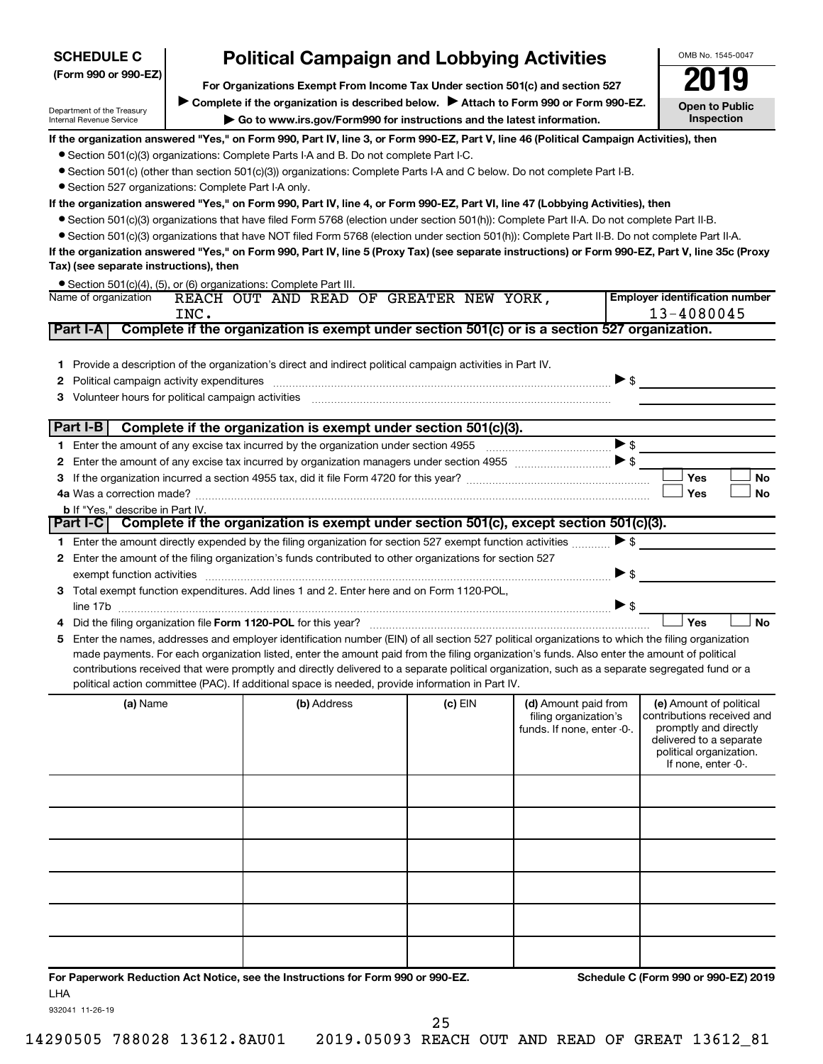| <b>SCHEDULE C</b>                                      |      | <b>Political Campaign and Lobbying Activities</b>                                                                                                             |         |                                                     | OMB No. 1545-0047                                   |
|--------------------------------------------------------|------|---------------------------------------------------------------------------------------------------------------------------------------------------------------|---------|-----------------------------------------------------|-----------------------------------------------------|
| (Form 990 or 990-EZ)                                   |      | For Organizations Exempt From Income Tax Under section 501(c) and section 527                                                                                 |         |                                                     |                                                     |
| Department of the Treasury<br>Internal Revenue Service |      | Complete if the organization is described below. Attach to Form 990 or Form 990-EZ.<br>Go to www.irs.gov/Form990 for instructions and the latest information. |         |                                                     | <b>Open to Public</b><br>Inspection                 |
|                                                        |      | If the organization answered "Yes," on Form 990, Part IV, line 3, or Form 990-EZ, Part V, line 46 (Political Campaign Activities), then                       |         |                                                     |                                                     |
|                                                        |      | • Section 501(c)(3) organizations: Complete Parts I-A and B. Do not complete Part I-C.                                                                        |         |                                                     |                                                     |
|                                                        |      | ● Section 501(c) (other than section 501(c)(3)) organizations: Complete Parts I-A and C below. Do not complete Part I-B.                                      |         |                                                     |                                                     |
| • Section 527 organizations: Complete Part I-A only.   |      |                                                                                                                                                               |         |                                                     |                                                     |
|                                                        |      | If the organization answered "Yes," on Form 990, Part IV, line 4, or Form 990-EZ, Part VI, line 47 (Lobbying Activities), then                                |         |                                                     |                                                     |
|                                                        |      | ● Section 501(c)(3) organizations that have filed Form 5768 (election under section 501(h)): Complete Part II-A. Do not complete Part II-B.                   |         |                                                     |                                                     |
|                                                        |      | • Section 501(c)(3) organizations that have NOT filed Form 5768 (election under section 501(h)): Complete Part II-B. Do not complete Part II-A.               |         |                                                     |                                                     |
|                                                        |      | If the organization answered "Yes," on Form 990, Part IV, line 5 (Proxy Tax) (see separate instructions) or Form 990-EZ, Part V, line 35c (Proxy              |         |                                                     |                                                     |
| Tax) (see separate instructions), then                 |      |                                                                                                                                                               |         |                                                     |                                                     |
| Name of organization                                   |      | • Section 501(c)(4), (5), or (6) organizations: Complete Part III.<br>REACH OUT AND READ OF GREATER NEW YORK,                                                 |         |                                                     | <b>Employer identification number</b>               |
|                                                        | INC. |                                                                                                                                                               |         |                                                     | 13-4080045                                          |
| Part I-A                                               |      | Complete if the organization is exempt under section 501(c) or is a section 527 organization.                                                                 |         |                                                     |                                                     |
|                                                        |      |                                                                                                                                                               |         |                                                     |                                                     |
| 1.                                                     |      | Provide a description of the organization's direct and indirect political campaign activities in Part IV.                                                     |         |                                                     |                                                     |
|                                                        |      |                                                                                                                                                               |         |                                                     | $\blacktriangleright$ \$                            |
| 3 Volunteer hours for political campaign activities    |      |                                                                                                                                                               |         |                                                     |                                                     |
|                                                        |      |                                                                                                                                                               |         |                                                     |                                                     |
| Part I-B                                               |      | Complete if the organization is exempt under section 501(c)(3).                                                                                               |         |                                                     |                                                     |
|                                                        |      |                                                                                                                                                               |         |                                                     | $\blacktriangleright$ \$                            |
|                                                        |      | 2 Enter the amount of any excise tax incurred by organization managers under section 4955                                                                     |         |                                                     | $\triangleright$ s                                  |
|                                                        |      |                                                                                                                                                               |         |                                                     | Yes<br><b>No</b>                                    |
|                                                        |      |                                                                                                                                                               |         |                                                     | <b>No</b><br>Yes                                    |
| <b>b</b> If "Yes," describe in Part IV.                |      |                                                                                                                                                               |         |                                                     |                                                     |
|                                                        |      | Part I-C Complete if the organization is exempt under section 501(c), except section 501(c)(3).                                                               |         |                                                     |                                                     |
|                                                        |      | 1 Enter the amount directly expended by the filing organization for section 527 exempt function activities                                                    |         |                                                     | $\triangleright$ s                                  |
|                                                        |      | 2 Enter the amount of the filing organization's funds contributed to other organizations for section 527                                                      |         |                                                     |                                                     |
|                                                        |      |                                                                                                                                                               |         |                                                     | $\blacktriangleright$ \$                            |
|                                                        |      | 3 Total exempt function expenditures. Add lines 1 and 2. Enter here and on Form 1120-POL.                                                                     |         |                                                     |                                                     |
|                                                        |      |                                                                                                                                                               |         |                                                     | $\triangleright$ \$                                 |
|                                                        |      |                                                                                                                                                               |         |                                                     | Yes<br><b>No</b>                                    |
| 5.                                                     |      | Enter the names, addresses and employer identification number (EIN) of all section 527 political organizations to which the filing organization               |         |                                                     |                                                     |
|                                                        |      | made payments. For each organization listed, enter the amount paid from the filing organization's funds. Also enter the amount of political                   |         |                                                     |                                                     |
|                                                        |      | contributions received that were promptly and directly delivered to a separate political organization, such as a separate segregated fund or a                |         |                                                     |                                                     |
|                                                        |      | political action committee (PAC). If additional space is needed, provide information in Part IV.                                                              |         |                                                     |                                                     |
| (a) Name                                               |      | (b) Address                                                                                                                                                   | (c) EIN | (d) Amount paid from                                | (e) Amount of political                             |
|                                                        |      |                                                                                                                                                               |         | filing organization's<br>funds. If none, enter -0-. | contributions received and<br>promptly and directly |

| <b>a</b> <i>i</i> varie | $\mu$ $\sim$ $\mu$ $\sim$ | יים נש | <b>U</b> Amount paid nom<br>filing organization's<br>funds. If none, enter -0-. | <b>(c)</b> Millouilt of political<br>contributions received and<br>promptly and directly<br>delivered to a separate<br>political organization.<br>If none, enter -0-. |
|-------------------------|---------------------------|--------|---------------------------------------------------------------------------------|-----------------------------------------------------------------------------------------------------------------------------------------------------------------------|
|                         |                           |        |                                                                                 |                                                                                                                                                                       |
|                         |                           |        |                                                                                 |                                                                                                                                                                       |
|                         |                           |        |                                                                                 |                                                                                                                                                                       |
|                         |                           |        |                                                                                 |                                                                                                                                                                       |
|                         |                           |        |                                                                                 |                                                                                                                                                                       |
|                         |                           |        |                                                                                 |                                                                                                                                                                       |

**For Paperwork Reduction Act Notice, see the Instructions for Form 990 or 990-EZ. Schedule C (Form 990 or 990-EZ) 2019** LHA

932041 11-26-19

14290505 788028 13612.8AU01 2019.05093 REACH OUT AND READ OF GREAT 13612\_81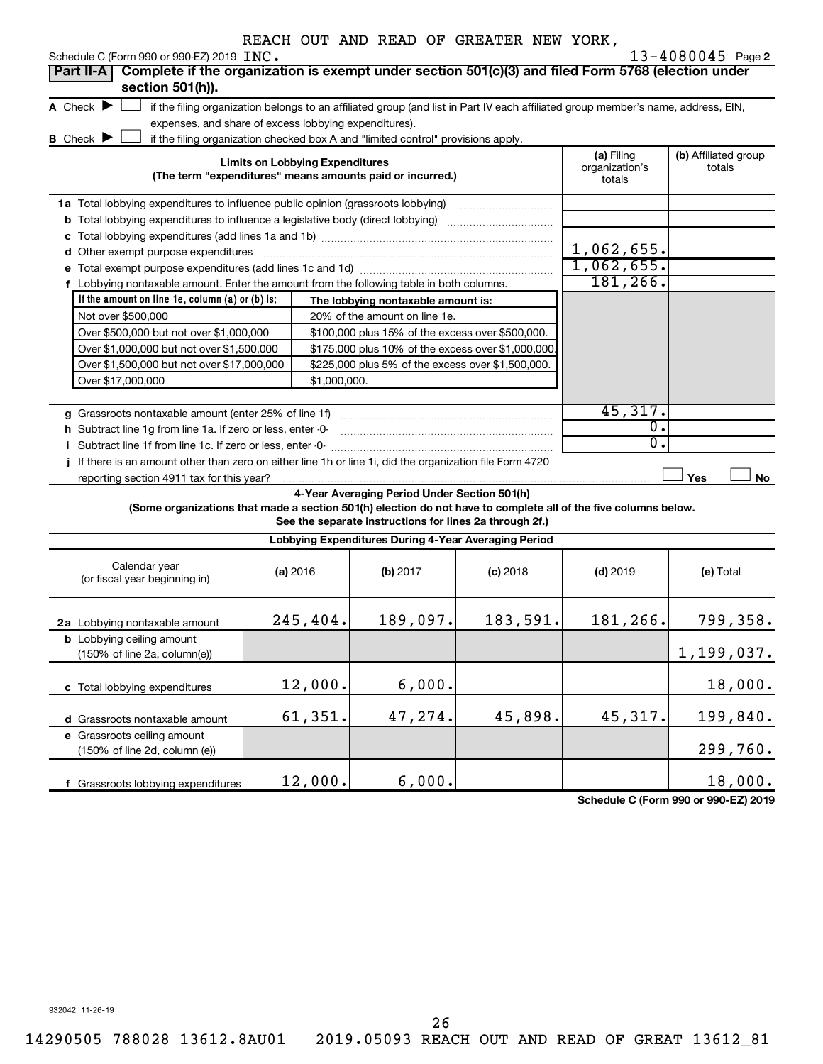| Schedule C (Form 990 or 990-EZ) 2019 INC.                                                                                                              |                                                       |                                                                                                                                               |            |                                        | $13 - 4080045$ Page 2          |
|--------------------------------------------------------------------------------------------------------------------------------------------------------|-------------------------------------------------------|-----------------------------------------------------------------------------------------------------------------------------------------------|------------|----------------------------------------|--------------------------------|
| Complete if the organization is exempt under section 501(c)(3) and filed Form 5768 (election under<br><b>Part II-A</b><br>section 501(h)).             |                                                       |                                                                                                                                               |            |                                        |                                |
| A Check $\blacktriangleright$                                                                                                                          | expenses, and share of excess lobbying expenditures). | if the filing organization belongs to an affiliated group (and list in Part IV each affiliated group member's name, address, EIN,             |            |                                        |                                |
| <b>B</b> Check <b>J</b>                                                                                                                                | <b>Limits on Lobbying Expenditures</b>                | if the filing organization checked box A and "limited control" provisions apply.<br>(The term "expenditures" means amounts paid or incurred.) |            | (a) Filing<br>organization's<br>totals | (b) Affiliated group<br>totals |
| 1a Total lobbying expenditures to influence public opinion (grassroots lobbying)                                                                       |                                                       |                                                                                                                                               |            |                                        |                                |
| <b>b</b> Total lobbying expenditures to influence a legislative body (direct lobbying) <i>manumanomes</i>                                              |                                                       |                                                                                                                                               |            |                                        |                                |
|                                                                                                                                                        |                                                       |                                                                                                                                               |            |                                        |                                |
| d Other exempt purpose expenditures                                                                                                                    |                                                       |                                                                                                                                               |            | 1,062,655.                             |                                |
|                                                                                                                                                        |                                                       |                                                                                                                                               |            | 1,062,655.                             |                                |
| f Lobbying nontaxable amount. Enter the amount from the following table in both columns.                                                               |                                                       |                                                                                                                                               |            | 181,266.                               |                                |
| If the amount on line 1e, column (a) or (b) is:                                                                                                        |                                                       |                                                                                                                                               |            |                                        |                                |
|                                                                                                                                                        |                                                       | The lobbying nontaxable amount is:                                                                                                            |            |                                        |                                |
| Not over \$500,000                                                                                                                                     |                                                       | 20% of the amount on line 1e.                                                                                                                 |            |                                        |                                |
| Over \$500,000 but not over \$1,000,000                                                                                                                |                                                       | \$100,000 plus 15% of the excess over \$500,000.                                                                                              |            |                                        |                                |
| Over \$1,000,000 but not over \$1,500,000                                                                                                              |                                                       | \$175,000 plus 10% of the excess over \$1,000,000                                                                                             |            |                                        |                                |
| Over \$1,500,000 but not over \$17,000,000                                                                                                             |                                                       | \$225,000 plus 5% of the excess over \$1,500,000.                                                                                             |            |                                        |                                |
| Over \$17,000,000                                                                                                                                      | \$1,000,000.                                          |                                                                                                                                               |            |                                        |                                |
|                                                                                                                                                        |                                                       |                                                                                                                                               |            |                                        |                                |
|                                                                                                                                                        |                                                       |                                                                                                                                               |            | 45,317.                                |                                |
| h Subtract line 1q from line 1a. If zero or less, enter -0-                                                                                            |                                                       |                                                                                                                                               |            | 0.                                     |                                |
| i Subtract line 1f from line 1c. If zero or less, enter 0-                                                                                             |                                                       |                                                                                                                                               |            | 0.                                     |                                |
| j If there is an amount other than zero on either line 1h or line 1i, did the organization file Form 4720<br>reporting section 4911 tax for this year? |                                                       |                                                                                                                                               |            |                                        | Yes<br>No                      |
| (Some organizations that made a section 501(h) election do not have to complete all of the five columns below.                                         |                                                       | 4-Year Averaging Period Under Section 501(h)<br>See the separate instructions for lines 2a through 2f.)                                       |            |                                        |                                |
|                                                                                                                                                        |                                                       | Lobbying Expenditures During 4-Year Averaging Period                                                                                          |            |                                        |                                |
| Calendar year<br>(or fiscal year beginning in)                                                                                                         | (a) 2016                                              | (b) 2017                                                                                                                                      | $(c)$ 2018 | $(d)$ 2019                             | (e) Total                      |
| 2a Lobbying nontaxable amount                                                                                                                          | 245,404.                                              | 189,097.                                                                                                                                      | 183,591.   | 181,266.                               | 799,358.                       |
| <b>b</b> Lobbying ceiling amount<br>(150% of line 2a, column(e))                                                                                       |                                                       |                                                                                                                                               |            |                                        | 1,199,037.                     |
| c Total lobbying expenditures                                                                                                                          | 12,000.                                               | 6,000.                                                                                                                                        |            |                                        | 18,000.                        |
| d Grassroots nontaxable amount                                                                                                                         | 61,351.                                               | 47,274.                                                                                                                                       | 45,898.    | 45,317.                                | 199,840.                       |
| e Grassroots ceiling amount<br>(150% of line 2d, column (e))                                                                                           |                                                       |                                                                                                                                               |            |                                        | 299,760.                       |
| f Grassroots lobbying expenditures                                                                                                                     | 12,000.                                               | 6,000.                                                                                                                                        |            |                                        | 18,000.                        |

**Schedule C (Form 990 or 990-EZ) 2019**

932042 11-26-19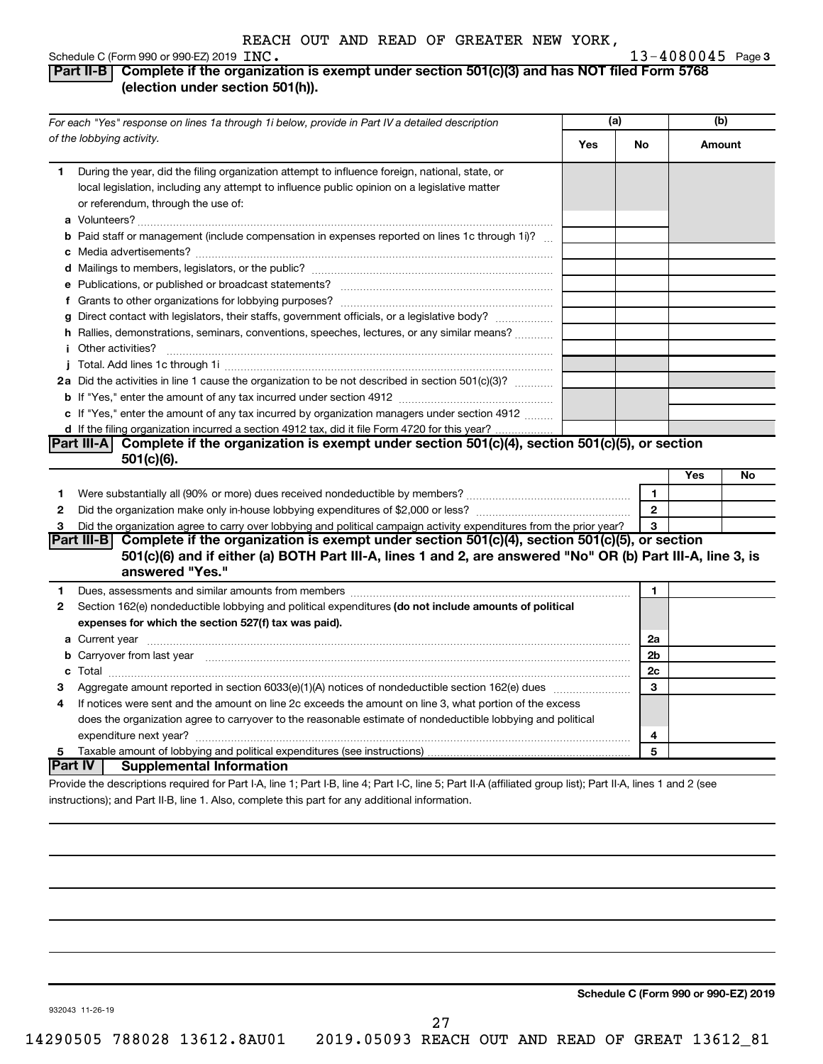# **Part II-B Complete if the organization is exempt under section 501(c)(3) and has NOT filed Form 5768 (election under section 501(h)).**

|              | For each "Yes" response on lines 1a through 1i below, provide in Part IV a detailed description                                                                                                                                                  | (a) |                | (b)    |    |
|--------------|--------------------------------------------------------------------------------------------------------------------------------------------------------------------------------------------------------------------------------------------------|-----|----------------|--------|----|
|              | of the lobbying activity.                                                                                                                                                                                                                        | Yes | No             | Amount |    |
| 1.           | During the year, did the filing organization attempt to influence foreign, national, state, or<br>local legislation, including any attempt to influence public opinion on a legislative matter<br>or referendum, through the use of:             |     |                |        |    |
|              | <b>b</b> Paid staff or management (include compensation in expenses reported on lines 1c through 1i)?                                                                                                                                            |     |                |        |    |
|              |                                                                                                                                                                                                                                                  |     |                |        |    |
|              |                                                                                                                                                                                                                                                  |     |                |        |    |
|              |                                                                                                                                                                                                                                                  |     |                |        |    |
|              | g Direct contact with legislators, their staffs, government officials, or a legislative body?<br>h Rallies, demonstrations, seminars, conventions, speeches, lectures, or any similar means?                                                     |     |                |        |    |
|              | <i>i</i> Other activities?                                                                                                                                                                                                                       |     |                |        |    |
|              |                                                                                                                                                                                                                                                  |     |                |        |    |
|              | 2a Did the activities in line 1 cause the organization to be not described in section 501(c)(3)?                                                                                                                                                 |     |                |        |    |
|              |                                                                                                                                                                                                                                                  |     |                |        |    |
|              | c If "Yes," enter the amount of any tax incurred by organization managers under section 4912                                                                                                                                                     |     |                |        |    |
|              | d If the filing organization incurred a section 4912 tax, did it file Form 4720 for this year?                                                                                                                                                   |     |                |        |    |
|              | Part III-A Complete if the organization is exempt under section 501(c)(4), section 501(c)(5), or section                                                                                                                                         |     |                |        |    |
|              | 501(c)(6).                                                                                                                                                                                                                                       |     |                |        |    |
|              |                                                                                                                                                                                                                                                  |     |                | Yes    | No |
| 1            |                                                                                                                                                                                                                                                  |     | 1              |        |    |
| $\mathbf{2}$ |                                                                                                                                                                                                                                                  |     | $\overline{2}$ |        |    |
| 3            | Did the organization agree to carry over lobbying and political campaign activity expenditures from the prior year?                                                                                                                              |     | 3              |        |    |
|              | Part III-B Complete if the organization is exempt under section $501(c)(4)$ , section $501(c)(5)$ , or section<br>501(c)(6) and if either (a) BOTH Part III-A, lines 1 and 2, are answered "No" OR (b) Part III-A, line 3, is<br>answered "Yes." |     |                |        |    |
| 1            |                                                                                                                                                                                                                                                  |     | 1              |        |    |
| $\mathbf{2}$ | Section 162(e) nondeductible lobbying and political expenditures (do not include amounts of political                                                                                                                                            |     |                |        |    |
|              | expenses for which the section 527(f) tax was paid).                                                                                                                                                                                             |     |                |        |    |
|              |                                                                                                                                                                                                                                                  |     | 2a             |        |    |
|              | b Carryover from last year manufactured and continuum contracts and contracts and contracts and contracts and contracts and contracts and contracts and contracts and contracts and contracts and contracts and contracts and                    |     | 2 <sub>b</sub> |        |    |
|              |                                                                                                                                                                                                                                                  |     | 2c             |        |    |
| з            |                                                                                                                                                                                                                                                  |     | 3              |        |    |
| 4            | If notices were sent and the amount on line 2c exceeds the amount on line 3, what portion of the excess                                                                                                                                          |     |                |        |    |
|              | does the organization agree to carryover to the reasonable estimate of nondeductible lobbying and political                                                                                                                                      |     |                |        |    |
|              |                                                                                                                                                                                                                                                  |     | 4              |        |    |
| 5            |                                                                                                                                                                                                                                                  |     | 5              |        |    |
|              | Part IV  <br><b>Supplemental Information</b>                                                                                                                                                                                                     |     |                |        |    |
|              | Drouide the descriptions required for Dart LA line 1: Dart LD line 4: Dart LC line E: Dart II A (officiend group ligt): Dart II A lines 1 and 2 (aco                                                                                             |     |                |        |    |

Provide the descriptions required for Part I-A, line 1; Part I-B, line 4; Part I-C, line 5; Part II-A (affiliated group list); Part II-A, lines 1 and 2 (see instructions); and Part II-B, line 1. Also, complete this part for any additional information.

**Schedule C (Form 990 or 990-EZ) 2019**

932043 11-26-19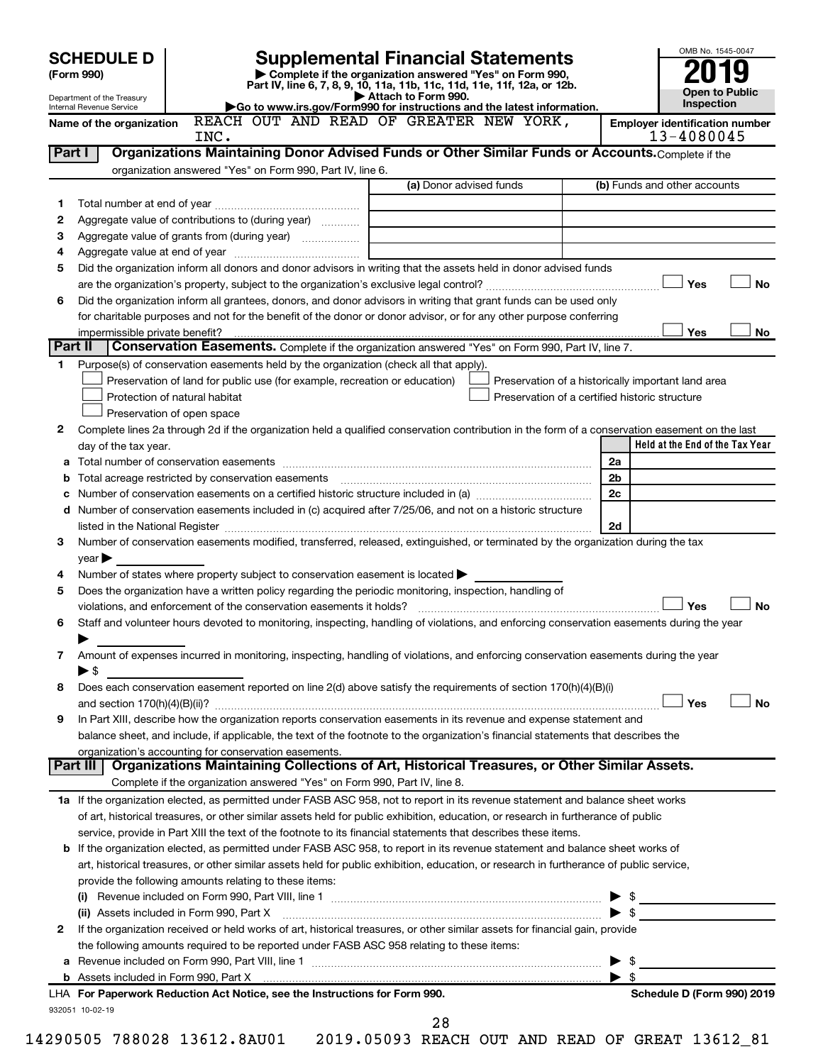|         | <b>SCHEDULE D</b>              |                                                        | <b>Supplemental Financial Statements</b>                                                                                                       |                         |    |                                                    | OMB No. 1545-0047               |
|---------|--------------------------------|--------------------------------------------------------|------------------------------------------------------------------------------------------------------------------------------------------------|-------------------------|----|----------------------------------------------------|---------------------------------|
|         | (Form 990)                     |                                                        | Complete if the organization answered "Yes" on Form 990,                                                                                       |                         |    |                                                    |                                 |
|         | Department of the Treasury     |                                                        | Part IV, line 6, 7, 8, 9, 10, 11a, 11b, 11c, 11d, 11e, 11f, 12a, or 12b.                                                                       | Attach to Form 990.     |    |                                                    | Open to Public                  |
|         | Internal Revenue Service       |                                                        | Go to www.irs.gov/Form990 for instructions and the latest information.                                                                         |                         |    |                                                    | <b>Inspection</b>               |
|         | Name of the organization       |                                                        | REACH OUT AND READ OF GREATER NEW YORK,                                                                                                        |                         |    | <b>Employer identification number</b>              |                                 |
|         | Part I                         | INC.                                                   | Organizations Maintaining Donor Advised Funds or Other Similar Funds or Accounts. Complete if the                                              |                         |    | 13-4080045                                         |                                 |
|         |                                |                                                        | organization answered "Yes" on Form 990, Part IV, line 6.                                                                                      |                         |    |                                                    |                                 |
|         |                                |                                                        |                                                                                                                                                | (a) Donor advised funds |    | (b) Funds and other accounts                       |                                 |
| 1       |                                |                                                        |                                                                                                                                                |                         |    |                                                    |                                 |
| 2       |                                |                                                        | Aggregate value of contributions to (during year)                                                                                              |                         |    |                                                    |                                 |
| 3       |                                |                                                        | Aggregate value of grants from (during year)                                                                                                   |                         |    |                                                    |                                 |
| 4       |                                |                                                        |                                                                                                                                                |                         |    |                                                    |                                 |
| 5       |                                |                                                        | Did the organization inform all donors and donor advisors in writing that the assets held in donor advised funds                               |                         |    |                                                    |                                 |
|         |                                |                                                        |                                                                                                                                                |                         |    | Yes                                                | <b>No</b>                       |
| 6       |                                |                                                        | Did the organization inform all grantees, donors, and donor advisors in writing that grant funds can be used only                              |                         |    |                                                    |                                 |
|         |                                |                                                        | for charitable purposes and not for the benefit of the donor or donor advisor, or for any other purpose conferring                             |                         |    |                                                    |                                 |
|         | impermissible private benefit? |                                                        |                                                                                                                                                |                         |    | Yes                                                | No                              |
| Part II |                                |                                                        | Conservation Easements. Complete if the organization answered "Yes" on Form 990, Part IV, line 7.                                              |                         |    |                                                    |                                 |
| 1       |                                |                                                        | Purpose(s) of conservation easements held by the organization (check all that apply).                                                          |                         |    |                                                    |                                 |
|         |                                |                                                        | Preservation of land for public use (for example, recreation or education)                                                                     |                         |    | Preservation of a historically important land area |                                 |
|         |                                | Protection of natural habitat                          |                                                                                                                                                |                         |    | Preservation of a certified historic structure     |                                 |
|         |                                | Preservation of open space                             |                                                                                                                                                |                         |    |                                                    |                                 |
| 2       |                                |                                                        | Complete lines 2a through 2d if the organization held a qualified conservation contribution in the form of a conservation easement on the last |                         |    |                                                    |                                 |
|         | day of the tax year.           |                                                        |                                                                                                                                                |                         |    |                                                    | Held at the End of the Tax Year |
|         |                                |                                                        |                                                                                                                                                |                         | 2a |                                                    |                                 |
| b       |                                |                                                        |                                                                                                                                                |                         | 2b |                                                    |                                 |
| с       |                                |                                                        |                                                                                                                                                |                         | 2c |                                                    |                                 |
| d       |                                |                                                        | Number of conservation easements included in (c) acquired after 7/25/06, and not on a historic structure                                       |                         |    |                                                    |                                 |
|         |                                |                                                        |                                                                                                                                                |                         | 2d |                                                    |                                 |
| 3       |                                |                                                        | Number of conservation easements modified, transferred, released, extinguished, or terminated by the organization during the tax               |                         |    |                                                    |                                 |
|         | $year \blacktriangleright$     |                                                        |                                                                                                                                                |                         |    |                                                    |                                 |
| 4       |                                |                                                        | Number of states where property subject to conservation easement is located $\blacktriangleright$                                              |                         |    |                                                    |                                 |
| 5       |                                |                                                        | Does the organization have a written policy regarding the periodic monitoring, inspection, handling of                                         |                         |    |                                                    |                                 |
|         |                                |                                                        |                                                                                                                                                |                         |    | Yes                                                | <b>No</b>                       |
| 6       |                                |                                                        | Staff and volunteer hours devoted to monitoring, inspecting, handling of violations, and enforcing conservation easements during the year      |                         |    |                                                    |                                 |
|         |                                |                                                        |                                                                                                                                                |                         |    |                                                    |                                 |
| 7       |                                |                                                        | Amount of expenses incurred in monitoring, inspecting, handling of violations, and enforcing conservation easements during the year            |                         |    |                                                    |                                 |
|         | $\blacktriangleright$ \$       |                                                        |                                                                                                                                                |                         |    |                                                    |                                 |
| 8       |                                |                                                        | Does each conservation easement reported on line 2(d) above satisfy the requirements of section 170(h)(4)(B)(i)                                |                         |    |                                                    |                                 |
|         |                                |                                                        |                                                                                                                                                |                         |    | Yes                                                | No                              |
| 9       |                                |                                                        | In Part XIII, describe how the organization reports conservation easements in its revenue and expense statement and                            |                         |    |                                                    |                                 |
|         |                                |                                                        | balance sheet, and include, if applicable, the text of the footnote to the organization's financial statements that describes the              |                         |    |                                                    |                                 |
|         | Part III                       | organization's accounting for conservation easements.  | Organizations Maintaining Collections of Art, Historical Treasures, or Other Similar Assets.                                                   |                         |    |                                                    |                                 |
|         |                                |                                                        | Complete if the organization answered "Yes" on Form 990, Part IV, line 8.                                                                      |                         |    |                                                    |                                 |
|         |                                |                                                        | 1a If the organization elected, as permitted under FASB ASC 958, not to report in its revenue statement and balance sheet works                |                         |    |                                                    |                                 |
|         |                                |                                                        | of art, historical treasures, or other similar assets held for public exhibition, education, or research in furtherance of public              |                         |    |                                                    |                                 |
|         |                                |                                                        | service, provide in Part XIII the text of the footnote to its financial statements that describes these items.                                 |                         |    |                                                    |                                 |
| b       |                                |                                                        | If the organization elected, as permitted under FASB ASC 958, to report in its revenue statement and balance sheet works of                    |                         |    |                                                    |                                 |
|         |                                |                                                        | art, historical treasures, or other similar assets held for public exhibition, education, or research in furtherance of public service,        |                         |    |                                                    |                                 |
|         |                                | provide the following amounts relating to these items: |                                                                                                                                                |                         |    |                                                    |                                 |
|         |                                |                                                        |                                                                                                                                                |                         |    |                                                    |                                 |
|         |                                | (ii) Assets included in Form 990, Part X               |                                                                                                                                                |                         |    | - \$                                               |                                 |
| 2       |                                |                                                        | If the organization received or held works of art, historical treasures, or other similar assets for financial gain, provide                   |                         |    |                                                    |                                 |
|         |                                |                                                        | the following amounts required to be reported under FASB ASC 958 relating to these items:                                                      |                         |    |                                                    |                                 |
| а       |                                |                                                        |                                                                                                                                                |                         |    | - \$                                               |                                 |
|         |                                |                                                        |                                                                                                                                                |                         | ▶  | \$                                                 |                                 |
|         |                                |                                                        | LHA For Paperwork Reduction Act Notice, see the Instructions for Form 990.                                                                     |                         |    |                                                    | Schedule D (Form 990) 2019      |
|         | 932051 10-02-19                |                                                        |                                                                                                                                                |                         |    |                                                    |                                 |
|         |                                |                                                        |                                                                                                                                                | 28                      |    |                                                    |                                 |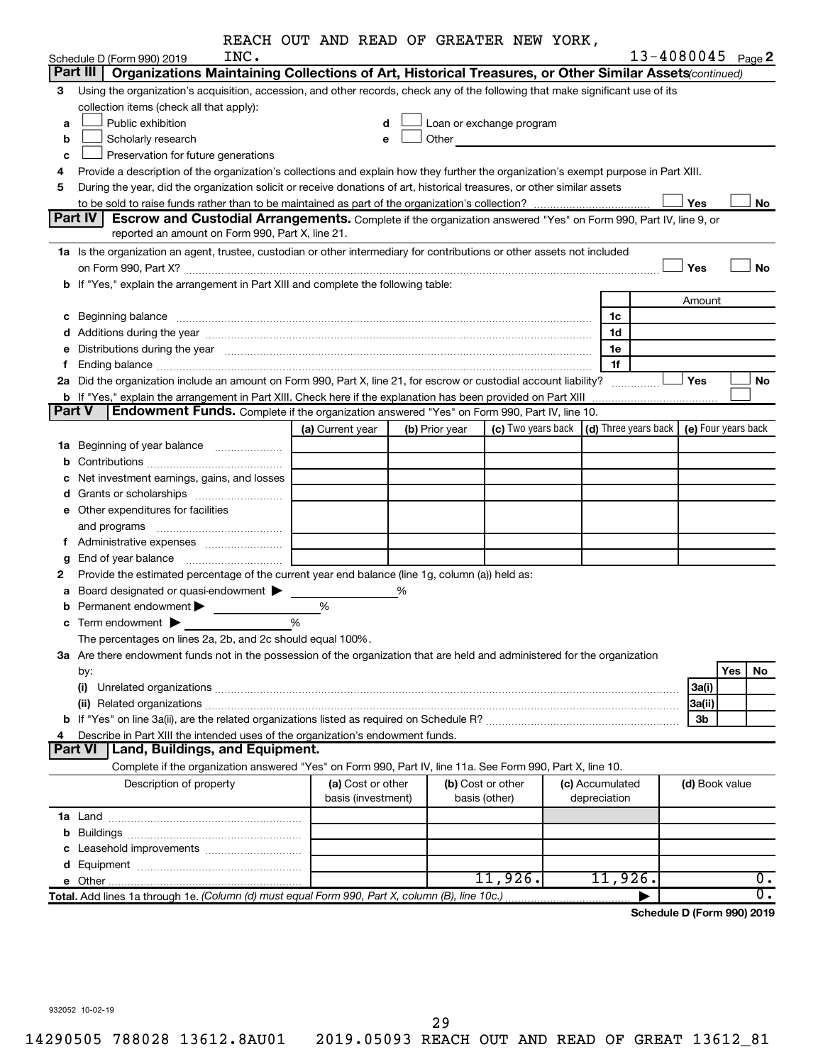|               |                                                                                                                                                                                                                                | REACH OUT AND READ OF GREATER NEW YORK, |   |                |                                                                                                                                                                                                                               |                 |                            |     |                  |
|---------------|--------------------------------------------------------------------------------------------------------------------------------------------------------------------------------------------------------------------------------|-----------------------------------------|---|----------------|-------------------------------------------------------------------------------------------------------------------------------------------------------------------------------------------------------------------------------|-----------------|----------------------------|-----|------------------|
|               | INC.<br>Schedule D (Form 990) 2019                                                                                                                                                                                             |                                         |   |                |                                                                                                                                                                                                                               |                 | $13 - 4080045$ Page 2      |     |                  |
|               | Part III  <br>Organizations Maintaining Collections of Art, Historical Treasures, or Other Similar Assets (continued)                                                                                                          |                                         |   |                |                                                                                                                                                                                                                               |                 |                            |     |                  |
| 3             | Using the organization's acquisition, accession, and other records, check any of the following that make significant use of its                                                                                                |                                         |   |                |                                                                                                                                                                                                                               |                 |                            |     |                  |
|               | collection items (check all that apply):                                                                                                                                                                                       |                                         |   |                |                                                                                                                                                                                                                               |                 |                            |     |                  |
| a             | Public exhibition                                                                                                                                                                                                              | d                                       |   |                | Loan or exchange program                                                                                                                                                                                                      |                 |                            |     |                  |
| b             | Scholarly research                                                                                                                                                                                                             | е                                       |   |                | Other and the contract of the contract of the contract of the contract of the contract of the contract of the contract of the contract of the contract of the contract of the contract of the contract of the contract of the |                 |                            |     |                  |
| c             | Preservation for future generations                                                                                                                                                                                            |                                         |   |                |                                                                                                                                                                                                                               |                 |                            |     |                  |
| 4             | Provide a description of the organization's collections and explain how they further the organization's exempt purpose in Part XIII.                                                                                           |                                         |   |                |                                                                                                                                                                                                                               |                 |                            |     |                  |
| 5             | During the year, did the organization solicit or receive donations of art, historical treasures, or other similar assets                                                                                                       |                                         |   |                |                                                                                                                                                                                                                               |                 |                            |     |                  |
|               |                                                                                                                                                                                                                                |                                         |   |                |                                                                                                                                                                                                                               |                 | Yes                        |     | No               |
|               | <b>Part IV I</b><br><b>Escrow and Custodial Arrangements.</b> Complete if the organization answered "Yes" on Form 990, Part IV, line 9, or                                                                                     |                                         |   |                |                                                                                                                                                                                                                               |                 |                            |     |                  |
|               | reported an amount on Form 990, Part X, line 21.                                                                                                                                                                               |                                         |   |                |                                                                                                                                                                                                                               |                 |                            |     |                  |
|               | 1a Is the organization an agent, trustee, custodian or other intermediary for contributions or other assets not included                                                                                                       |                                         |   |                |                                                                                                                                                                                                                               |                 |                            |     |                  |
|               | on Form 990, Part X? [11] matter and the contract of the contract of the contract of the contract of the contract of the contract of the contract of the contract of the contract of the contract of the contract of the contr |                                         |   |                |                                                                                                                                                                                                                               |                 | Yes                        |     | No               |
|               | b If "Yes," explain the arrangement in Part XIII and complete the following table:                                                                                                                                             |                                         |   |                |                                                                                                                                                                                                                               |                 |                            |     |                  |
|               |                                                                                                                                                                                                                                |                                         |   |                |                                                                                                                                                                                                                               |                 | Amount                     |     |                  |
|               | c Beginning balance measurements and the contract of the contract of the contract of the contract of the contract of the contract of the contract of the contract of the contract of the contract of the contract of the contr |                                         |   |                |                                                                                                                                                                                                                               | 1c              |                            |     |                  |
|               |                                                                                                                                                                                                                                |                                         |   |                |                                                                                                                                                                                                                               | 1d              |                            |     |                  |
|               | e Distributions during the year manufactured and contained and contained and the year manufactured and contained and the year manufactured and contained and contained and contained and contained and contained and contained |                                         |   |                |                                                                                                                                                                                                                               | 1e              |                            |     |                  |
| f.            |                                                                                                                                                                                                                                |                                         |   |                |                                                                                                                                                                                                                               | 1f              |                            |     |                  |
|               | 2a Did the organization include an amount on Form 990, Part X, line 21, for escrow or custodial account liability?                                                                                                             |                                         |   |                |                                                                                                                                                                                                                               |                 | Yes                        |     | No               |
|               | b If "Yes," explain the arrangement in Part XIII. Check here if the explanation has been provided on Part XIII                                                                                                                 |                                         |   |                |                                                                                                                                                                                                                               |                 |                            |     |                  |
| <b>Part V</b> | Endowment Funds. Complete if the organization answered "Yes" on Form 990, Part IV, line 10.                                                                                                                                    |                                         |   |                |                                                                                                                                                                                                                               |                 |                            |     |                  |
|               |                                                                                                                                                                                                                                | (a) Current year                        |   | (b) Prior year | (c) Two years back $\vert$ (d) Three years back $\vert$ (e) Four years back                                                                                                                                                   |                 |                            |     |                  |
|               | <b>1a</b> Beginning of year balance <i>manumumum</i>                                                                                                                                                                           |                                         |   |                |                                                                                                                                                                                                                               |                 |                            |     |                  |
| b             |                                                                                                                                                                                                                                |                                         |   |                |                                                                                                                                                                                                                               |                 |                            |     |                  |
|               | Net investment earnings, gains, and losses                                                                                                                                                                                     |                                         |   |                |                                                                                                                                                                                                                               |                 |                            |     |                  |
|               |                                                                                                                                                                                                                                |                                         |   |                |                                                                                                                                                                                                                               |                 |                            |     |                  |
|               | e Other expenditures for facilities                                                                                                                                                                                            |                                         |   |                |                                                                                                                                                                                                                               |                 |                            |     |                  |
|               | and programs                                                                                                                                                                                                                   |                                         |   |                |                                                                                                                                                                                                                               |                 |                            |     |                  |
|               | f Administrative expenses                                                                                                                                                                                                      |                                         |   |                |                                                                                                                                                                                                                               |                 |                            |     |                  |
| g             |                                                                                                                                                                                                                                |                                         |   |                |                                                                                                                                                                                                                               |                 |                            |     |                  |
| 2             | Provide the estimated percentage of the current year end balance (line 1g, column (a)) held as:                                                                                                                                |                                         |   |                |                                                                                                                                                                                                                               |                 |                            |     |                  |
| а             | Board designated or quasi-endowment                                                                                                                                                                                            |                                         | % |                |                                                                                                                                                                                                                               |                 |                            |     |                  |
|               | Permanent endowment $\blacktriangleright$                                                                                                                                                                                      | %                                       |   |                |                                                                                                                                                                                                                               |                 |                            |     |                  |
|               | $\mathbf c$ Term endowment $\blacktriangleright$                                                                                                                                                                               | %                                       |   |                |                                                                                                                                                                                                                               |                 |                            |     |                  |
|               | The percentages on lines 2a, 2b, and 2c should equal 100%.                                                                                                                                                                     |                                         |   |                |                                                                                                                                                                                                                               |                 |                            |     |                  |
|               | 3a Are there endowment funds not in the possession of the organization that are held and administered for the organization                                                                                                     |                                         |   |                |                                                                                                                                                                                                                               |                 |                            |     |                  |
|               | by:                                                                                                                                                                                                                            |                                         |   |                |                                                                                                                                                                                                                               |                 |                            | Yes | No               |
|               |                                                                                                                                                                                                                                |                                         |   |                |                                                                                                                                                                                                                               |                 | 3a(i)                      |     |                  |
|               |                                                                                                                                                                                                                                |                                         |   |                |                                                                                                                                                                                                                               |                 | 3a(ii)                     |     |                  |
|               |                                                                                                                                                                                                                                |                                         |   |                |                                                                                                                                                                                                                               |                 | 3b                         |     |                  |
| 4             | Describe in Part XIII the intended uses of the organization's endowment funds.                                                                                                                                                 |                                         |   |                |                                                                                                                                                                                                                               |                 |                            |     |                  |
|               | <b>Part VI</b><br>Land, Buildings, and Equipment.                                                                                                                                                                              |                                         |   |                |                                                                                                                                                                                                                               |                 |                            |     |                  |
|               | Complete if the organization answered "Yes" on Form 990, Part IV, line 11a. See Form 990, Part X, line 10.                                                                                                                     |                                         |   |                |                                                                                                                                                                                                                               |                 |                            |     |                  |
|               | Description of property                                                                                                                                                                                                        | (a) Cost or other                       |   |                | (b) Cost or other                                                                                                                                                                                                             | (c) Accumulated | (d) Book value             |     |                  |
|               |                                                                                                                                                                                                                                | basis (investment)                      |   |                | basis (other)                                                                                                                                                                                                                 | depreciation    |                            |     |                  |
|               |                                                                                                                                                                                                                                |                                         |   |                |                                                                                                                                                                                                                               |                 |                            |     |                  |
|               |                                                                                                                                                                                                                                |                                         |   |                |                                                                                                                                                                                                                               |                 |                            |     |                  |
|               |                                                                                                                                                                                                                                |                                         |   |                |                                                                                                                                                                                                                               |                 |                            |     |                  |
|               |                                                                                                                                                                                                                                |                                         |   |                |                                                                                                                                                                                                                               |                 |                            |     |                  |
|               |                                                                                                                                                                                                                                |                                         |   |                | 11,926.                                                                                                                                                                                                                       | 11,926.         |                            |     | 0.               |
|               | Total. Add lines 1a through 1e. (Column (d) must equal Form 990, Part X, column (B), line 10c.)                                                                                                                                |                                         |   |                |                                                                                                                                                                                                                               |                 |                            |     | $\overline{0}$ . |
|               |                                                                                                                                                                                                                                |                                         |   |                |                                                                                                                                                                                                                               |                 | Schedule D (Form 990) 2019 |     |                  |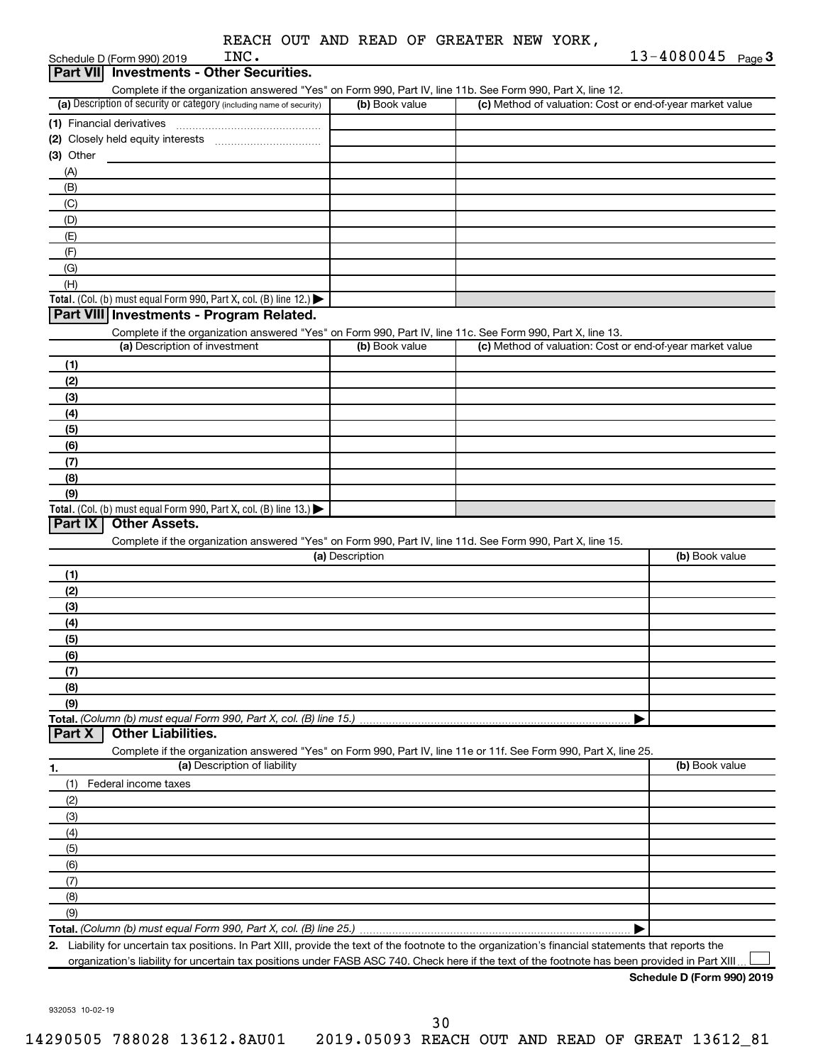| REACH OUT AND READ OF GREATER NEW YORK, |
|-----------------------------------------|
|-----------------------------------------|

|                |                 | $13 - 4080045$<br>Page 3                                                                                                                                                                                                                                                                                                                                                                                                                                                                                                                                                                                                                                                                                                                                                                                            |
|----------------|-----------------|---------------------------------------------------------------------------------------------------------------------------------------------------------------------------------------------------------------------------------------------------------------------------------------------------------------------------------------------------------------------------------------------------------------------------------------------------------------------------------------------------------------------------------------------------------------------------------------------------------------------------------------------------------------------------------------------------------------------------------------------------------------------------------------------------------------------|
|                |                 |                                                                                                                                                                                                                                                                                                                                                                                                                                                                                                                                                                                                                                                                                                                                                                                                                     |
| (b) Book value |                 |                                                                                                                                                                                                                                                                                                                                                                                                                                                                                                                                                                                                                                                                                                                                                                                                                     |
|                |                 |                                                                                                                                                                                                                                                                                                                                                                                                                                                                                                                                                                                                                                                                                                                                                                                                                     |
|                |                 |                                                                                                                                                                                                                                                                                                                                                                                                                                                                                                                                                                                                                                                                                                                                                                                                                     |
|                |                 |                                                                                                                                                                                                                                                                                                                                                                                                                                                                                                                                                                                                                                                                                                                                                                                                                     |
|                |                 |                                                                                                                                                                                                                                                                                                                                                                                                                                                                                                                                                                                                                                                                                                                                                                                                                     |
|                |                 |                                                                                                                                                                                                                                                                                                                                                                                                                                                                                                                                                                                                                                                                                                                                                                                                                     |
|                |                 |                                                                                                                                                                                                                                                                                                                                                                                                                                                                                                                                                                                                                                                                                                                                                                                                                     |
|                |                 |                                                                                                                                                                                                                                                                                                                                                                                                                                                                                                                                                                                                                                                                                                                                                                                                                     |
|                |                 |                                                                                                                                                                                                                                                                                                                                                                                                                                                                                                                                                                                                                                                                                                                                                                                                                     |
|                |                 |                                                                                                                                                                                                                                                                                                                                                                                                                                                                                                                                                                                                                                                                                                                                                                                                                     |
|                |                 |                                                                                                                                                                                                                                                                                                                                                                                                                                                                                                                                                                                                                                                                                                                                                                                                                     |
|                |                 |                                                                                                                                                                                                                                                                                                                                                                                                                                                                                                                                                                                                                                                                                                                                                                                                                     |
|                |                 |                                                                                                                                                                                                                                                                                                                                                                                                                                                                                                                                                                                                                                                                                                                                                                                                                     |
|                |                 |                                                                                                                                                                                                                                                                                                                                                                                                                                                                                                                                                                                                                                                                                                                                                                                                                     |
|                |                 |                                                                                                                                                                                                                                                                                                                                                                                                                                                                                                                                                                                                                                                                                                                                                                                                                     |
| (b) Book value |                 |                                                                                                                                                                                                                                                                                                                                                                                                                                                                                                                                                                                                                                                                                                                                                                                                                     |
|                |                 |                                                                                                                                                                                                                                                                                                                                                                                                                                                                                                                                                                                                                                                                                                                                                                                                                     |
|                |                 |                                                                                                                                                                                                                                                                                                                                                                                                                                                                                                                                                                                                                                                                                                                                                                                                                     |
|                |                 |                                                                                                                                                                                                                                                                                                                                                                                                                                                                                                                                                                                                                                                                                                                                                                                                                     |
|                |                 |                                                                                                                                                                                                                                                                                                                                                                                                                                                                                                                                                                                                                                                                                                                                                                                                                     |
|                |                 |                                                                                                                                                                                                                                                                                                                                                                                                                                                                                                                                                                                                                                                                                                                                                                                                                     |
|                |                 |                                                                                                                                                                                                                                                                                                                                                                                                                                                                                                                                                                                                                                                                                                                                                                                                                     |
|                |                 |                                                                                                                                                                                                                                                                                                                                                                                                                                                                                                                                                                                                                                                                                                                                                                                                                     |
|                |                 |                                                                                                                                                                                                                                                                                                                                                                                                                                                                                                                                                                                                                                                                                                                                                                                                                     |
|                |                 |                                                                                                                                                                                                                                                                                                                                                                                                                                                                                                                                                                                                                                                                                                                                                                                                                     |
|                |                 |                                                                                                                                                                                                                                                                                                                                                                                                                                                                                                                                                                                                                                                                                                                                                                                                                     |
|                |                 |                                                                                                                                                                                                                                                                                                                                                                                                                                                                                                                                                                                                                                                                                                                                                                                                                     |
|                |                 |                                                                                                                                                                                                                                                                                                                                                                                                                                                                                                                                                                                                                                                                                                                                                                                                                     |
|                |                 | (b) Book value                                                                                                                                                                                                                                                                                                                                                                                                                                                                                                                                                                                                                                                                                                                                                                                                      |
|                |                 |                                                                                                                                                                                                                                                                                                                                                                                                                                                                                                                                                                                                                                                                                                                                                                                                                     |
|                |                 |                                                                                                                                                                                                                                                                                                                                                                                                                                                                                                                                                                                                                                                                                                                                                                                                                     |
|                |                 |                                                                                                                                                                                                                                                                                                                                                                                                                                                                                                                                                                                                                                                                                                                                                                                                                     |
|                |                 |                                                                                                                                                                                                                                                                                                                                                                                                                                                                                                                                                                                                                                                                                                                                                                                                                     |
|                |                 |                                                                                                                                                                                                                                                                                                                                                                                                                                                                                                                                                                                                                                                                                                                                                                                                                     |
|                |                 |                                                                                                                                                                                                                                                                                                                                                                                                                                                                                                                                                                                                                                                                                                                                                                                                                     |
|                |                 |                                                                                                                                                                                                                                                                                                                                                                                                                                                                                                                                                                                                                                                                                                                                                                                                                     |
|                |                 |                                                                                                                                                                                                                                                                                                                                                                                                                                                                                                                                                                                                                                                                                                                                                                                                                     |
|                |                 |                                                                                                                                                                                                                                                                                                                                                                                                                                                                                                                                                                                                                                                                                                                                                                                                                     |
|                |                 |                                                                                                                                                                                                                                                                                                                                                                                                                                                                                                                                                                                                                                                                                                                                                                                                                     |
|                |                 |                                                                                                                                                                                                                                                                                                                                                                                                                                                                                                                                                                                                                                                                                                                                                                                                                     |
|                |                 |                                                                                                                                                                                                                                                                                                                                                                                                                                                                                                                                                                                                                                                                                                                                                                                                                     |
|                |                 |                                                                                                                                                                                                                                                                                                                                                                                                                                                                                                                                                                                                                                                                                                                                                                                                                     |
|                |                 | (b) Book value                                                                                                                                                                                                                                                                                                                                                                                                                                                                                                                                                                                                                                                                                                                                                                                                      |
|                |                 |                                                                                                                                                                                                                                                                                                                                                                                                                                                                                                                                                                                                                                                                                                                                                                                                                     |
|                |                 |                                                                                                                                                                                                                                                                                                                                                                                                                                                                                                                                                                                                                                                                                                                                                                                                                     |
|                |                 |                                                                                                                                                                                                                                                                                                                                                                                                                                                                                                                                                                                                                                                                                                                                                                                                                     |
|                |                 |                                                                                                                                                                                                                                                                                                                                                                                                                                                                                                                                                                                                                                                                                                                                                                                                                     |
|                |                 |                                                                                                                                                                                                                                                                                                                                                                                                                                                                                                                                                                                                                                                                                                                                                                                                                     |
|                |                 |                                                                                                                                                                                                                                                                                                                                                                                                                                                                                                                                                                                                                                                                                                                                                                                                                     |
|                |                 |                                                                                                                                                                                                                                                                                                                                                                                                                                                                                                                                                                                                                                                                                                                                                                                                                     |
|                |                 |                                                                                                                                                                                                                                                                                                                                                                                                                                                                                                                                                                                                                                                                                                                                                                                                                     |
|                |                 |                                                                                                                                                                                                                                                                                                                                                                                                                                                                                                                                                                                                                                                                                                                                                                                                                     |
|                |                 |                                                                                                                                                                                                                                                                                                                                                                                                                                                                                                                                                                                                                                                                                                                                                                                                                     |
|                |                 |                                                                                                                                                                                                                                                                                                                                                                                                                                                                                                                                                                                                                                                                                                                                                                                                                     |
|                | (a) Description | Complete if the organization answered "Yes" on Form 990, Part IV, line 11b. See Form 990, Part X, line 12.<br>(c) Method of valuation: Cost or end-of-year market value<br>Complete if the organization answered "Yes" on Form 990, Part IV, line 11c. See Form 990, Part X, line 13.<br>(c) Method of valuation: Cost or end-of-year market value<br>Complete if the organization answered "Yes" on Form 990, Part IV, line 11d. See Form 990, Part X, line 15.<br>Total. (Column (b) must equal Form 990, Part X, col. (B) line 15.)<br>Complete if the organization answered "Yes" on Form 990, Part IV, line 11e or 11f. See Form 990, Part X, line 25.<br>2. Liability for uncertain tax positions. In Part XIII, provide the text of the footnote to the organization's financial statements that reports the |

organization's liability for uncertain tax positions under FASB ASC 740. Check here if the text of the footnote has been provided in Part XIII...

**Schedule D (Form 990) 2019**

932053 10-02-19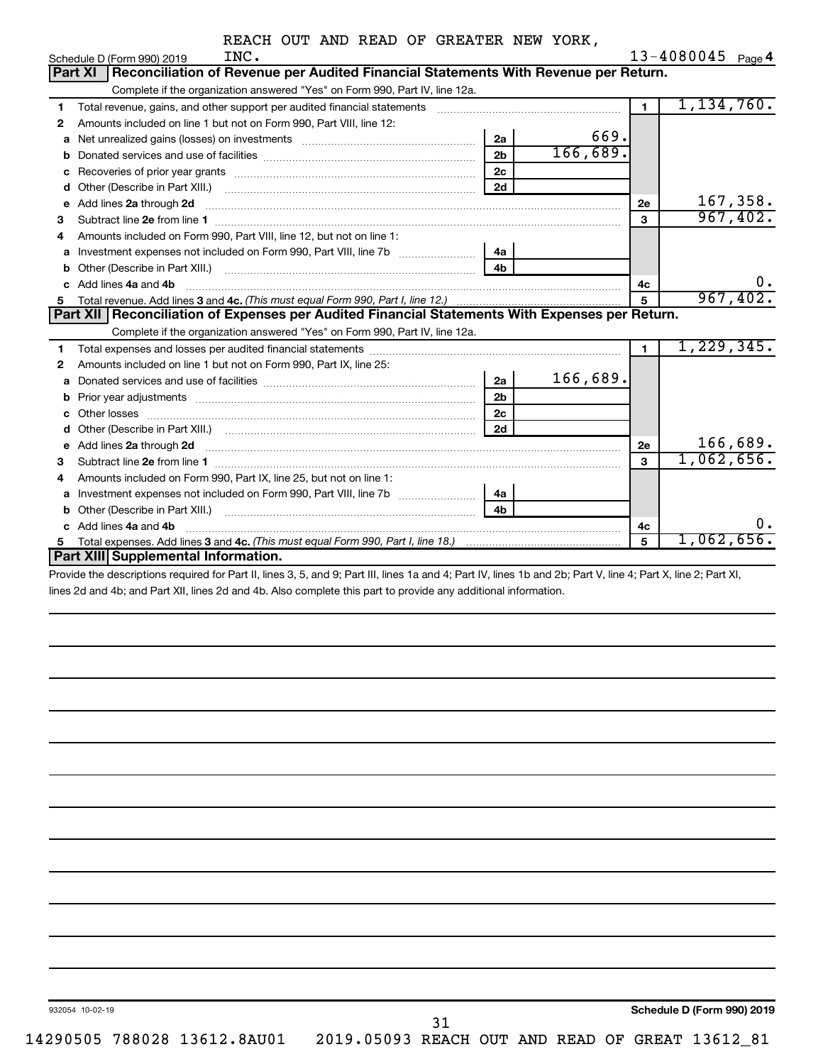|  |  | REACH OUT AND READ OF GREATER NEW YORK, |  |
|--|--|-----------------------------------------|--|
|  |  |                                         |  |

|             | INC.<br>Schedule D (Form 990) 2019                                                                                                                                                                                                  |                |          |                | $13 - 4080045$ Page 4 |
|-------------|-------------------------------------------------------------------------------------------------------------------------------------------------------------------------------------------------------------------------------------|----------------|----------|----------------|-----------------------|
|             | Reconciliation of Revenue per Audited Financial Statements With Revenue per Return.<br><b>Part XI</b>                                                                                                                               |                |          |                |                       |
|             | Complete if the organization answered "Yes" on Form 990, Part IV, line 12a.                                                                                                                                                         |                |          |                |                       |
| 1           | Total revenue, gains, and other support per audited financial statements                                                                                                                                                            |                |          | $\blacksquare$ | 1,134,760.            |
| 2           | Amounts included on line 1 but not on Form 990, Part VIII, line 12:                                                                                                                                                                 |                |          |                |                       |
| a           |                                                                                                                                                                                                                                     | 2a             | 669.     |                |                       |
| b           |                                                                                                                                                                                                                                     | 2 <sub>b</sub> | 166,689. |                |                       |
| с           |                                                                                                                                                                                                                                     | 2c             |          |                |                       |
| d           | Other (Describe in Part XIII.) <b>Construction Contract Construction</b> Chern Construction Construction Construction                                                                                                               | 2d             |          |                |                       |
| e           | Add lines 2a through 2d                                                                                                                                                                                                             |                |          | 2е             | 167,358.              |
| З           |                                                                                                                                                                                                                                     |                |          | 3              | 967,402.              |
| 4           | Amounts included on Form 990, Part VIII, line 12, but not on line 1:                                                                                                                                                                |                |          |                |                       |
|             | Investment expenses not included on Form 990, Part VIII, line 7b                                                                                                                                                                    | 4a             |          |                |                       |
| b           |                                                                                                                                                                                                                                     | 4 <sub>h</sub> |          |                |                       |
| C.          | Add lines 4a and 4b                                                                                                                                                                                                                 |                |          | 4c             | ο.                    |
| 5           |                                                                                                                                                                                                                                     |                |          | 5              | 967,402.              |
|             | Part XII   Reconciliation of Expenses per Audited Financial Statements With Expenses per Return.                                                                                                                                    |                |          |                |                       |
|             | Complete if the organization answered "Yes" on Form 990, Part IV, line 12a.                                                                                                                                                         |                |          |                |                       |
|             |                                                                                                                                                                                                                                     |                |          |                |                       |
| 1           |                                                                                                                                                                                                                                     |                |          | $\blacksquare$ | 1,229,345.            |
| 2           | Amounts included on line 1 but not on Form 990, Part IX, line 25:                                                                                                                                                                   |                |          |                |                       |
| a           |                                                                                                                                                                                                                                     | 2a             | 166,689. |                |                       |
| $\mathbf b$ | Prior year adjustments [1111] [121] Prior year adjustments [111] [121] Prior year adjustments [111] [121] [121                                                                                                                      | 2 <sub>b</sub> |          |                |                       |
|             |                                                                                                                                                                                                                                     | 2c             |          |                |                       |
| d           |                                                                                                                                                                                                                                     | 2d             |          |                |                       |
| е           | Add lines 2a through 2d <b>[10]</b> University of the state of the state of the state of the state of the state of the state of the state of the state of the state of the state of the state of the state of the state of the stat |                |          | 2е             | 166,689.              |
| 3           |                                                                                                                                                                                                                                     |                |          | 3              | 1,062,656.            |
| 4           | Amounts included on Form 990, Part IX, line 25, but not on line 1:                                                                                                                                                                  |                |          |                |                       |
| a           |                                                                                                                                                                                                                                     | 4a l           |          |                |                       |
| b           |                                                                                                                                                                                                                                     | 4 <sub>b</sub> |          |                |                       |
| c           | Add lines 4a and 4b                                                                                                                                                                                                                 |                |          | 4c             | 0.                    |
| 5           | <b>Part XIII Supplemental Information.</b>                                                                                                                                                                                          |                |          | 5              | $1,062,656$ .         |

Provide the descriptions required for Part II, lines 3, 5, and 9; Part III, lines 1a and 4; Part IV, lines 1b and 2b; Part V, line 4; Part X, line 2; Part XI, lines 2d and 4b; and Part XII, lines 2d and 4b. Also complete this part to provide any additional information.

932054 10-02-19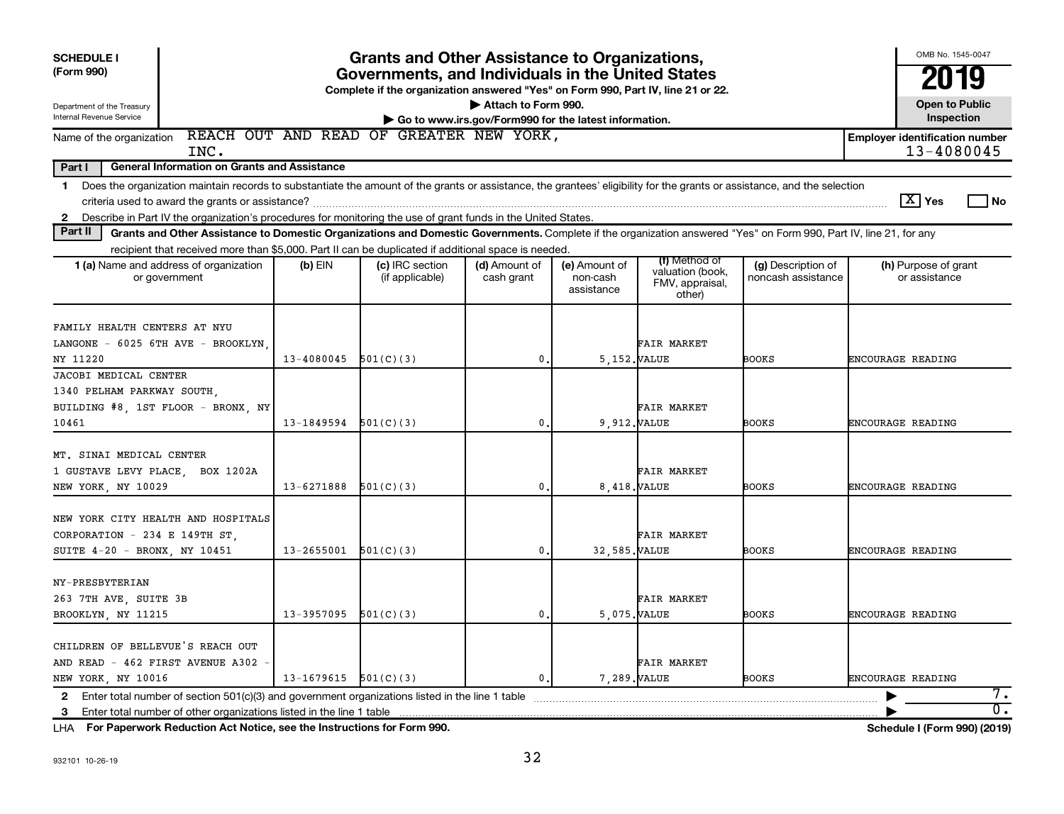| <b>SCHEDULE I</b><br>(Form 990)                                                                                                                                               | <b>Grants and Other Assistance to Organizations,</b><br>Governments, and Individuals in the United States<br>Complete if the organization answered "Yes" on Form 990, Part IV, line 21 or 22.                                                                                                                               |                                    |                             |                                         |                                               |                                          | OMB No. 1545-0047<br>2019             |
|-------------------------------------------------------------------------------------------------------------------------------------------------------------------------------|-----------------------------------------------------------------------------------------------------------------------------------------------------------------------------------------------------------------------------------------------------------------------------------------------------------------------------|------------------------------------|-----------------------------|-----------------------------------------|-----------------------------------------------|------------------------------------------|---------------------------------------|
| Attach to Form 990.<br>Department of the Treasury<br>Internal Revenue Service<br><b>Inspection</b><br>Go to www.irs.gov/Form990 for the latest information.                   |                                                                                                                                                                                                                                                                                                                             |                                    |                             |                                         |                                               |                                          | <b>Open to Public</b>                 |
| Name of the organization<br>INC.                                                                                                                                              | REACH OUT AND READ OF GREATER NEW YORK,<br><b>Employer identification number</b><br>13-4080045                                                                                                                                                                                                                              |                                    |                             |                                         |                                               |                                          |                                       |
| Part I<br>General Information on Grants and Assistance                                                                                                                        |                                                                                                                                                                                                                                                                                                                             |                                    |                             |                                         |                                               |                                          |                                       |
| $\mathbf 1$<br>$\mathbf{2}$                                                                                                                                                   | Does the organization maintain records to substantiate the amount of the grants or assistance, the grantees' eligibility for the grants or assistance, and the selection<br>$\boxed{\text{X}}$ Yes<br>l No<br>Describe in Part IV the organization's procedures for monitoring the use of grant funds in the United States. |                                    |                             |                                         |                                               |                                          |                                       |
| Part II<br>Grants and Other Assistance to Domestic Organizations and Domestic Governments. Complete if the organization answered "Yes" on Form 990, Part IV, line 21, for any |                                                                                                                                                                                                                                                                                                                             |                                    |                             |                                         |                                               |                                          |                                       |
| recipient that received more than \$5,000. Part II can be duplicated if additional space is needed.                                                                           |                                                                                                                                                                                                                                                                                                                             |                                    |                             |                                         | (f) Method of                                 |                                          |                                       |
| 1 (a) Name and address of organization<br>or government                                                                                                                       | $(b)$ EIN                                                                                                                                                                                                                                                                                                                   | (c) IRC section<br>(if applicable) | (d) Amount of<br>cash grant | (e) Amount of<br>non-cash<br>assistance | valuation (book,<br>FMV, appraisal,<br>other) | (g) Description of<br>noncash assistance | (h) Purpose of grant<br>or assistance |
| FAMILY HEALTH CENTERS AT NYU<br>LANGONE - 6025 6TH AVE - BROOKLYN<br>NY 11220                                                                                                 | 13-4080045                                                                                                                                                                                                                                                                                                                  | 501(C)(3)                          | $\mathbf{0}$ .              | 5.152. VALUE                            | FAIR MARKET                                   | <b>BOOKS</b>                             | ENCOURAGE READING                     |
| JACOBI MEDICAL CENTER                                                                                                                                                         |                                                                                                                                                                                                                                                                                                                             |                                    |                             |                                         |                                               |                                          |                                       |
| 1340 PELHAM PARKWAY SOUTH<br>BUILDING #8, 1ST FLOOR - BRONX, NY                                                                                                               |                                                                                                                                                                                                                                                                                                                             |                                    | 0.                          |                                         | <b>FAIR MARKET</b>                            |                                          |                                       |
| 10461                                                                                                                                                                         | $13-1849594$ $501(C)(3)$                                                                                                                                                                                                                                                                                                    |                                    |                             | 9,912. VALUE                            |                                               | <b>BOOKS</b>                             | ENCOURAGE READING                     |
| MT. SINAI MEDICAL CENTER<br>1 GUSTAVE LEVY PLACE, BOX 1202A<br>NEW YORK, NY 10029                                                                                             | 13-6271888                                                                                                                                                                                                                                                                                                                  | 501(C)(3)                          | $\mathbf{0}$ .              | 8.418. VALUE                            | FAIR MARKET                                   | <b>BOOKS</b>                             | ENCOURAGE READING                     |
| NEW YORK CITY HEALTH AND HOSPITALS<br>CORPORATION - 234 E 149TH ST,<br>SUITE 4-20 - BRONX, NY 10451                                                                           | 13-2655001                                                                                                                                                                                                                                                                                                                  | 501(C)(3)                          | $\mathbf{0}$ .              | 32,585. VALUE                           | <b>FAIR MARKET</b>                            | <b>BOOKS</b>                             | ENCOURAGE READING                     |
| NY-PRESBYTERIAN<br>263 7TH AVE, SUITE 3B<br>BROOKLYN, NY 11215                                                                                                                | 13-3957095                                                                                                                                                                                                                                                                                                                  | 501(C)(3)                          | $\mathbf 0$ .               | 5,075. VALUE                            | FAIR MARKET                                   | BOOKS                                    | ENCOURAGE READING                     |
| CHILDREN OF BELLEVUE'S REACH OUT<br>AND READ - 462 FIRST AVENUE A302<br>NEW YORK, NY 10016                                                                                    | $13-1679615$ $501(C)(3)$                                                                                                                                                                                                                                                                                                    |                                    | $\mathbf{0}$ .              | 7.289. VALUE                            | FAIR MARKET                                   | BOOKS                                    | <b>ENCOURAGE READING</b>              |
| $\mathbf{2}$<br>3                                                                                                                                                             |                                                                                                                                                                                                                                                                                                                             |                                    |                             |                                         |                                               |                                          | 7.<br>$\overline{\mathfrak{o}}$ .     |

**For Paperwork Reduction Act Notice, see the Instructions for Form 990. Schedule I (Form 990) (2019)** LHA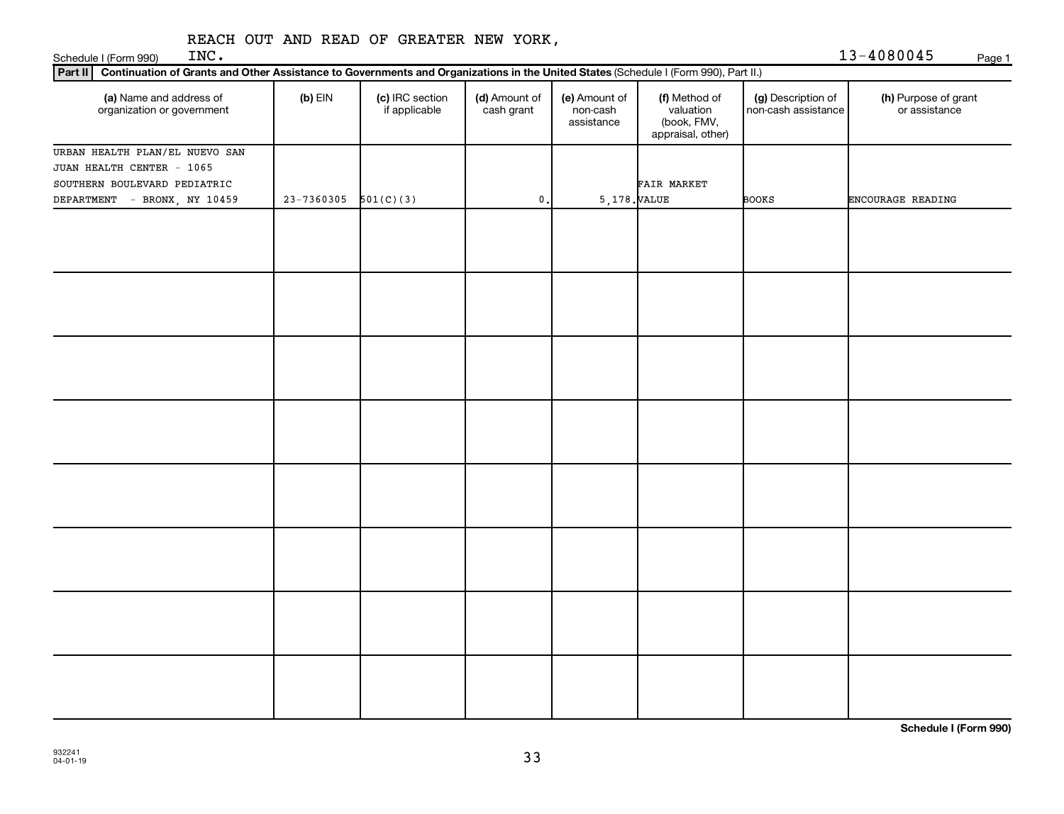| Part II Continuation of Grants and Other Assistance to Governments and Organizations in the United States (Schedule I (Form 990), Part II.) |            |                                  |                             |                                         |                                                                |                                           |                                       |
|---------------------------------------------------------------------------------------------------------------------------------------------|------------|----------------------------------|-----------------------------|-----------------------------------------|----------------------------------------------------------------|-------------------------------------------|---------------------------------------|
| (a) Name and address of<br>organization or government                                                                                       | $(b)$ EIN  | (c) IRC section<br>if applicable | (d) Amount of<br>cash grant | (e) Amount of<br>non-cash<br>assistance | (f) Method of<br>valuation<br>(book, FMV,<br>appraisal, other) | (g) Description of<br>non-cash assistance | (h) Purpose of grant<br>or assistance |
| URBAN HEALTH PLAN/EL NUEVO SAN                                                                                                              |            |                                  |                             |                                         |                                                                |                                           |                                       |
| JUAN HEALTH CENTER - 1065                                                                                                                   |            |                                  |                             |                                         |                                                                |                                           |                                       |
| SOUTHERN BOULEVARD PEDIATRIC                                                                                                                |            |                                  |                             |                                         | FAIR MARKET                                                    |                                           |                                       |
| DEPARTMENT<br>- BRONX, NY 10459                                                                                                             | 23-7360305 | 501(C)(3)                        | 0.                          | 5,178. VALUE                            |                                                                | <b>BOOKS</b>                              | ENCOURAGE READING                     |
|                                                                                                                                             |            |                                  |                             |                                         |                                                                |                                           |                                       |
|                                                                                                                                             |            |                                  |                             |                                         |                                                                |                                           |                                       |
|                                                                                                                                             |            |                                  |                             |                                         |                                                                |                                           |                                       |
|                                                                                                                                             |            |                                  |                             |                                         |                                                                |                                           |                                       |
|                                                                                                                                             |            |                                  |                             |                                         |                                                                |                                           |                                       |
|                                                                                                                                             |            |                                  |                             |                                         |                                                                |                                           |                                       |
|                                                                                                                                             |            |                                  |                             |                                         |                                                                |                                           |                                       |
|                                                                                                                                             |            |                                  |                             |                                         |                                                                |                                           |                                       |
|                                                                                                                                             |            |                                  |                             |                                         |                                                                |                                           |                                       |
|                                                                                                                                             |            |                                  |                             |                                         |                                                                |                                           |                                       |
|                                                                                                                                             |            |                                  |                             |                                         |                                                                |                                           |                                       |
|                                                                                                                                             |            |                                  |                             |                                         |                                                                |                                           |                                       |
|                                                                                                                                             |            |                                  |                             |                                         |                                                                |                                           |                                       |
|                                                                                                                                             |            |                                  |                             |                                         |                                                                |                                           |                                       |
|                                                                                                                                             |            |                                  |                             |                                         |                                                                |                                           |                                       |
|                                                                                                                                             |            |                                  |                             |                                         |                                                                |                                           |                                       |
|                                                                                                                                             |            |                                  |                             |                                         |                                                                |                                           |                                       |
|                                                                                                                                             |            |                                  |                             |                                         |                                                                |                                           |                                       |
|                                                                                                                                             |            |                                  |                             |                                         |                                                                |                                           |                                       |
|                                                                                                                                             |            |                                  |                             |                                         |                                                                |                                           |                                       |
|                                                                                                                                             |            |                                  |                             |                                         |                                                                |                                           |                                       |
|                                                                                                                                             |            |                                  |                             |                                         |                                                                |                                           |                                       |
|                                                                                                                                             |            |                                  |                             |                                         |                                                                |                                           |                                       |
|                                                                                                                                             |            |                                  |                             |                                         |                                                                |                                           |                                       |
|                                                                                                                                             |            |                                  |                             |                                         |                                                                |                                           |                                       |
|                                                                                                                                             |            |                                  |                             |                                         |                                                                |                                           |                                       |
|                                                                                                                                             |            |                                  |                             |                                         |                                                                |                                           |                                       |
|                                                                                                                                             |            |                                  |                             |                                         |                                                                |                                           |                                       |
|                                                                                                                                             |            |                                  |                             |                                         |                                                                |                                           |                                       |
|                                                                                                                                             |            |                                  |                             |                                         |                                                                |                                           |                                       |

**Schedule I (Form 990)**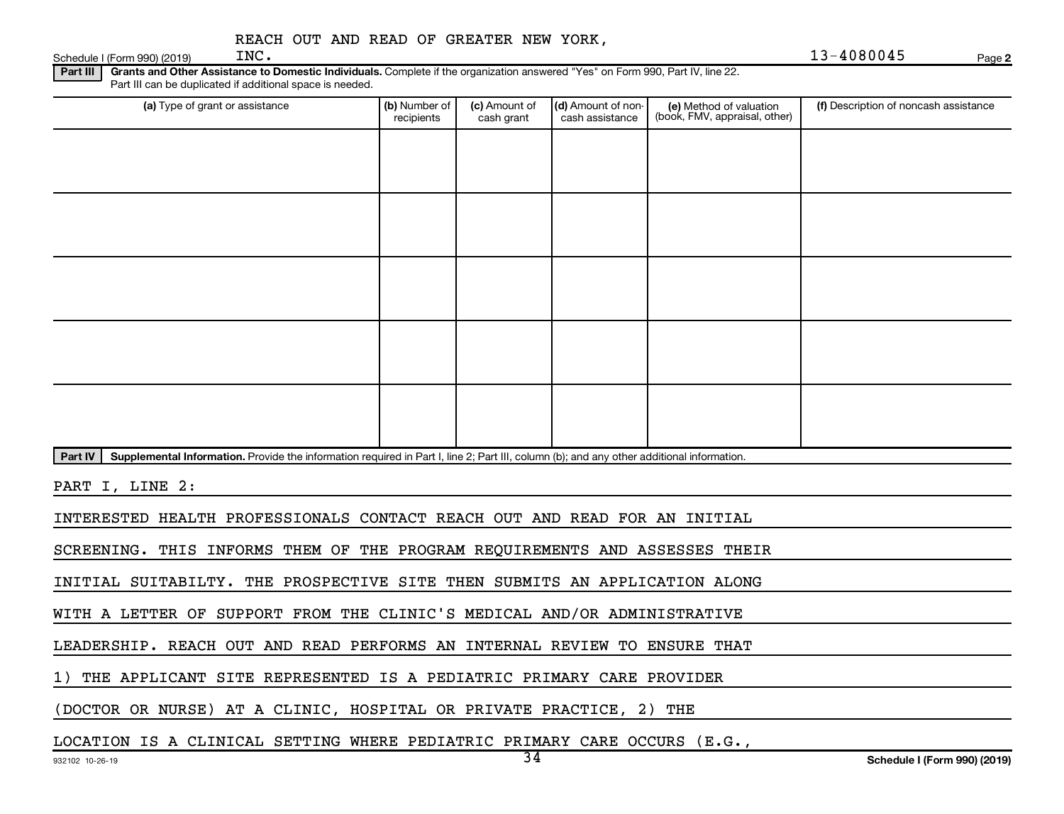|  |  |  |  |  | REACH OUT AND READ OF GREATER NEW YORK, |  |  |
|--|--|--|--|--|-----------------------------------------|--|--|
|--|--|--|--|--|-----------------------------------------|--|--|

Schedule I (Form 990) (2019)  $\text{INC.}$ 

Part III | Grants and Other Assistance to Domestic Individuals. Complete if the organization answered "Yes" on Form 990, Part IV, line 22. Part III can be duplicated if additional space is needed.

| (a) Type of grant or assistance                                                                                                                      | (b) Number of<br>recipients | (c) Amount of<br>cash grant | (d) Amount of non-<br>cash assistance | (e) Method of valuation<br>(book, FMV, appraisal, other) | (f) Description of noncash assistance |
|------------------------------------------------------------------------------------------------------------------------------------------------------|-----------------------------|-----------------------------|---------------------------------------|----------------------------------------------------------|---------------------------------------|
|                                                                                                                                                      |                             |                             |                                       |                                                          |                                       |
|                                                                                                                                                      |                             |                             |                                       |                                                          |                                       |
|                                                                                                                                                      |                             |                             |                                       |                                                          |                                       |
|                                                                                                                                                      |                             |                             |                                       |                                                          |                                       |
|                                                                                                                                                      |                             |                             |                                       |                                                          |                                       |
|                                                                                                                                                      |                             |                             |                                       |                                                          |                                       |
|                                                                                                                                                      |                             |                             |                                       |                                                          |                                       |
|                                                                                                                                                      |                             |                             |                                       |                                                          |                                       |
|                                                                                                                                                      |                             |                             |                                       |                                                          |                                       |
|                                                                                                                                                      |                             |                             |                                       |                                                          |                                       |
| Supplemental Information. Provide the information required in Part I, line 2; Part III, column (b); and any other additional information.<br>Part IV |                             |                             |                                       |                                                          |                                       |

PART I, LINE 2:

INTERESTED HEALTH PROFESSIONALS CONTACT REACH OUT AND READ FOR AN INITIAL

SCREENING. THIS INFORMS THEM OF THE PROGRAM REQUIREMENTS AND ASSESSES THEIR

INITIAL SUITABILTY. THE PROSPECTIVE SITE THEN SUBMITS AN APPLICATION ALONG

WITH A LETTER OF SUPPORT FROM THE CLINIC'S MEDICAL AND/OR ADMINISTRATIVE

LEADERSHIP. REACH OUT AND READ PERFORMS AN INTERNAL REVIEW TO ENSURE THAT

1) THE APPLICANT SITE REPRESENTED IS A PEDIATRIC PRIMARY CARE PROVIDER

(DOCTOR OR NURSE) AT A CLINIC, HOSPITAL OR PRIVATE PRACTICE, 2) THE

LOCATION IS A CLINICAL SETTING WHERE PEDIATRIC PRIMARY CARE OCCURS (E.G.,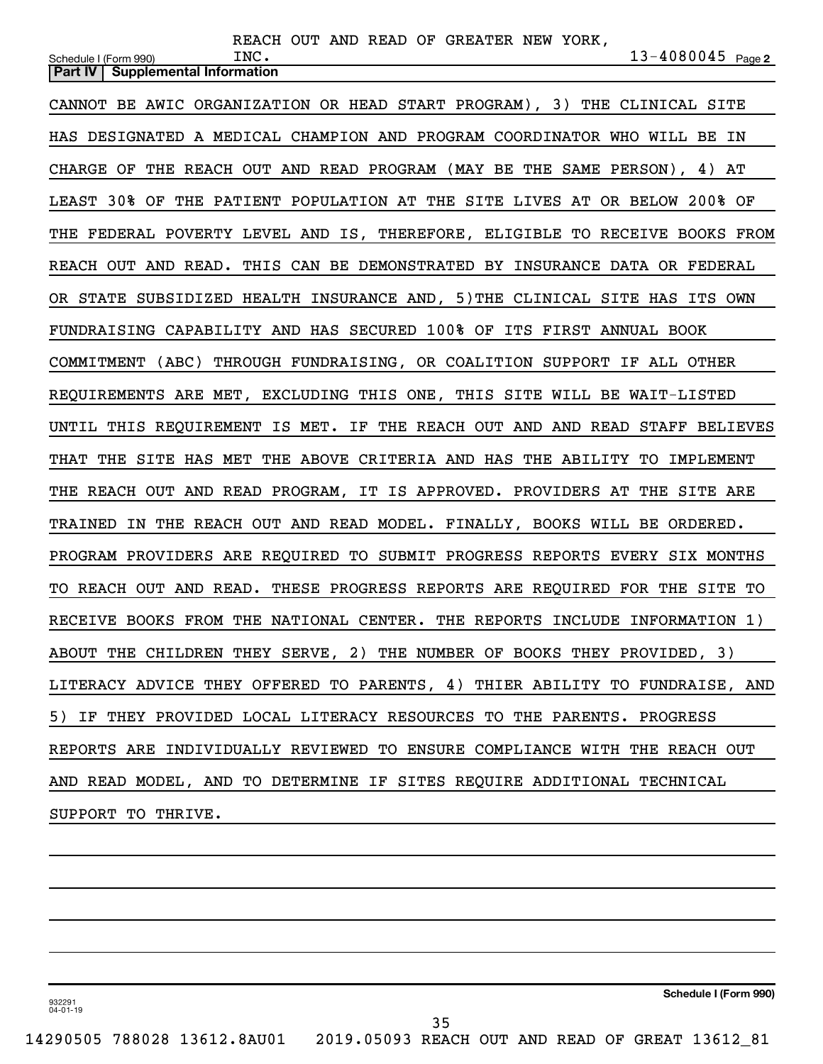| REACH OUT AND READ OF GREATER NEW YORK,                                                                |
|--------------------------------------------------------------------------------------------------------|
| $13 - 4080045$ Page 2<br>INC.<br>Schedule I (Form 990)<br><b>Supplemental Information</b><br>Part IV I |
|                                                                                                        |
| CANNOT BE AWIC ORGANIZATION OR HEAD START PROGRAM), 3) THE CLINICAL SITE                               |
| HAS DESIGNATED A MEDICAL CHAMPION AND PROGRAM COORDINATOR WHO WILL BE IN                               |
| CHARGE OF THE REACH OUT AND READ PROGRAM (MAY BE THE SAME PERSON), 4) AT                               |
| LEAST 30% OF THE PATIENT POPULATION AT THE SITE LIVES AT OR BELOW 200% OF                              |
| THE FEDERAL POVERTY LEVEL AND IS, THEREFORE, ELIGIBLE TO RECEIVE BOOKS FROM                            |
| REACH OUT AND READ. THIS CAN BE DEMONSTRATED BY INSURANCE DATA OR FEDERAL                              |
| OR STATE SUBSIDIZED HEALTH INSURANCE AND, 5) THE CLINICAL SITE HAS ITS OWN                             |
| FUNDRAISING CAPABILITY AND HAS SECURED 100% OF ITS FIRST ANNUAL BOOK                                   |
| COMMITMENT (ABC) THROUGH FUNDRAISING, OR COALITION SUPPORT IF ALL OTHER                                |
| REQUIREMENTS ARE MET, EXCLUDING THIS ONE, THIS SITE WILL BE WAIT-LISTED                                |
| UNTIL THIS REQUIREMENT IS MET. IF THE REACH OUT AND AND READ STAFF BELIEVES                            |
| THE SITE HAS MET THE ABOVE CRITERIA AND HAS THE ABILITY TO IMPLEMENT<br>THAT                           |
| THE REACH OUT AND READ PROGRAM, IT IS APPROVED. PROVIDERS AT THE SITE ARE                              |
| TRAINED IN THE REACH OUT AND READ MODEL. FINALLY, BOOKS WILL BE ORDERED.                               |
| PROGRAM PROVIDERS ARE REQUIRED TO SUBMIT PROGRESS REPORTS EVERY SIX MONTHS                             |
| TO REACH OUT AND READ. THESE PROGRESS REPORTS ARE REQUIRED FOR THE SITE TO                             |
| RECEIVE BOOKS FROM THE NATIONAL CENTER. THE REPORTS INCLUDE INFORMATION 1)                             |
| ABOUT THE CHILDREN THEY SERVE, 2) THE NUMBER OF BOOKS THEY PROVIDED, 3)                                |
| LITERACY ADVICE THEY OFFERED TO PARENTS, 4) THIER ABILITY TO FUNDRAISE, AND                            |
| 5) IF THEY PROVIDED LOCAL LITERACY RESOURCES TO THE PARENTS. PROGRESS                                  |
| REPORTS ARE INDIVIDUALLY REVIEWED TO ENSURE COMPLIANCE WITH THE REACH OUT                              |
| AND READ MODEL, AND TO DETERMINE IF SITES REQUIRE ADDITIONAL TECHNICAL                                 |
| SUPPORT TO THRIVE.                                                                                     |
|                                                                                                        |

**Schedule I (Form 990)**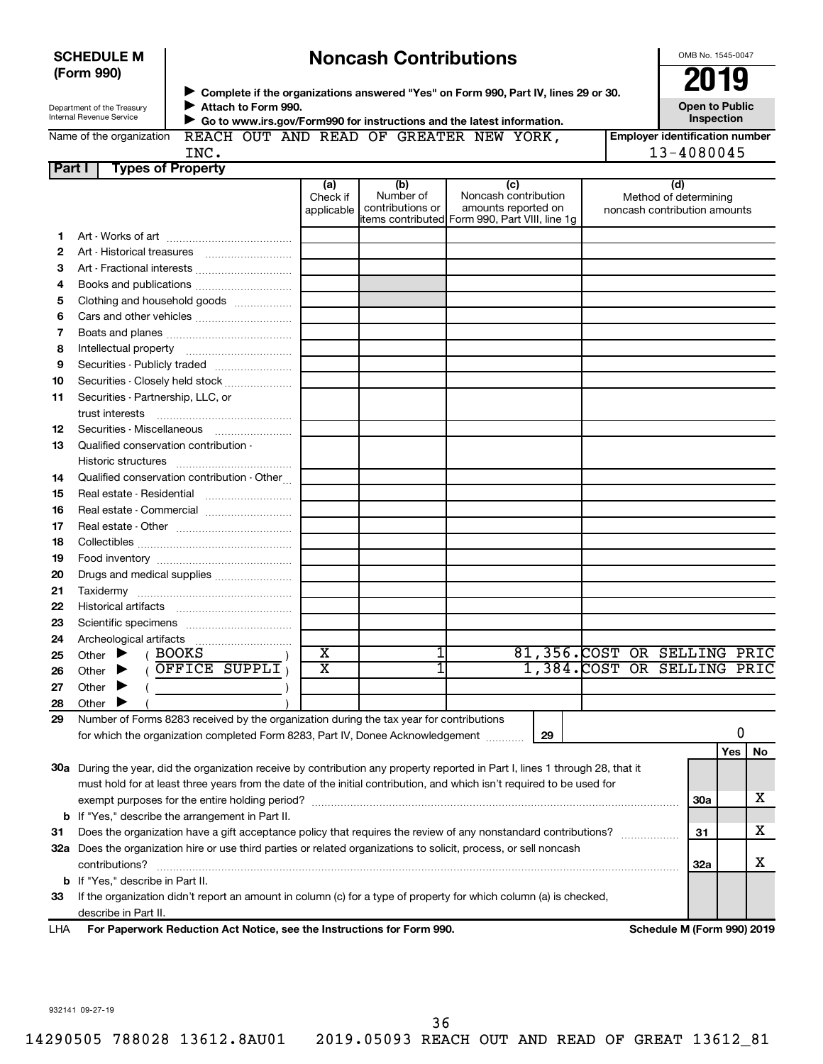| <b>Noncash Contributions</b><br><b>SCHEDULE M</b><br>(Form 990)<br>Complete if the organizations answered "Yes" on Form 990, Part IV, lines 29 or 30.<br>Attach to Form 990.<br>Department of the Treasury<br>Internal Revenue Service<br>Go to www.irs.gov/Form990 for instructions and the latest information.<br>REACH OUT AND READ OF GREATER NEW YORK,<br>Name of the organization<br>INC.<br><b>Types of Property</b><br>Part I |                                       |                                             |                        |                               |                                                                                               |  | OMB No. 1545-0047<br>2019<br><b>Open to Public</b><br>Inspection<br><b>Employer identification number</b><br>13-4080045 |  |
|---------------------------------------------------------------------------------------------------------------------------------------------------------------------------------------------------------------------------------------------------------------------------------------------------------------------------------------------------------------------------------------------------------------------------------------|---------------------------------------|---------------------------------------------|------------------------|-------------------------------|-----------------------------------------------------------------------------------------------|--|-------------------------------------------------------------------------------------------------------------------------|--|
|                                                                                                                                                                                                                                                                                                                                                                                                                                       |                                       |                                             | (a)                    | (b)                           | (c)                                                                                           |  | (d)                                                                                                                     |  |
|                                                                                                                                                                                                                                                                                                                                                                                                                                       |                                       |                                             | Check if<br>applicable | Number of<br>contributions or | Noncash contribution<br>amounts reported on<br>items contributed Form 990, Part VIII, line 1g |  | Method of determining<br>noncash contribution amounts                                                                   |  |
| 1                                                                                                                                                                                                                                                                                                                                                                                                                                     |                                       |                                             |                        |                               |                                                                                               |  |                                                                                                                         |  |
| 2                                                                                                                                                                                                                                                                                                                                                                                                                                     |                                       |                                             |                        |                               |                                                                                               |  |                                                                                                                         |  |
| 3                                                                                                                                                                                                                                                                                                                                                                                                                                     |                                       |                                             |                        |                               |                                                                                               |  |                                                                                                                         |  |
| 4                                                                                                                                                                                                                                                                                                                                                                                                                                     |                                       |                                             |                        |                               |                                                                                               |  |                                                                                                                         |  |
| 5                                                                                                                                                                                                                                                                                                                                                                                                                                     |                                       | Clothing and household goods                |                        |                               |                                                                                               |  |                                                                                                                         |  |
| 6                                                                                                                                                                                                                                                                                                                                                                                                                                     |                                       |                                             |                        |                               |                                                                                               |  |                                                                                                                         |  |
| 7                                                                                                                                                                                                                                                                                                                                                                                                                                     |                                       |                                             |                        |                               |                                                                                               |  |                                                                                                                         |  |
| 8                                                                                                                                                                                                                                                                                                                                                                                                                                     |                                       |                                             |                        |                               |                                                                                               |  |                                                                                                                         |  |
| 9                                                                                                                                                                                                                                                                                                                                                                                                                                     |                                       |                                             |                        |                               |                                                                                               |  |                                                                                                                         |  |
| 10                                                                                                                                                                                                                                                                                                                                                                                                                                    |                                       | Securities - Closely held stock             |                        |                               |                                                                                               |  |                                                                                                                         |  |
| 11                                                                                                                                                                                                                                                                                                                                                                                                                                    | Securities - Partnership, LLC, or     |                                             |                        |                               |                                                                                               |  |                                                                                                                         |  |
|                                                                                                                                                                                                                                                                                                                                                                                                                                       | trust interests                       |                                             |                        |                               |                                                                                               |  |                                                                                                                         |  |
| 12                                                                                                                                                                                                                                                                                                                                                                                                                                    | Qualified conservation contribution - | Securities - Miscellaneous                  |                        |                               |                                                                                               |  |                                                                                                                         |  |
| 13.                                                                                                                                                                                                                                                                                                                                                                                                                                   |                                       |                                             |                        |                               |                                                                                               |  |                                                                                                                         |  |
| 14                                                                                                                                                                                                                                                                                                                                                                                                                                    | Historic structures                   | Qualified conservation contribution - Other |                        |                               |                                                                                               |  |                                                                                                                         |  |
| 15                                                                                                                                                                                                                                                                                                                                                                                                                                    |                                       | Real estate - Residential                   |                        |                               |                                                                                               |  |                                                                                                                         |  |
| 16                                                                                                                                                                                                                                                                                                                                                                                                                                    |                                       |                                             |                        |                               |                                                                                               |  |                                                                                                                         |  |
| 17                                                                                                                                                                                                                                                                                                                                                                                                                                    |                                       |                                             |                        |                               |                                                                                               |  |                                                                                                                         |  |
| 18                                                                                                                                                                                                                                                                                                                                                                                                                                    |                                       |                                             |                        |                               |                                                                                               |  |                                                                                                                         |  |
|                                                                                                                                                                                                                                                                                                                                                                                                                                       |                                       |                                             |                        |                               |                                                                                               |  |                                                                                                                         |  |

| 28  | Other                                                                                                                          |  |    |     |     |
|-----|--------------------------------------------------------------------------------------------------------------------------------|--|----|-----|-----|
| 29  | Number of Forms 8283 received by the organization during the tax year for contributions                                        |  |    |     |     |
|     | for which the organization completed Form 8283, Part IV, Donee Acknowledgement                                                 |  | 29 |     |     |
|     |                                                                                                                                |  |    |     | Yes |
|     | 30a During the year, did the organization receive by contribution any property reported in Part I, lines 1 through 28, that it |  |    |     |     |
|     | must hold for at least three years from the date of the initial contribution, and which isn't required to be used for          |  |    |     |     |
|     | exempt purposes for the entire holding period?                                                                                 |  |    | 30a |     |
|     | <b>b</b> If "Yes," describe the arrangement in Part II.                                                                        |  |    |     |     |
| 31  | Does the organization have a gift acceptance policy that requires the review of any nonstandard contributions?                 |  |    | 31  |     |
| 32a | Does the organization hire or use third parties or related organizations to solicit, process, or sell noncash                  |  |    |     |     |
|     | contributions?                                                                                                                 |  |    | 32a |     |
| b   | If "Yes." describe in Part II.                                                                                                 |  |    |     |     |

Other  $\blacktriangleright$  (OFFICE SUPPLI)  $\mid$  X  $\mid$  1  $\mid$  1,384. COST OR SELLING PRIC

X 1 81,356.COST OR SELLING PRIC

**33** If the organization didn't report an amount in column (c) for a type of property for which column (a) is checked,

**For Paperwork Reduction Act Notice, see the Instructions for Form 990. Schedule M (Form 990) 2019** LHA

**Yes No**

X

X

X

932141 09-27-19

describe in Part II.

Food inventory ~~~~~~~~~~~~~~ Drugs and medical supplies ....................... Taxidermy ~~~~~~~~~~~~~~~~

Historical artifacts ~~~~~~~~~~~~ Scientific specimens .................................

………………………………

 $($  BOOKS  $)$ 

Archeological artifacts

Other  $\blacktriangleright$ Other  $\blacktriangleright$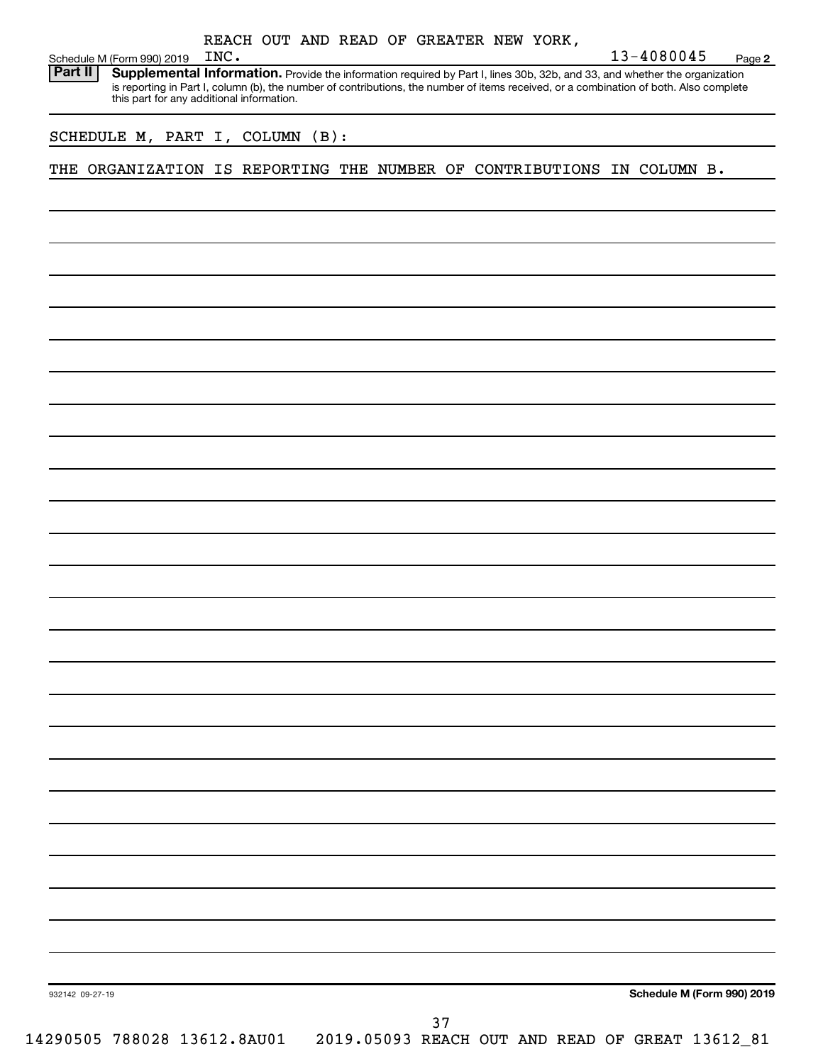| Schedule M (Form 990) 2019                                             | INC.                                      | REACH OUT AND READ OF GREATER NEW YORK, |    |  | 13-4080045                                                                                                                                                                                                                                                           | Page 2                     |
|------------------------------------------------------------------------|-------------------------------------------|-----------------------------------------|----|--|----------------------------------------------------------------------------------------------------------------------------------------------------------------------------------------------------------------------------------------------------------------------|----------------------------|
| Part II                                                                | this part for any additional information. |                                         |    |  | Supplemental Information. Provide the information required by Part I, lines 30b, 32b, and 33, and whether the organization<br>is reporting in Part I, column (b), the number of contributions, the number of items received, or a combination of both. Also complete |                            |
| SCHEDULE M, PART I, COLUMN (B):                                        |                                           |                                         |    |  |                                                                                                                                                                                                                                                                      |                            |
| THE ORGANIZATION IS REPORTING THE NUMBER OF CONTRIBUTIONS IN COLUMN B. |                                           |                                         |    |  |                                                                                                                                                                                                                                                                      |                            |
|                                                                        |                                           |                                         |    |  |                                                                                                                                                                                                                                                                      |                            |
|                                                                        |                                           |                                         |    |  |                                                                                                                                                                                                                                                                      |                            |
|                                                                        |                                           |                                         |    |  |                                                                                                                                                                                                                                                                      |                            |
|                                                                        |                                           |                                         |    |  |                                                                                                                                                                                                                                                                      |                            |
|                                                                        |                                           |                                         |    |  |                                                                                                                                                                                                                                                                      |                            |
|                                                                        |                                           |                                         |    |  |                                                                                                                                                                                                                                                                      |                            |
|                                                                        |                                           |                                         |    |  |                                                                                                                                                                                                                                                                      |                            |
|                                                                        |                                           |                                         |    |  |                                                                                                                                                                                                                                                                      |                            |
|                                                                        |                                           |                                         |    |  |                                                                                                                                                                                                                                                                      |                            |
|                                                                        |                                           |                                         |    |  |                                                                                                                                                                                                                                                                      |                            |
|                                                                        |                                           |                                         |    |  |                                                                                                                                                                                                                                                                      |                            |
|                                                                        |                                           |                                         |    |  |                                                                                                                                                                                                                                                                      |                            |
|                                                                        |                                           |                                         |    |  |                                                                                                                                                                                                                                                                      |                            |
|                                                                        |                                           |                                         |    |  |                                                                                                                                                                                                                                                                      |                            |
|                                                                        |                                           |                                         |    |  |                                                                                                                                                                                                                                                                      |                            |
|                                                                        |                                           |                                         |    |  |                                                                                                                                                                                                                                                                      |                            |
|                                                                        |                                           |                                         |    |  |                                                                                                                                                                                                                                                                      |                            |
|                                                                        |                                           |                                         |    |  |                                                                                                                                                                                                                                                                      |                            |
|                                                                        |                                           |                                         |    |  |                                                                                                                                                                                                                                                                      |                            |
|                                                                        |                                           |                                         |    |  |                                                                                                                                                                                                                                                                      |                            |
|                                                                        |                                           |                                         |    |  |                                                                                                                                                                                                                                                                      |                            |
|                                                                        |                                           |                                         |    |  |                                                                                                                                                                                                                                                                      |                            |
|                                                                        |                                           |                                         |    |  |                                                                                                                                                                                                                                                                      |                            |
| 932142 09-27-19                                                        |                                           |                                         |    |  |                                                                                                                                                                                                                                                                      | Schedule M (Form 990) 2019 |
|                                                                        |                                           |                                         | 37 |  |                                                                                                                                                                                                                                                                      |                            |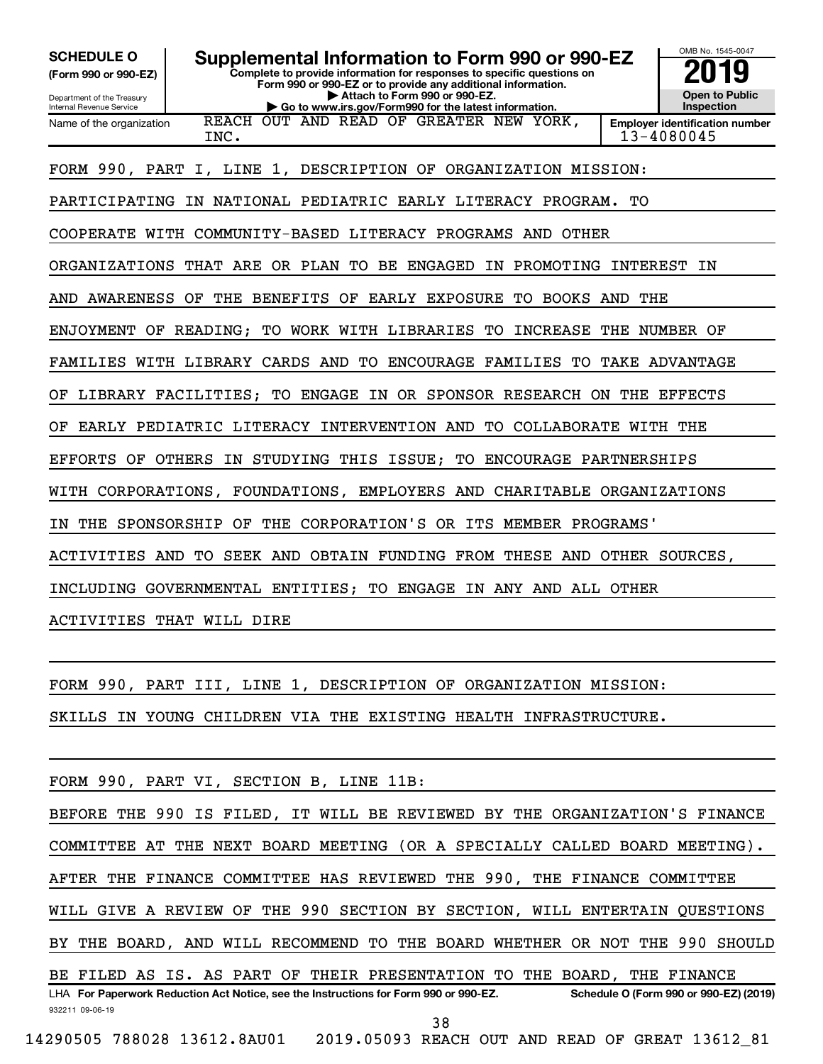| <b>SCHEDULE O</b><br>Supplemental Information to Form 990 or 990-EZ<br>Complete to provide information for responses to specific questions on<br>(Form 990 or 990-EZ)<br>Form 990 or 990-EZ or to provide any additional information.<br>Attach to Form 990 or 990-EZ.<br>Department of the Treasury<br>Go to www.irs.gov/Form990 for the latest information.<br>Internal Revenue Service | OMB No. 1545-0047<br><b>Open to Public</b><br>Inspection |
|-------------------------------------------------------------------------------------------------------------------------------------------------------------------------------------------------------------------------------------------------------------------------------------------------------------------------------------------------------------------------------------------|----------------------------------------------------------|
| REACH OUT AND READ OF GREATER NEW YORK,<br>Name of the organization<br>INC.                                                                                                                                                                                                                                                                                                               | <b>Employer identification number</b><br>13-4080045      |
| FORM 990, PART I, LINE 1, DESCRIPTION OF ORGANIZATION MISSION:                                                                                                                                                                                                                                                                                                                            |                                                          |
| IN NATIONAL PEDIATRIC EARLY LITERACY PROGRAM.<br>PARTICIPATING                                                                                                                                                                                                                                                                                                                            | TО                                                       |
| COOPERATE WITH COMMUNITY-BASED LITERACY PROGRAMS AND<br>OTHER                                                                                                                                                                                                                                                                                                                             |                                                          |
| THAT ARE OR PLAN TO BE<br><b>ENGAGED</b><br>ORGANIZATIONS<br>ΙN<br>PROMOTING                                                                                                                                                                                                                                                                                                              | <b>INTEREST</b><br>ΙN                                    |
| AWARENESS<br>THE BENEFITS OF<br>EARLY EXPOSURE<br><b>BOOKS</b><br>AND<br>OF<br>TО                                                                                                                                                                                                                                                                                                         | AND<br>THE                                               |
| TO WORK WITH LIBRARIES<br>TО<br><b>INCREASE</b><br>ENJOYMENT OF READING;                                                                                                                                                                                                                                                                                                                  | THE<br>NUMBER OF                                         |
| FAMILIES WITH LIBRARY CARDS AND<br><b>ENCOURAGE</b><br>TО<br>FAMILIES<br>TО                                                                                                                                                                                                                                                                                                               | TAKE ADVANTAGE                                           |
| TO ENGAGE<br>IN OR SPONSOR RESEARCH ON THE<br>LIBRARY FACILITIES;<br>ОF                                                                                                                                                                                                                                                                                                                   | EFFECTS                                                  |
| EARLY PEDIATRIC LITERACY INTERVENTION AND<br>TO COLLABORATE WITH THE<br>ОF                                                                                                                                                                                                                                                                                                                |                                                          |
| OTHERS IN<br>STUDYING THIS ISSUE;<br>ENCOURAGE PARTNERSHIPS<br>EFFORTS OF<br>TО                                                                                                                                                                                                                                                                                                           |                                                          |
| WITH<br>CORPORATIONS, FOUNDATIONS,<br>EMPLOYERS AND                                                                                                                                                                                                                                                                                                                                       | CHARITABLE ORGANIZATIONS                                 |
| SPONSORSHIP OF<br>THE<br>CORPORATION'S OR ITS MEMBER PROGRAMS'<br>THE<br>ΙN                                                                                                                                                                                                                                                                                                               |                                                          |
| ACTIVITIES AND<br>TO<br>SEEK AND OBTAIN FUNDING FROM THESE AND OTHER SOURCES,                                                                                                                                                                                                                                                                                                             |                                                          |
|                                                                                                                                                                                                                                                                                                                                                                                           |                                                          |
| INCLUDING GOVERNMENTAL ENTITIES; TO ENGAGE IN ANY AND ALL OTHER                                                                                                                                                                                                                                                                                                                           |                                                          |
| ACTIVITIES THAT WILL DIRE                                                                                                                                                                                                                                                                                                                                                                 |                                                          |
|                                                                                                                                                                                                                                                                                                                                                                                           |                                                          |
| FORM 990, PART III, LINE 1, DESCRIPTION OF ORGANIZATION MISSION:                                                                                                                                                                                                                                                                                                                          |                                                          |
| SKILLS IN YOUNG CHILDREN VIA THE EXISTING HEALTH INFRASTRUCTURE.                                                                                                                                                                                                                                                                                                                          |                                                          |
|                                                                                                                                                                                                                                                                                                                                                                                           |                                                          |
| FORM 990, PART VI, SECTION B, LINE 11B:                                                                                                                                                                                                                                                                                                                                                   |                                                          |
| BEFORE THE 990 IS FILED, IT WILL BE REVIEWED BY THE ORGANIZATION'S FINANCE                                                                                                                                                                                                                                                                                                                |                                                          |
| COMMITTEE AT THE NEXT BOARD MEETING (OR A SPECIALLY CALLED BOARD MEETING).                                                                                                                                                                                                                                                                                                                |                                                          |
| AFTER THE FINANCE COMMITTEE HAS REVIEWED THE 990, THE FINANCE COMMITTEE                                                                                                                                                                                                                                                                                                                   |                                                          |
| WILL GIVE A REVIEW OF THE 990 SECTION BY SECTION, WILL ENTERTAIN QUESTIONS                                                                                                                                                                                                                                                                                                                |                                                          |
| BY THE BOARD, AND WILL RECOMMEND TO THE BOARD WHETHER OR NOT THE 990 SHOULD                                                                                                                                                                                                                                                                                                               |                                                          |
|                                                                                                                                                                                                                                                                                                                                                                                           |                                                          |

932211 09-06-19 LHA For Paperwork Reduction Act Notice, see the Instructions for Form 990 or 990-EZ. Schedule O (Form 990 or 990-EZ) (2019) BE FILED AS IS. AS PART OF THEIR PRESENTATION TO THE BOARD, THE FINANCE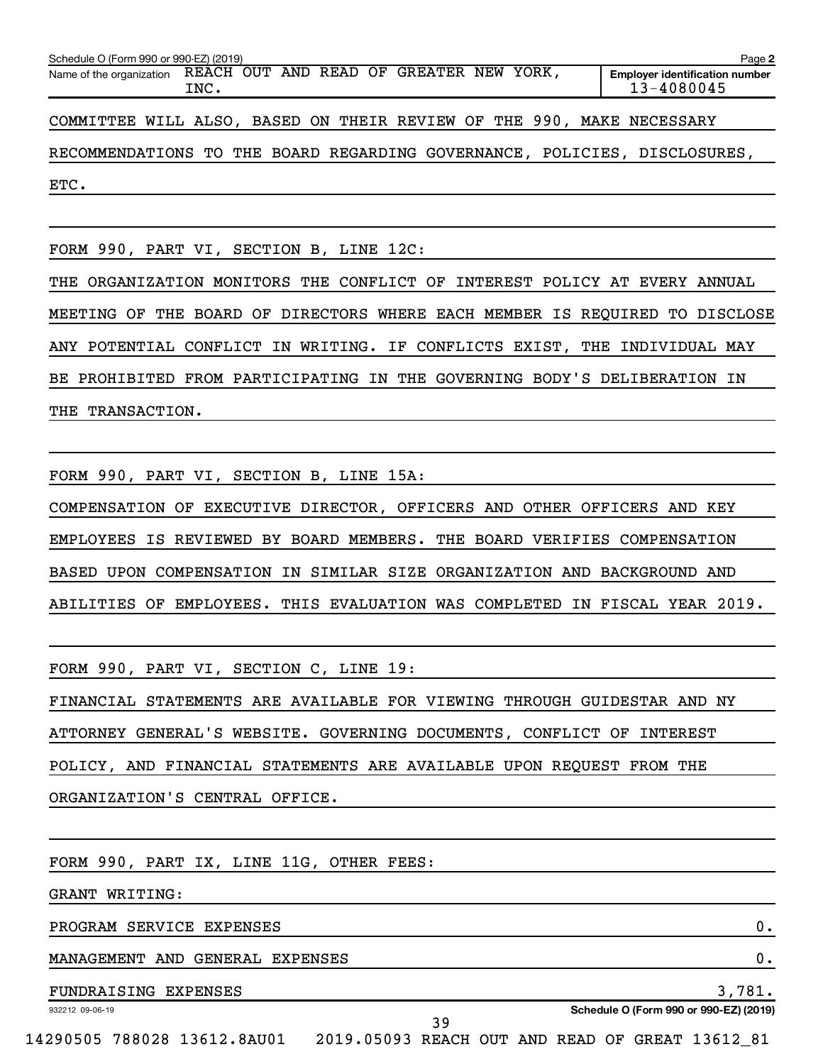| Schedule O (Form 990 or 990-EZ) (2019)                                               | Page 2                                              |
|--------------------------------------------------------------------------------------|-----------------------------------------------------|
| REACH OUT AND READ<br>OF<br>GREATER NEW YORK,<br>Name of the organization<br>INC.    | <b>Employer identification number</b><br>13-4080045 |
| WILL ALSO, BASED ON THEIR REVIEW OF THE 990, MAKE NECESSARY<br>COMMITTEE             |                                                     |
| RECOMMENDATIONS TO THE BOARD REGARDING GOVERNANCE, POLICIES, DISCLOSURES,            |                                                     |
| ETC.                                                                                 |                                                     |
|                                                                                      |                                                     |
| FORM 990, PART VI, SECTION B, LINE 12C:                                              |                                                     |
| THE ORGANIZATION MONITORS THE CONFLICT OF INTEREST POLICY AT EVERY ANNUAL            |                                                     |
| DIRECTORS WHERE EACH MEMBER IS REQUIRED TO DISCLOSE<br>BOARD OF<br>MEETING OF<br>THE |                                                     |
| WRITING. IF CONFLICTS EXIST, THE INDIVIDUAL MAY<br>ANY POTENTIAL<br>CONFLICT IN      |                                                     |
| BE PROHIBITED FROM PARTICIPATING IN THE GOVERNING BODY'S DELIBERATION IN             |                                                     |

THE TRANSACTION.

FORM 990, PART VI, SECTION B, LINE 15A:

COMPENSATION OF EXECUTIVE DIRECTOR, OFFICERS AND OTHER OFFICERS AND KEY EMPLOYEES IS REVIEWED BY BOARD MEMBERS. THE BOARD VERIFIES COMPENSATION BASED UPON COMPENSATION IN SIMILAR SIZE ORGANIZATION AND BACKGROUND AND ABILITIES OF EMPLOYEES. THIS EVALUATION WAS COMPLETED IN FISCAL YEAR 2019.

FORM 990, PART VI, SECTION C, LINE 19:

FINANCIAL STATEMENTS ARE AVAILABLE FOR VIEWING THROUGH GUIDESTAR AND NY ATTORNEY GENERAL'S WEBSITE. GOVERNING DOCUMENTS, CONFLICT OF INTEREST POLICY, AND FINANCIAL STATEMENTS ARE AVAILABLE UPON REQUEST FROM THE ORGANIZATION'S CENTRAL OFFICE.

FORM 990, PART IX, LINE 11G, OTHER FEES:

GRANT WRITING:

PROGRAM SERVICE EXPENSES **0.** 

MANAGEMENT AND GENERAL EXPENSES 0.

FUNDRAISING EXPENSES 3,781.

932212 09-06-19

**Schedule O (Form 990 or 990-EZ) (2019)**